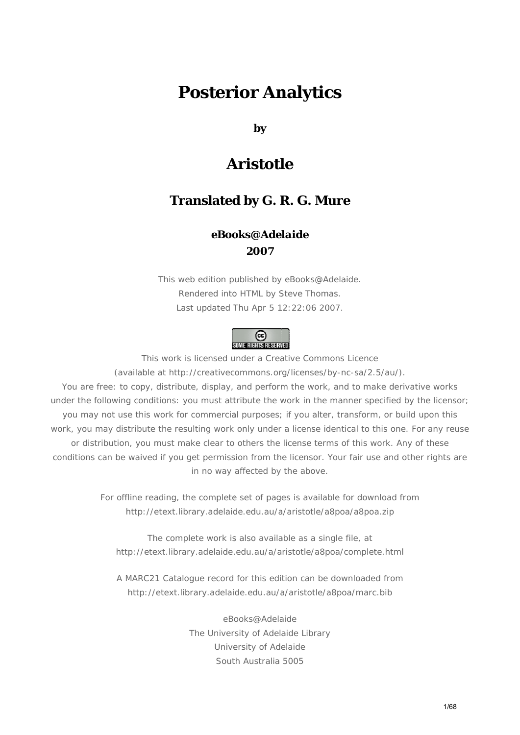# **Posterior Analytics**

**by** 

# **Aristotle**

# **Translated by G. R. G. Mure**

## *eBooks@Ade laide 2007*

This web edition published by [eBooks@A](http://etext.library.adelaide.edu.au/)delaide. Rendered into HTML by [Steve Thom](http://www.adelaide.edu.au/directory/stephen.thomas)as. Last updated Thu Apr 5 12:22:06 2007.

⊛ MARTAGH IS RESERVED

You are free: to co[py, distribu](http://creativecommons.org/licenses/by-nc-sa/2.5/au/)[te, display,](http://creativecommons.org/licenses/by-nc-sa/2.5/au/) [and perform](http://creativecommons.org/licenses/by-nc-sa/2.5/au/) the work[, and to ma](http://creativecommons.org/licenses/by-nc-sa/2.5/au/)ke derivative works under the following c[onditions: y](http://creativecommons.org/licenses/by-nc-sa/2.5/au/)[ou must att](http://creativecommons.org/licenses/by-nc-sa/2.5/au/)ribute the [work in the](http://creativecommons.org/licenses/by-nc-sa/2.5/au/) [manner spe](http://creativecommons.org/licenses/by-nc-sa/2.5/au/)cified by the licensor; you may not use t[his work for](http://creativecommons.org/licenses/by-nc-sa/2.5/au/) commerci[al purposes;](http://creativecommons.org/licenses/by-nc-sa/2.5/au/) if you alte[r, transform](http://creativecommons.org/licenses/by-nc-sa/2.5/au/), or build upon this work, you may distri[bute the res](http://creativecommons.org/licenses/by-nc-sa/2.5/au/)[ulting work](http://creativecommons.org/licenses/by-nc-sa/2.5/au/) [only under](http://creativecommons.org/licenses/by-nc-sa/2.5/au/) [a license id](http://creativecommons.org/licenses/by-nc-sa/2.5/au/)entical to this one. For any reuse or distribution, y[ou must ma](http://creativecommons.org/licenses/by-nc-sa/2.5/au/)ke clear to [others the](http://creativecommons.org/licenses/by-nc-sa/2.5/au/) [license term](http://creativecommons.org/licenses/by-nc-sa/2.5/au/)s of this work. Any of these conditions can be wa[ived if you g](http://creativecommons.org/licenses/by-nc-sa/2.5/au/)et permis[sion from th](http://creativecommons.org/licenses/by-nc-sa/2.5/au/)[e licensor. Y](http://creativecommons.org/licenses/by-nc-sa/2.5/au/)our fair use and other rights are (available at [http:](http://creativecommons.org/licenses/by-nc-sa/2.5/au/)//creativec[ommons.or](http://creativecommons.org/licenses/by-nc-sa/2.5/au/)g/licenses/[by-nc-sa/2.](http://creativecommons.org/licenses/by-nc-sa/2.5/au/) This work i[s licensed u](http://creativecommons.org/licenses/by-nc-sa/2.5/au/)nder a Cre[ative Comm](http://creativecommons.org/licenses/by-nc-sa/2.5/au/)ons Licence [in no way](http://creativecommons.org/licenses/by-nc-sa/2.5/au/)  [affected by](http://creativecommons.org/licenses/by-nc-sa/2.5/au/) [the above.](http://creativecommons.org/licenses/by-nc-sa/2.5/au/) mons Licence<br>
vby-nc-sa/2.5/au/).<br>
c, and to make derive.<br>
e manner specified ber, transform, or buildentical to this one.<br>
rms of this work. An<br>
Your fair use and o<br>
debthare and of<br>
the same of this work. An<br>
able for do

For offlin[e reading, th](http://etext.library.adelaide.edu.au/a/aristotle/a8poa/a8poa.zip)e complet[e set of pag](http://etext.library.adelaide.edu.au/a/aristotle/a8poa/a8poa.zip)[es is availab](http://etext.library.adelaide.edu.au/a/aristotle/a8poa/a8poa.zip)le for download from [http](http://etext.library.adelaide.edu.au/a/aristotle/a8poa/a8poa.zip)://etext.lib[rary.adelaid](http://etext.library.adelaide.edu.au/a/aristotle/a8poa/a8poa.zip)e.edu.au/[a/aristotle/a](http://etext.library.adelaide.edu.au/a/aristotle/a8poa/a8poa.zip)8poa/a8poa.zip

[http://](http://ebooks.adelaide.edu.au/a/aristotle/a8poa/complete.html)etext.libra[ry.adelaide.](http://ebooks.adelaide.edu.au/a/aristotle/a8poa/complete.html)edu.au/a/a[ristotle/a8p](http://ebooks.adelaide.edu.au/a/aristotle/a8poa/complete.html)oa/complete.html [The comp](http://ebooks.adelaide.edu.au/a/aristotle/a8poa/complete.html)lete work i[s also availa](http://ebooks.adelaide.edu.au/a/aristotle/a8poa/complete.html)ble as a single file, at

A MA[RC21 Catalo](http://ebooks.adelaide.edu.au/a/aristotle/a8poa/marc.bib)gue record [for this edi](http://ebooks.adelaide.edu.au/a/aristotle/a8poa/marc.bib)[tion can be](http://ebooks.adelaide.edu.au/a/aristotle/a8poa/marc.bib) [downloade](http://ebooks.adelaide.edu.au/a/aristotle/a8poa/marc.bib)d from [http](http://ebooks.adelaide.edu.au/a/aristotle/a8poa/marc.bib)://etext.li[brary.adelai](http://ebooks.adelaide.edu.au/a/aristotle/a8poa/marc.bib)[de.edu.au/a](http://ebooks.adelaide.edu.au/a/aristotle/a8poa/marc.bib)/aristotle/[a8poa/marc](http://ebooks.adelaide.edu.au/a/aristotle/a8poa/marc.bib).bib

> eBooks@Adelaide The University of Adelaide Library University of Adelaide South Australia 5005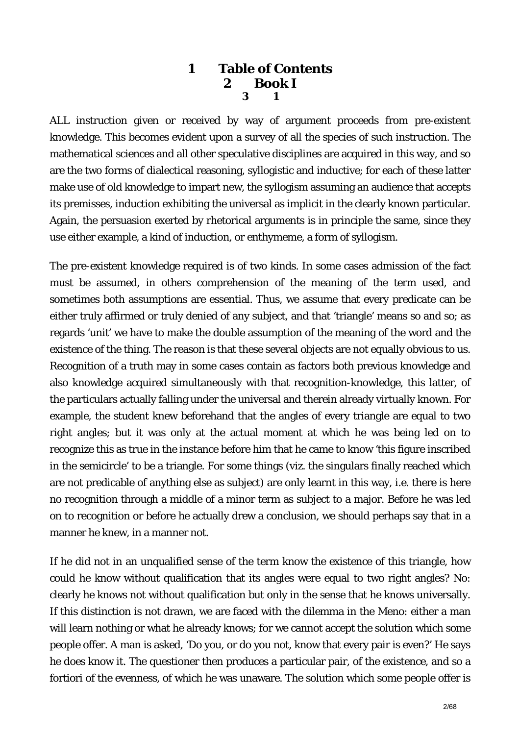## **1 Table of Contents 2 Book I 3 1**

ALL instruction given or received by way of argument proceeds from pre-existent knowledge. This becomes evident upon a survey of all the species of such instruction. The mathematical sciences and all other speculative disciplines are acquired in this way, and so are the two forms of dialectical reasoning, syllogistic and inductive; for each of these latter make use of old knowledge to impart new, the syllogism assuming an audience that accepts its premisses, induction exhibiting the universal as implicit in the clearly known particular. Again, the persuasion exerted by rhetorical arguments is in principle the same, since they use either example, a kind of induction, or enthymeme, a form of syllogism.

The pre-existent knowledge required is of two kinds. In some cases admission of the fact must be assumed, in others comprehension of the meaning of the term used, and sometimes both assumptions are essential. Thus, we assume that every predicate can be either truly affirmed or truly denied of any subject, and that 'triangle' means so and so; as regards 'unit' we have to make the double assumption of the meaning of the word and the existence of the thing. The reason is that these several objects are not equally obvious to us. Recognition of a truth may in some cases contain as factors both previous knowledge and also knowledge acquired simultaneously with that recognition-knowledge, this latter, of the particulars actually falling under the universal and therein already virtually known. For example, the student knew beforehand that the angles of every triangle are equal to two right angles; but it was only at the actual moment at which he was being led on to recognize this as true in the instance before him that he came to know 'this figure inscribed in the semicircle' to be a triangle. For some things (viz. the singulars finally reached which are not predicable of anything else as subject) are only learnt in this way, i.e. there is here no recognition through a middle of a minor term as subject to a major. Before he was led on to recognition or before he actually drew a conclusion, we should perhaps say that in a manner he knew, in a manner not.

If he did not in an unqualified sense of the term know the existence of this triangle, how could he know without qualification that its angles were equal to two right angles? No: clearly he knows not without qualification but only in the sense that he knows universally. If this distinction is not drawn, we are faced with the dilemma in the Meno: either a man will learn nothing or what he already knows; for we cannot accept the solution which some people offer. A man is asked, 'Do you, or do you not, know that every pair is even?' He says he does know it. The questioner then produces a particular pair, of the existence, and so a fortiori of the evenness, of which he was unaware. The solution which some people offer is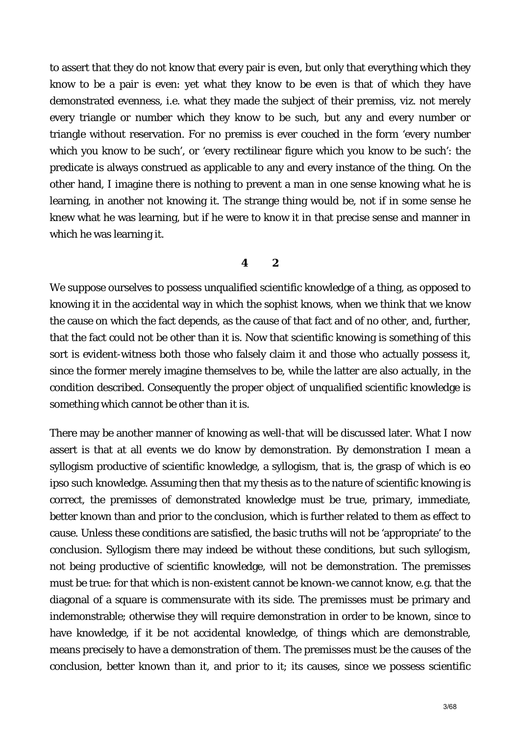to assert that they do not know that every pair is even, but only that everything which they know to be a pair is even: yet what they know to be even is that of which they have demonstrated evenness, i.e. what they made the subject of their premiss, viz. not merely every triangle or number which they know to be such, but any and every number or triangle without reservation. For no premiss is ever couched in the form 'every number which you know to be such', or 'every rectilinear figure which you know to be such': the predicate is always construed as applicable to any and every instance of the thing. On the other hand, I imagine there is nothing to prevent a man in one sense knowing what he is learning, in another not knowing it. The strange thing would be, not if in some sense he knew what he was learning, but if he were to know it in that precise sense and manner in which he was learning it.

### **4 2**

We suppose ourselves to possess unqualified scientific knowledge of a thing, as opposed to knowing it in the accidental way in which the sophist knows, when we think that we know the cause on which the fact depends, as the cause of that fact and of no other, and, further, that the fact could not be other than it is. Now that scientific knowing is something of this sort is evident-witness both those who falsely claim it and those who actually possess it, since the former merely imagine themselves to be, while the latter are also actually, in the condition described. Consequently the proper object of unqualified scientific knowledge is something which cannot be other than it is.

There may be another manner of knowing as well-that will be discussed later. What I now assert is that at all events we do know by demonstration. By demonstration I mean a syllogism productive of scientific knowledge, a syllogism, that is, the grasp of which is eo ipso such knowledge. Assuming then that my thesis as to the nature of scientific knowing is correct, the premisses of demonstrated knowledge must be true, primary, immediate, better known than and prior to the conclusion, which is further related to them as effect to cause. Unless these conditions are satisfied, the basic truths will not be 'appropriate' to the conclusion. Syllogism there may indeed be without these conditions, but such syllogism, not being productive of scientific knowledge, will not be demonstration. The premisses must be true: for that which is non-existent cannot be known-we cannot know, e.g. that the diagonal of a square is commensurate with its side. The premisses must be primary and indemonstrable; otherwise they will require demonstration in order to be known, since to have knowledge, if it be not accidental knowledge, of things which are demonstrable, means precisely to have a demonstration of them. The premisses must be the causes of the conclusion, better known than it, and prior to it; its causes, since we possess scientific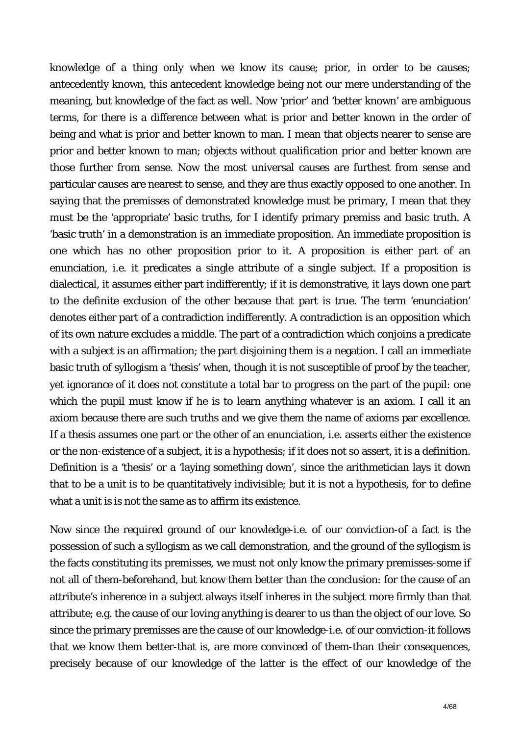knowledge of a thing only when we know its cause; prior, in order to be causes; antecedently known, this antecedent knowledge being not our mere understanding of the meaning, but knowledge of the fact as well. Now 'prior' and 'better known' are ambiguous terms, for there is a difference between what is prior and better known in the order of being and what is prior and better known to man. I mean that objects nearer to sense are prior and better known to man; objects without qualification prior and better known are those further from sense. Now the most universal causes are furthest from sense and particular causes are nearest to sense, and they are thus exactly opposed to one another. In saying that the premisses of demonstrated knowledge must be primary, I mean that they must be the 'appropriate' basic truths, for I identify primary premiss and basic truth. A 'basic truth' in a demonstration is an immediate proposition. An immediate proposition is one which has no other proposition prior to it. A proposition is either part of an enunciation, i.e. it predicates a single attribute of a single subject. If a proposition is dialectical, it assumes either part indifferently; if it is demonstrative, it lays down one part to the definite exclusion of the other because that part is true. The term 'enunciation' denotes either part of a contradiction indifferently. A contradiction is an opposition which of its own nature excludes a middle. The part of a contradiction which conjoins a predicate with a subject is an affirmation; the part disjoining them is a negation. I call an immediate basic truth of syllogism a 'thesis' when, though it is not susceptible of proof by the teacher, yet ignorance of it does not constitute a total bar to progress on the part of the pupil: one which the pupil must know if he is to learn anything whatever is an axiom. I call it an axiom because there are such truths and we give them the name of axioms par excellence. If a thesis assumes one part or the other of an enunciation, i.e. asserts either the existence or the non-existence of a subject, it is a hypothesis; if it does not so assert, it is a definition. Definition is a 'thesis' or a 'laying something down', since the arithmetician lays it down that to be a unit is to be quantitatively indivisible; but it is not a hypothesis, for to define what a unit is is not the same as to affirm its existence.

Now since the required ground of our knowledge-i.e. of our conviction-of a fact is the possession of such a syllogism as we call demonstration, and the ground of the syllogism is the facts constituting its premisses, we must not only know the primary premisses-some if not all of them-beforehand, but know them better than the conclusion: for the cause of an attribute's inherence in a subject always itself inheres in the subject more firmly than that attribute; e.g. the cause of our loving anything is dearer to us than the object of our love. So since the primary premisses are the cause of our knowledge-i.e. of our conviction-it follows that we know them better-that is, are more convinced of them-than their consequences, precisely because of our knowledge of the latter is the effect of our knowledge of the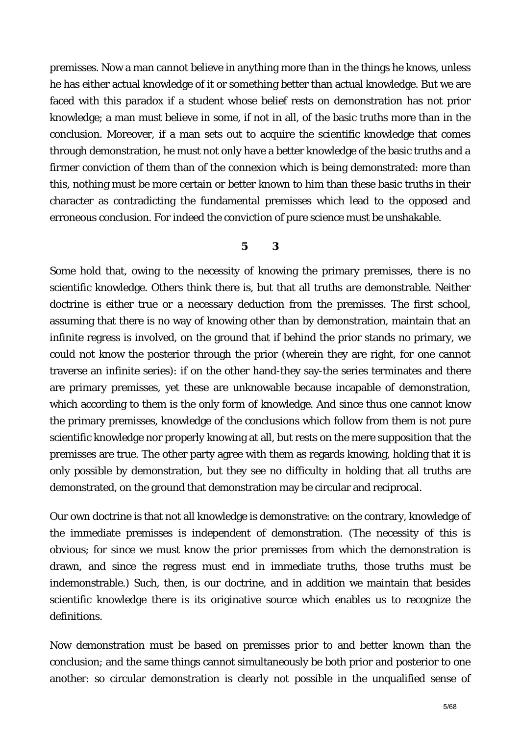premisses. Now a man cannot believe in anything more than in the things he knows, unless he has either actual knowledge of it or something better than actual knowledge. But we are faced with this paradox if a student whose belief rests on demonstration has not prior knowledge; a man must believe in some, if not in all, of the basic truths more than in the conclusion. Moreover, if a man sets out to acquire the scientific knowledge that comes through demonstration, he must not only have a better knowledge of the basic truths and a firmer conviction of them than of the connexion which is being demonstrated: more than this, nothing must be more certain or better known to him than these basic truths in their character as contradicting the fundamental premisses which lead to the opposed and erroneous conclusion. For indeed the conviction of pure science must be unshakable.

### **5 3**

Some hold that, owing to the necessity of knowing the primary premisses, there is no scientific knowledge. Others think there is, but that all truths are demonstrable. Neither doctrine is either true or a necessary deduction from the premisses. The first school, assuming that there is no way of knowing other than by demonstration, maintain that an infinite regress is involved, on the ground that if behind the prior stands no primary, we could not know the posterior through the prior (wherein they are right, for one cannot traverse an infinite series): if on the other hand-they say-the series terminates and there are primary premisses, yet these are unknowable because incapable of demonstration, which according to them is the only form of knowledge. And since thus one cannot know the primary premisses, knowledge of the conclusions which follow from them is not pure scientific knowledge nor properly knowing at all, but rests on the mere supposition that the premisses are true. The other party agree with them as regards knowing, holding that it is only possible by demonstration, but they see no difficulty in holding that all truths are demonstrated, on the ground that demonstration may be circular and reciprocal.

Our own doctrine is that not all knowledge is demonstrative: on the contrary, knowledge of the immediate premisses is independent of demonstration. (The necessity of this is obvious; for since we must know the prior premisses from which the demonstration is drawn, and since the regress must end in immediate truths, those truths must be indemonstrable.) Such, then, is our doctrine, and in addition we maintain that besides scientific knowledge there is its originative source which enables us to recognize the definitions.

Now demonstration must be based on premisses prior to and better known than the conclusion; and the same things cannot simultaneously be both prior and posterior to one another: so circular demonstration is clearly not possible in the unqualified sense of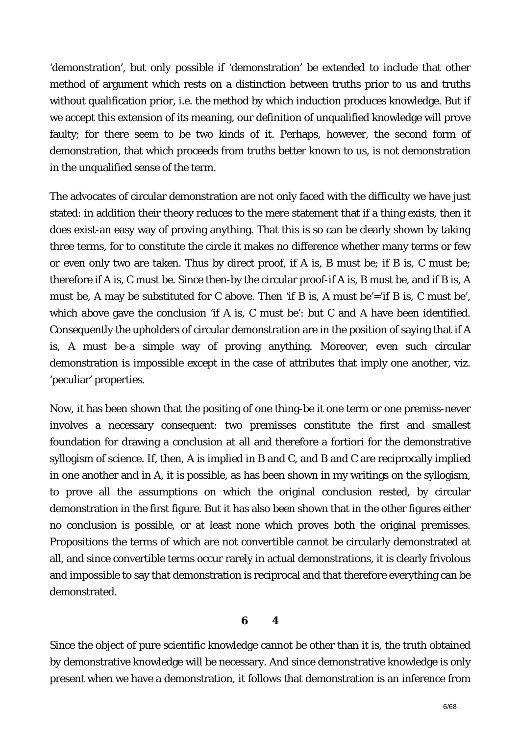'demonstration', but only possible if 'demonstration' be extended to include that other method of argument which rests on a distinction between truths prior to us and truths without qualification prior, i.e. the method by which induction produces knowledge. But if we accept this extension of its meaning, our definition of unqualified knowledge will prove faulty; for there seem to be two kinds of it. Perhaps, however, the second form of demonstration, that which proceeds from truths better known to us, is not demonstration in the unqualified sense of the term.

The advocates of circular demonstration are not only faced with the difficulty we have just stated: in addition their theory reduces to the mere statement that if a thing exists, then it does exist-an easy way of proving anything. That this is so can be clearly shown by taking three terms, for to constitute the circle it makes no difference whether many terms or few or even only two are taken. Thus by direct proof, if A is, B must be; if B is, C must be; therefore if A is, C must be. Since then-by the circular proof-if A is, B must be, and if B is, A must be, A may be substituted for C above. Then 'if B is, A must be'='if B is, C must be', which above gave the conclusion 'if A is, C must be': but C and A have been identified. Consequently the upholders of circular demonstration are in the position of saying that if A is, A must be-a simple way of proving anything. Moreover, even such circular demonstration is impossible except in the case of attributes that imply one another, viz. 'peculiar' properties.

Now, it has been shown that the positing of one thing-be it one term or one premiss-never involves a necessary consequent: two premisses constitute the first and smallest foundation for drawing a conclusion at all and therefore a fortiori for the demonstrative syllogism of science. If, then, A is implied in B and C, and B and C are reciprocally implied in one another and in A, it is possible, as has been shown in my writings on the syllogism, to prove all the assumptions on which the original conclusion rested, by circular demonstration in the first figure. But it has also been shown that in the other figures either no conclusion is possible, or at least none which proves both the original premisses. Propositions the terms of which are not convertible cannot be circularly demonstrated at all, and since convertible terms occur rarely in actual demonstrations, it is clearly frivolous and impossible to say that demonstration is reciprocal and that therefore everything can be demonstrated.

### **6 4**

Since the object of pure scientific knowledge cannot be other than it is, the truth obtained by demonstrative knowledge will be necessary. And since demonstrative knowledge is only present when we have a demonstration, it follows that demonstration is an inference from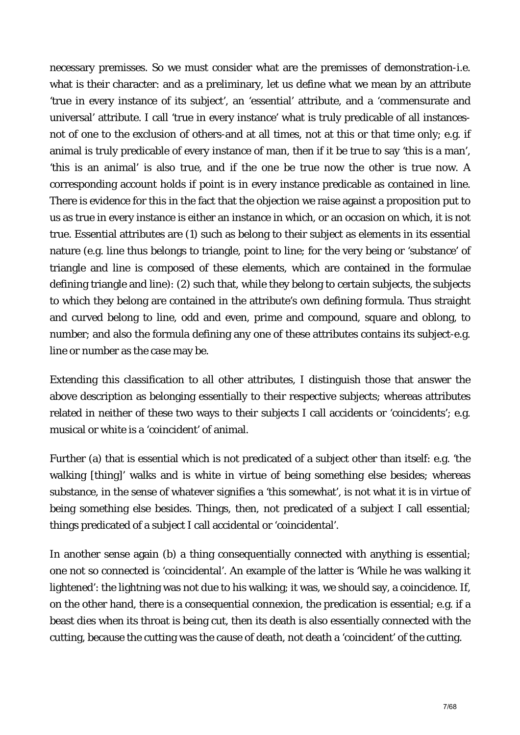necessary premisses. So we must consider what are the premisses of demonstration-i.e. what is their character: and as a preliminary, let us define what we mean by an attribute 'true in every instance of its subject', an 'essential' attribute, and a 'commensurate and universal' attribute. I call 'true in every instance' what is truly predicable of all instancesnot of one to the exclusion of others-and at all times, not at this or that time only; e.g. if animal is truly predicable of every instance of man, then if it be true to say 'this is a man', 'this is an animal' is also true, and if the one be true now the other is true now. A corresponding account holds if point is in every instance predicable as contained in line. There is evidence for this in the fact that the objection we raise against a proposition put to us as true in every instance is either an instance in which, or an occasion on which, it is not true. Essential attributes are (1) such as belong to their subject as elements in its essential nature (e.g. line thus belongs to triangle, point to line; for the very being or 'substance' of triangle and line is composed of these elements, which are contained in the formulae defining triangle and line): (2) such that, while they belong to certain subjects, the subjects to which they belong are contained in the attribute's own defining formula. Thus straight and curved belong to line, odd and even, prime and compound, square and oblong, to number; and also the formula defining any one of these attributes contains its subject-e.g. line or number as the case may be.

Extending this classification to all other attributes, I distinguish those that answer the above description as belonging essentially to their respective subjects; whereas attributes related in neither of these two ways to their subjects I call accidents or 'coincidents'; e.g. musical or white is a 'coincident' of animal.

Further (a) that is essential which is not predicated of a subject other than itself: e.g. 'the walking [thing]' walks and is white in virtue of being something else besides; whereas substance, in the sense of whatever signifies a 'this somewhat', is not what it is in virtue of being something else besides. Things, then, not predicated of a subject I call essential; things predicated of a subject I call accidental or 'coincidental'.

In another sense again (b) a thing consequentially connected with anything is essential; one not so connected is 'coincidental'. An example of the latter is 'While he was walking it lightened': the lightning was not due to his walking; it was, we should say, a coincidence. If, on the other hand, there is a consequential connexion, the predication is essential; e.g. if a beast dies when its throat is being cut, then its death is also essentially connected with the cutting, because the cutting was the cause of death, not death a 'coincident' of the cutting.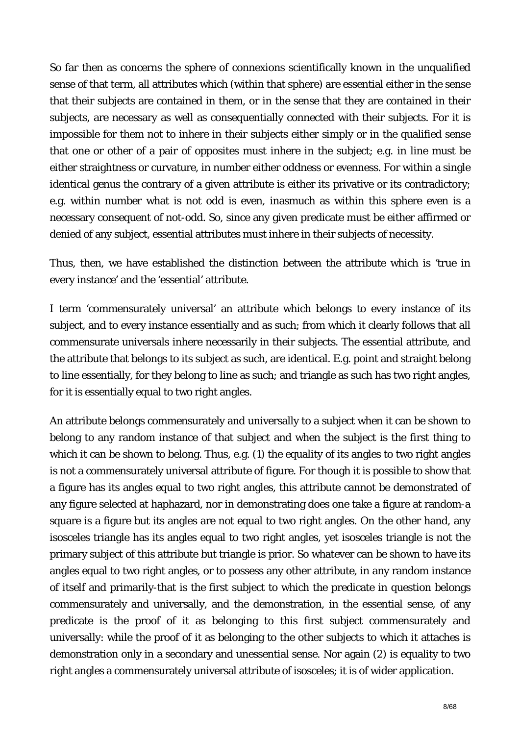So far then as concerns the sphere of connexions scientifically known in the unqualified sense of that term, all attributes which (within that sphere) are essential either in the sense that their subjects are contained in them, or in the sense that they are contained in their subjects, are necessary as well as consequentially connected with their subjects. For it is impossible for them not to inhere in their subjects either simply or in the qualified sense that one or other of a pair of opposites must inhere in the subject; e.g. in line must be either straightness or curvature, in number either oddness or evenness. For within a single identical genus the contrary of a given attribute is either its privative or its contradictory; e.g. within number what is not odd is even, inasmuch as within this sphere even is a necessary consequent of not-odd. So, since any given predicate must be either affirmed or denied of any subject, essential attributes must inhere in their subjects of necessity.

Thus, then, we have established the distinction between the attribute which is 'true in every instance' and the 'essential' attribute.

I term 'commensurately universal' an attribute which belongs to every instance of its subject, and to every instance essentially and as such; from which it clearly follows that all commensurate universals inhere necessarily in their subjects. The essential attribute, and the attribute that belongs to its subject as such, are identical. E.g. point and straight belong to line essentially, for they belong to line as such; and triangle as such has two right angles, for it is essentially equal to two right angles.

An attribute belongs commensurately and universally to a subject when it can be shown to belong to any random instance of that subject and when the subject is the first thing to which it can be shown to belong. Thus, e.g. (1) the equality of its angles to two right angles is not a commensurately universal attribute of figure. For though it is possible to show that a figure has its angles equal to two right angles, this attribute cannot be demonstrated of any figure selected at haphazard, nor in demonstrating does one take a figure at random-a square is a figure but its angles are not equal to two right angles. On the other hand, any isosceles triangle has its angles equal to two right angles, yet isosceles triangle is not the primary subject of this attribute but triangle is prior. So whatever can be shown to have its angles equal to two right angles, or to possess any other attribute, in any random instance of itself and primarily-that is the first subject to which the predicate in question belongs commensurately and universally, and the demonstration, in the essential sense, of any predicate is the proof of it as belonging to this first subject commensurately and universally: while the proof of it as belonging to the other subjects to which it attaches is demonstration only in a secondary and unessential sense. Nor again (2) is equality to two right angles a commensurately universal attribute of isosceles; it is of wider application.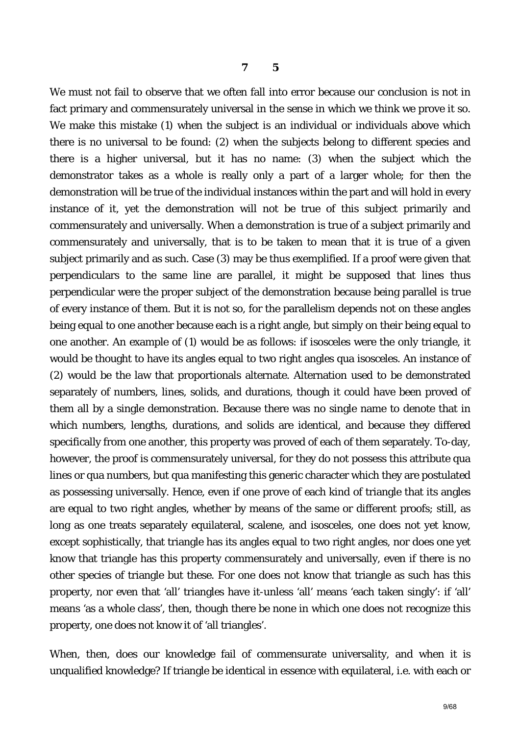We must not fail to observe that we often fall into error because our conclusion is not in fact primary and commensurately universal in the sense in which we think we prove it so. We make this mistake (1) when the subject is an individual or individuals above which there is no universal to be found: (2) when the subjects belong to different species and there is a higher universal, but it has no name: (3) when the subject which the demonstrator takes as a whole is really only a part of a larger whole; for then the demonstration will be true of the individual instances within the part and will hold in every instance of it, yet the demonstration will not be true of this subject primarily and commensurately and universally. When a demonstration is true of a subject primarily and commensurately and universally, that is to be taken to mean that it is true of a given subject primarily and as such. Case (3) may be thus exemplified. If a proof were given that perpendiculars to the same line are parallel, it might be supposed that lines thus perpendicular were the proper subject of the demonstration because being parallel is true of every instance of them. But it is not so, for the parallelism depends not on these angles being equal to one another because each is a right angle, but simply on their being equal to one another. An example of (1) would be as follows: if isosceles were the only triangle, it would be thought to have its angles equal to two right angles qua isosceles. An instance of (2) would be the law that proportionals alternate. Alternation used to be demonstrated separately of numbers, lines, solids, and durations, though it could have been proved of them all by a single demonstration. Because there was no single name to denote that in which numbers, lengths, durations, and solids are identical, and because they differed specifically from one another, this property was proved of each of them separately. To-day, however, the proof is commensurately universal, for they do not possess this attribute qua lines or qua numbers, but qua manifesting this generic character which they are postulated as possessing universally. Hence, even if one prove of each kind of triangle that its angles are equal to two right angles, whether by means of the same or different proofs; still, as long as one treats separately equilateral, scalene, and isosceles, one does not yet know, except sophistically, that triangle has its angles equal to two right angles, nor does one yet know that triangle has this property commensurately and universally, even if there is no other species of triangle but these. For one does not know that triangle as such has this property, nor even that 'all' triangles have it-unless 'all' means 'each taken singly': if 'all' means 'as a whole class', then, though there be none in which one does not recognize this property, one does not know it of 'all triangles'.

When, then, does our knowledge fail of commensurate universality, and when it is unqualified knowledge? If triangle be identical in essence with equilateral, i.e. with each or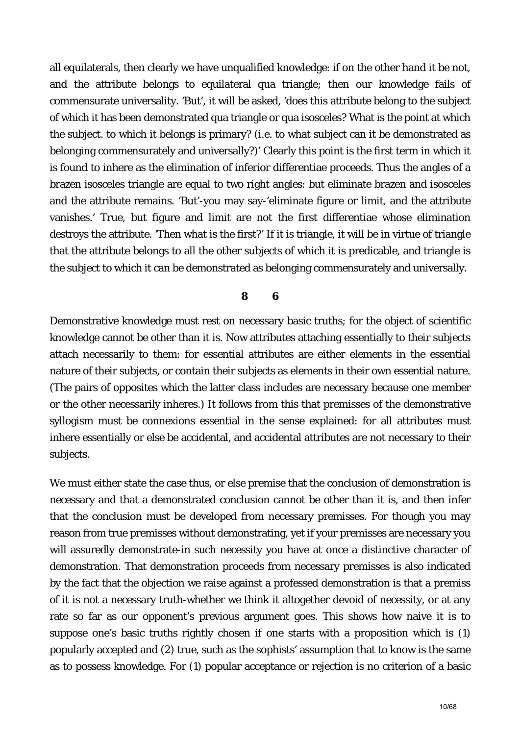all equilaterals, then clearly we have unqualified knowledge: if on the other hand it be not, and the attribute belongs to equilateral qua triangle; then our knowledge fails of commensurate universality. 'But', it will be asked, 'does this attribute belong to the subject of which it has been demonstrated qua triangle or qua isosceles? What is the point at which the subject. to which it belongs is primary? (i.e. to what subject can it be demonstrated as belonging commensurately and universally?)' Clearly this point is the first term in which it is found to inhere as the elimination of inferior differentiae proceeds. Thus the angles of a brazen isosceles triangle are equal to two right angles: but eliminate brazen and isosceles and the attribute remains. 'But'-you may say-'eliminate figure or limit, and the attribute vanishes.' True, but figure and limit are not the first differentiae whose elimination destroys the attribute. 'Then what is the first?' If it is triangle, it will be in virtue of triangle that the attribute belongs to all the other subjects of which it is predicable, and triangle is the subject to which it can be demonstrated as belonging commensurately and universally.

### **8 6**

Demonstrative knowledge must rest on necessary basic truths; for the object of scientific knowledge cannot be other than it is. Now attributes attaching essentially to their subjects attach necessarily to them: for essential attributes are either elements in the essential nature of their subjects, or contain their subjects as elements in their own essential nature. (The pairs of opposites which the latter class includes are necessary because one member or the other necessarily inheres.) It follows from this that premisses of the demonstrative syllogism must be connexions essential in the sense explained: for all attributes must inhere essentially or else be accidental, and accidental attributes are not necessary to their subjects.

We must either state the case thus, or else premise that the conclusion of demonstration is necessary and that a demonstrated conclusion cannot be other than it is, and then infer that the conclusion must be developed from necessary premisses. For though you may reason from true premisses without demonstrating, yet if your premisses are necessary you will assuredly demonstrate-in such necessity you have at once a distinctive character of demonstration. That demonstration proceeds from necessary premisses is also indicated by the fact that the objection we raise against a professed demonstration is that a premiss of it is not a necessary truth-whether we think it altogether devoid of necessity, or at any rate so far as our opponent's previous argument goes. This shows how naive it is to suppose one's basic truths rightly chosen if one starts with a proposition which is (1) popularly accepted and (2) true, such as the sophists' assumption that to know is the same as to possess knowledge. For (1) popular acceptance or rejection is no criterion of a basic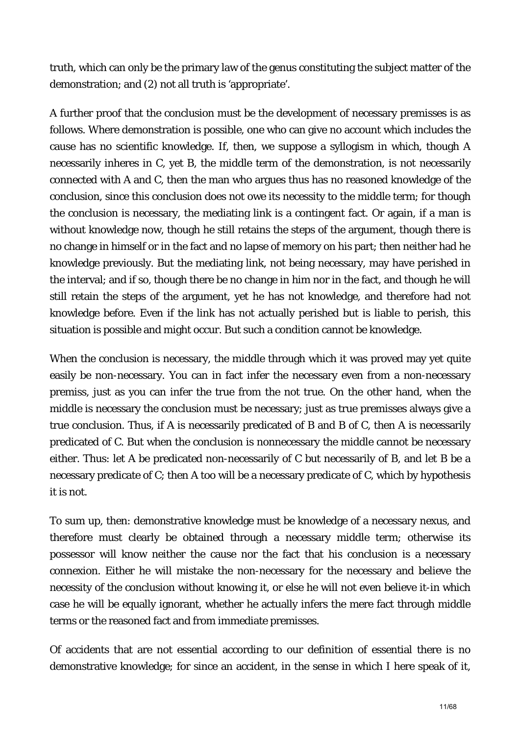truth, which can only be the primary law of the genus constituting the subject matter of the demonstration; and (2) not all truth is 'appropriate'.

A further proof that the conclusion must be the development of necessary premisses is as follows. Where demonstration is possible, one who can give no account which includes the cause has no scientific knowledge. If, then, we suppose a syllogism in which, though A necessarily inheres in C, yet B, the middle term of the demonstration, is not necessarily connected with A and C, then the man who argues thus has no reasoned knowledge of the conclusion, since this conclusion does not owe its necessity to the middle term; for though the conclusion is necessary, the mediating link is a contingent fact. Or again, if a man is without knowledge now, though he still retains the steps of the argument, though there is no change in himself or in the fact and no lapse of memory on his part; then neither had he knowledge previously. But the mediating link, not being necessary, may have perished in the interval; and if so, though there be no change in him nor in the fact, and though he will still retain the steps of the argument, yet he has not knowledge, and therefore had not knowledge before. Even if the link has not actually perished but is liable to perish, this situation is possible and might occur. But such a condition cannot be knowledge.

When the conclusion is necessary, the middle through which it was proved may yet quite easily be non-necessary. You can in fact infer the necessary even from a non-necessary premiss, just as you can infer the true from the not true. On the other hand, when the middle is necessary the conclusion must be necessary; just as true premisses always give a true conclusion. Thus, if A is necessarily predicated of B and B of C, then A is necessarily predicated of C. But when the conclusion is nonnecessary the middle cannot be necessary either. Thus: let A be predicated non-necessarily of C but necessarily of B, and let B be a necessary predicate of C; then A too will be a necessary predicate of C, which by hypothesis it is not.

To sum up, then: demonstrative knowledge must be knowledge of a necessary nexus, and therefore must clearly be obtained through a necessary middle term; otherwise its possessor will know neither the cause nor the fact that his conclusion is a necessary connexion. Either he will mistake the non-necessary for the necessary and believe the necessity of the conclusion without knowing it, or else he will not even believe it-in which case he will be equally ignorant, whether he actually infers the mere fact through middle terms or the reasoned fact and from immediate premisses.

Of accidents that are not essential according to our definition of essential there is no demonstrative knowledge; for since an accident, in the sense in which I here speak of it,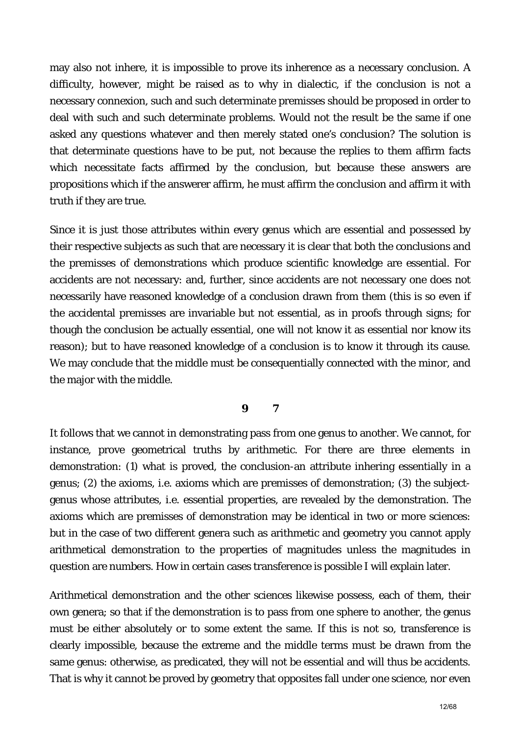may also not inhere, it is impossible to prove its inherence as a necessary conclusion. A difficulty, however, might be raised as to why in dialectic, if the conclusion is not a necessary connexion, such and such determinate premisses should be proposed in order to deal with such and such determinate problems. Would not the result be the same if one asked any questions whatever and then merely stated one's conclusion? The solution is that determinate questions have to be put, not because the replies to them affirm facts which necessitate facts affirmed by the conclusion, but because these answers are propositions which if the answerer affirm, he must affirm the conclusion and affirm it with truth if they are true.

Since it is just those attributes within every genus which are essential and possessed by their respective subjects as such that are necessary it is clear that both the conclusions and the premisses of demonstrations which produce scientific knowledge are essential. For accidents are not necessary: and, further, since accidents are not necessary one does not necessarily have reasoned knowledge of a conclusion drawn from them (this is so even if the accidental premisses are invariable but not essential, as in proofs through signs; for though the conclusion be actually essential, one will not know it as essential nor know its reason); but to have reasoned knowledge of a conclusion is to know it through its cause. We may conclude that the middle must be consequentially connected with the minor, and the major with the middle.

### **9 7**

It follows that we cannot in demonstrating pass from one genus to another. We cannot, for instance, prove geometrical truths by arithmetic. For there are three elements in demonstration: (1) what is proved, the conclusion-an attribute inhering essentially in a genus; (2) the axioms, i.e. axioms which are premisses of demonstration; (3) the subjectgenus whose attributes, i.e. essential properties, are revealed by the demonstration. The axioms which are premisses of demonstration may be identical in two or more sciences: but in the case of two different genera such as arithmetic and geometry you cannot apply arithmetical demonstration to the properties of magnitudes unless the magnitudes in question are numbers. How in certain cases transference is possible I will explain later.

Arithmetical demonstration and the other sciences likewise possess, each of them, their own genera; so that if the demonstration is to pass from one sphere to another, the genus must be either absolutely or to some extent the same. If this is not so, transference is clearly impossible, because the extreme and the middle terms must be drawn from the same genus: otherwise, as predicated, they will not be essential and will thus be accidents. That is why it cannot be proved by geometry that opposites fall under one science, nor even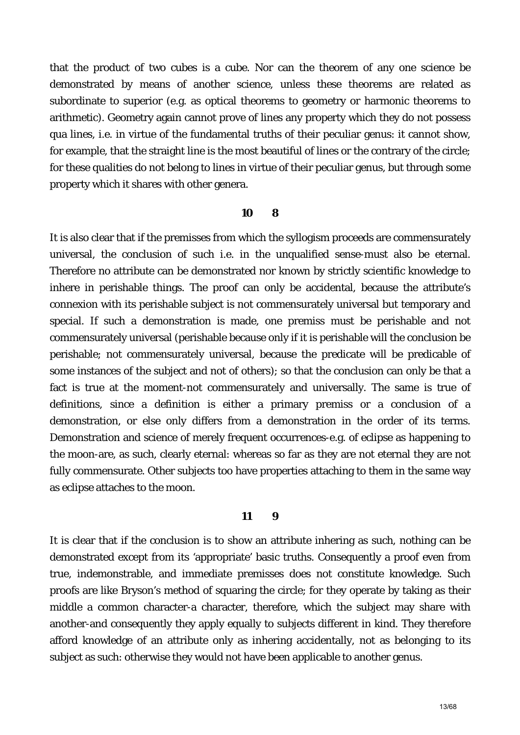that the product of two cubes is a cube. Nor can the theorem of any one science be demonstrated by means of another science, unless these theorems are related as subordinate to superior (e.g. as optical theorems to geometry or harmonic theorems to arithmetic). Geometry again cannot prove of lines any property which they do not possess qua lines, i.e. in virtue of the fundamental truths of their peculiar genus: it cannot show, for example, that the straight line is the most beautiful of lines or the contrary of the circle; for these qualities do not belong to lines in virtue of their peculiar genus, but through some property which it shares with other genera.

#### **10 8**

It is also clear that if the premisses from which the syllogism proceeds are commensurately universal, the conclusion of such i.e. in the unqualified sense-must also be eternal. Therefore no attribute can be demonstrated nor known by strictly scientific knowledge to inhere in perishable things. The proof can only be accidental, because the attribute's connexion with its perishable subject is not commensurately universal but temporary and special. If such a demonstration is made, one premiss must be perishable and not commensurately universal (perishable because only if it is perishable will the conclusion be perishable; not commensurately universal, because the predicate will be predicable of some instances of the subject and not of others); so that the conclusion can only be that a fact is true at the moment-not commensurately and universally. The same is true of definitions, since a definition is either a primary premiss or a conclusion of a demonstration, or else only differs from a demonstration in the order of its terms. Demonstration and science of merely frequent occurrences-e.g. of eclipse as happening to the moon-are, as such, clearly eternal: whereas so far as they are not eternal they are not fully commensurate. Other subjects too have properties attaching to them in the same way as eclipse attaches to the moon.

#### **11 9**

It is clear that if the conclusion is to show an attribute inhering as such, nothing can be demonstrated except from its 'appropriate' basic truths. Consequently a proof even from true, indemonstrable, and immediate premisses does not constitute knowledge. Such proofs are like Bryson's method of squaring the circle; for they operate by taking as their middle a common character-a character, therefore, which the subject may share with another-and consequently they apply equally to subjects different in kind. They therefore afford knowledge of an attribute only as inhering accidentally, not as belonging to its subject as such: otherwise they would not have been applicable to another genus.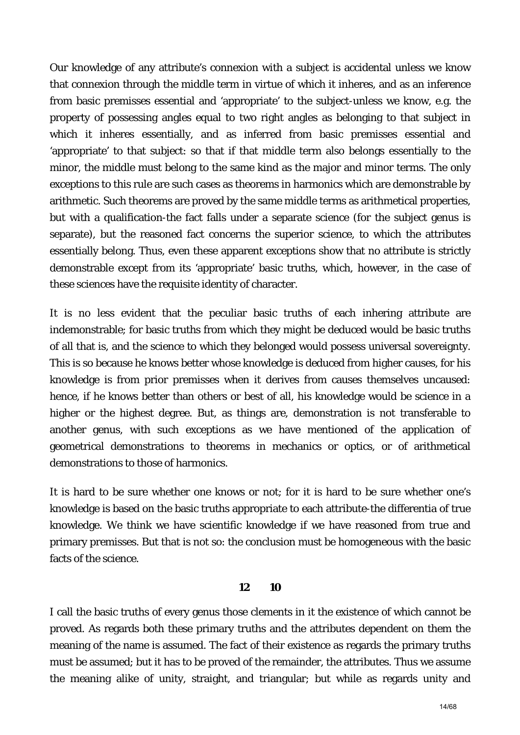Our knowledge of any attribute's connexion with a subject is accidental unless we know that connexion through the middle term in virtue of which it inheres, and as an inference from basic premisses essential and 'appropriate' to the subject-unless we know, e.g. the property of possessing angles equal to two right angles as belonging to that subject in which it inheres essentially, and as inferred from basic premisses essential and 'appropriate' to that subject: so that if that middle term also belongs essentially to the minor, the middle must belong to the same kind as the major and minor terms. The only exceptions to this rule are such cases as theorems in harmonics which are demonstrable by arithmetic. Such theorems are proved by the same middle terms as arithmetical properties, but with a qualification-the fact falls under a separate science (for the subject genus is separate), but the reasoned fact concerns the superior science, to which the attributes essentially belong. Thus, even these apparent exceptions show that no attribute is strictly demonstrable except from its 'appropriate' basic truths, which, however, in the case of these sciences have the requisite identity of character.

It is no less evident that the peculiar basic truths of each inhering attribute are indemonstrable; for basic truths from which they might be deduced would be basic truths of all that is, and the science to which they belonged would possess universal sovereignty. This is so because he knows better whose knowledge is deduced from higher causes, for his knowledge is from prior premisses when it derives from causes themselves uncaused: hence, if he knows better than others or best of all, his knowledge would be science in a higher or the highest degree. But, as things are, demonstration is not transferable to another genus, with such exceptions as we have mentioned of the application of geometrical demonstrations to theorems in mechanics or optics, or of arithmetical demonstrations to those of harmonics.

It is hard to be sure whether one knows or not; for it is hard to be sure whether one's knowledge is based on the basic truths appropriate to each attribute-the differentia of true knowledge. We think we have scientific knowledge if we have reasoned from true and primary premisses. But that is not so: the conclusion must be homogeneous with the basic facts of the science.

### **12 10**

I call the basic truths of every genus those clements in it the existence of which cannot be proved. As regards both these primary truths and the attributes dependent on them the meaning of the name is assumed. The fact of their existence as regards the primary truths must be assumed; but it has to be proved of the remainder, the attributes. Thus we assume the meaning alike of unity, straight, and triangular; but while as regards unity and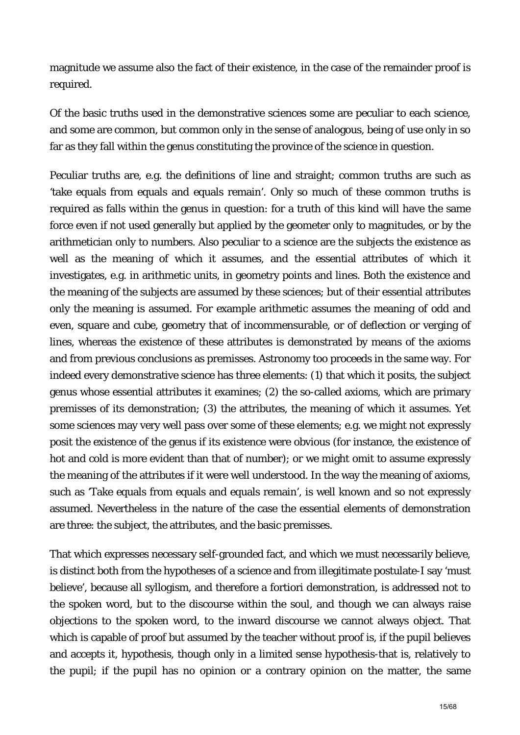magnitude we assume also the fact of their existence, in the case of the remainder proof is required.

Of the basic truths used in the demonstrative sciences some are peculiar to each science, and some are common, but common only in the sense of analogous, being of use only in so far as they fall within the genus constituting the province of the science in question.

Peculiar truths are, e.g. the definitions of line and straight; common truths are such as 'take equals from equals and equals remain'. Only so much of these common truths is required as falls within the genus in question: for a truth of this kind will have the same force even if not used generally but applied by the geometer only to magnitudes, or by the arithmetician only to numbers. Also peculiar to a science are the subjects the existence as well as the meaning of which it assumes, and the essential attributes of which it investigates, e.g. in arithmetic units, in geometry points and lines. Both the existence and the meaning of the subjects are assumed by these sciences; but of their essential attributes only the meaning is assumed. For example arithmetic assumes the meaning of odd and even, square and cube, geometry that of incommensurable, or of deflection or verging of lines, whereas the existence of these attributes is demonstrated by means of the axioms and from previous conclusions as premisses. Astronomy too proceeds in the same way. For indeed every demonstrative science has three elements: (1) that which it posits, the subject genus whose essential attributes it examines; (2) the so-called axioms, which are primary premisses of its demonstration; (3) the attributes, the meaning of which it assumes. Yet some sciences may very well pass over some of these elements; e.g. we might not expressly posit the existence of the genus if its existence were obvious (for instance, the existence of hot and cold is more evident than that of number); or we might omit to assume expressly the meaning of the attributes if it were well understood. In the way the meaning of axioms, such as 'Take equals from equals and equals remain', is well known and so not expressly assumed. Nevertheless in the nature of the case the essential elements of demonstration are three: the subject, the attributes, and the basic premisses.

That which expresses necessary self-grounded fact, and which we must necessarily believe, is distinct both from the hypotheses of a science and from illegitimate postulate-I say 'must believe', because all syllogism, and therefore a fortiori demonstration, is addressed not to the spoken word, but to the discourse within the soul, and though we can always raise objections to the spoken word, to the inward discourse we cannot always object. That which is capable of proof but assumed by the teacher without proof is, if the pupil believes and accepts it, hypothesis, though only in a limited sense hypothesis-that is, relatively to the pupil; if the pupil has no opinion or a contrary opinion on the matter, the same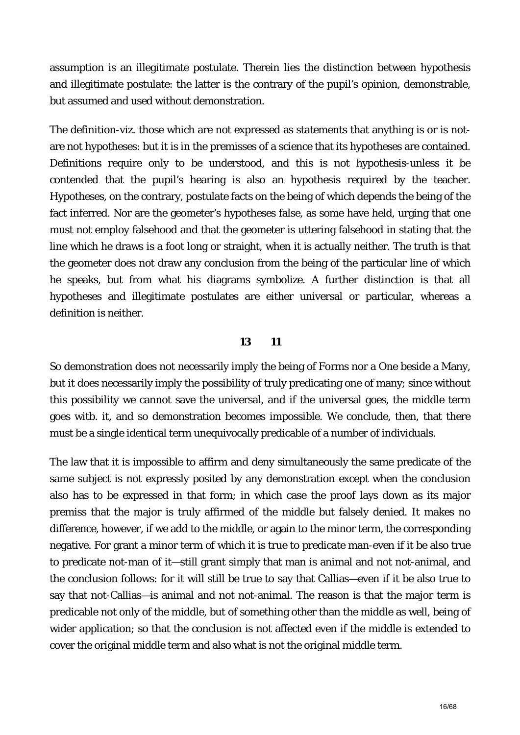assumption is an illegitimate postulate. Therein lies the distinction between hypothesis and illegitimate postulate: the latter is the contrary of the pupil's opinion, demonstrable, but assumed and used without demonstration.

The definition-viz. those which are not expressed as statements that anything is or is notare not hypotheses: but it is in the premisses of a science that its hypotheses are contained. Definitions require only to be understood, and this is not hypothesis-unless it be contended that the pupil's hearing is also an hypothesis required by the teacher. Hypotheses, on the contrary, postulate facts on the being of which depends the being of the fact inferred. Nor are the geometer's hypotheses false, as some have held, urging that one must not employ falsehood and that the geometer is uttering falsehood in stating that the line which he draws is a foot long or straight, when it is actually neither. The truth is that the geometer does not draw any conclusion from the being of the particular line of which he speaks, but from what his diagrams symbolize. A further distinction is that all hypotheses and illegitimate postulates are either universal or particular, whereas a definition is neither.

### **13 11**

So demonstration does not necessarily imply the being of Forms nor a One beside a Many, but it does necessarily imply the possibility of truly predicating one of many; since without this possibility we cannot save the universal, and if the universal goes, the middle term goes witb. it, and so demonstration becomes impossible. We conclude, then, that there must be a single identical term unequivocally predicable of a number of individuals.

The law that it is impossible to affirm and deny simultaneously the same predicate of the same subject is not expressly posited by any demonstration except when the conclusion also has to be expressed in that form; in which case the proof lays down as its major premiss that the major is truly affirmed of the middle but falsely denied. It makes no difference, however, if we add to the middle, or again to the minor term, the corresponding negative. For grant a minor term of which it is true to predicate man-even if it be also true to predicate not-man of it—still grant simply that man is animal and not not-animal, and the conclusion follows: for it will still be true to say that Callias—even if it be also true to say that not-Callias—is animal and not not-animal. The reason is that the major term is predicable not only of the middle, but of something other than the middle as well, being of wider application; so that the conclusion is not affected even if the middle is extended to cover the original middle term and also what is not the original middle term.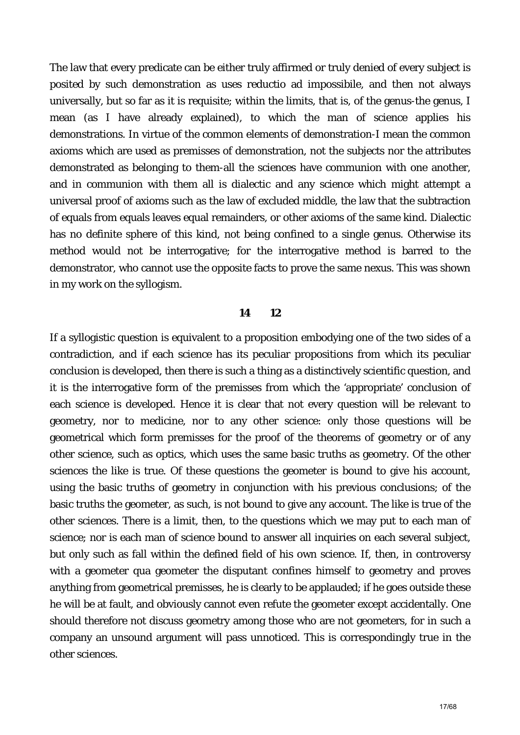The law that every predicate can be either truly affirmed or truly denied of every subject is posited by such demonstration as uses reductio ad impossibile, and then not always universally, but so far as it is requisite; within the limits, that is, of the genus-the genus, I mean (as I have already explained), to which the man of science applies his demonstrations. In virtue of the common elements of demonstration-I mean the common axioms which are used as premisses of demonstration, not the subjects nor the attributes demonstrated as belonging to them-all the sciences have communion with one another, and in communion with them all is dialectic and any science which might attempt a universal proof of axioms such as the law of excluded middle, the law that the subtraction of equals from equals leaves equal remainders, or other axioms of the same kind. Dialectic has no definite sphere of this kind, not being confined to a single genus. Otherwise its method would not be interrogative; for the interrogative method is barred to the demonstrator, who cannot use the opposite facts to prove the same nexus. This was shown in my work on the syllogism.

### **14 12**

If a syllogistic question is equivalent to a proposition embodying one of the two sides of a contradiction, and if each science has its peculiar propositions from which its peculiar conclusion is developed, then there is such a thing as a distinctively scientific question, and it is the interrogative form of the premisses from which the 'appropriate' conclusion of each science is developed. Hence it is clear that not every question will be relevant to geometry, nor to medicine, nor to any other science: only those questions will be geometrical which form premisses for the proof of the theorems of geometry or of any other science, such as optics, which uses the same basic truths as geometry. Of the other sciences the like is true. Of these questions the geometer is bound to give his account, using the basic truths of geometry in conjunction with his previous conclusions; of the basic truths the geometer, as such, is not bound to give any account. The like is true of the other sciences. There is a limit, then, to the questions which we may put to each man of science; nor is each man of science bound to answer all inquiries on each several subject, but only such as fall within the defined field of his own science. If, then, in controversy with a geometer qua geometer the disputant confines himself to geometry and proves anything from geometrical premisses, he is clearly to be applauded; if he goes outside these he will be at fault, and obviously cannot even refute the geometer except accidentally. One should therefore not discuss geometry among those who are not geometers, for in such a company an unsound argument will pass unnoticed. This is correspondingly true in the other sciences.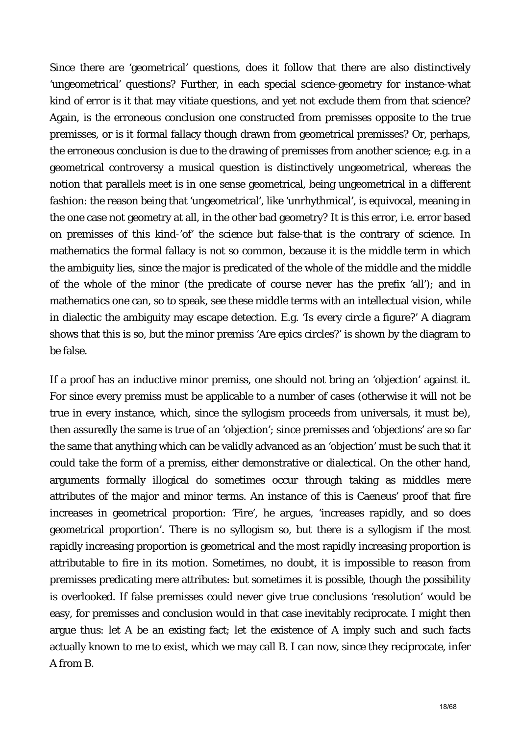Since there are 'geometrical' questions, does it follow that there are also distinctively 'ungeometrical' questions? Further, in each special science-geometry for instance-what kind of error is it that may vitiate questions, and yet not exclude them from that science? Again, is the erroneous conclusion one constructed from premisses opposite to the true premisses, or is it formal fallacy though drawn from geometrical premisses? Or, perhaps, the erroneous conclusion is due to the drawing of premisses from another science; e.g. in a geometrical controversy a musical question is distinctively ungeometrical, whereas the notion that parallels meet is in one sense geometrical, being ungeometrical in a different fashion: the reason being that 'ungeometrical', like 'unrhythmical', is equivocal, meaning in the one case not geometry at all, in the other bad geometry? It is this error, i.e. error based on premisses of this kind-'of' the science but false-that is the contrary of science. In mathematics the formal fallacy is not so common, because it is the middle term in which the ambiguity lies, since the major is predicated of the whole of the middle and the middle of the whole of the minor (the predicate of course never has the prefix 'all'); and in mathematics one can, so to speak, see these middle terms with an intellectual vision, while in dialectic the ambiguity may escape detection. E.g. 'Is every circle a figure?' A diagram shows that this is so, but the minor premiss 'Are epics circles?' is shown by the diagram to be false.

If a proof has an inductive minor premiss, one should not bring an 'objection' against it. For since every premiss must be applicable to a number of cases (otherwise it will not be true in every instance, which, since the syllogism proceeds from universals, it must be), then assuredly the same is true of an 'objection'; since premisses and 'objections' are so far the same that anything which can be validly advanced as an 'objection' must be such that it could take the form of a premiss, either demonstrative or dialectical. On the other hand, arguments formally illogical do sometimes occur through taking as middles mere attributes of the major and minor terms. An instance of this is Caeneus' proof that fire increases in geometrical proportion: 'Fire', he argues, 'increases rapidly, and so does geometrical proportion'. There is no syllogism so, but there is a syllogism if the most rapidly increasing proportion is geometrical and the most rapidly increasing proportion is attributable to fire in its motion. Sometimes, no doubt, it is impossible to reason from premisses predicating mere attributes: but sometimes it is possible, though the possibility is overlooked. If false premisses could never give true conclusions 'resolution' would be easy, for premisses and conclusion would in that case inevitably reciprocate. I might then argue thus: let A be an existing fact; let the existence of A imply such and such facts actually known to me to exist, which we may call B. I can now, since they reciprocate, infer A from B.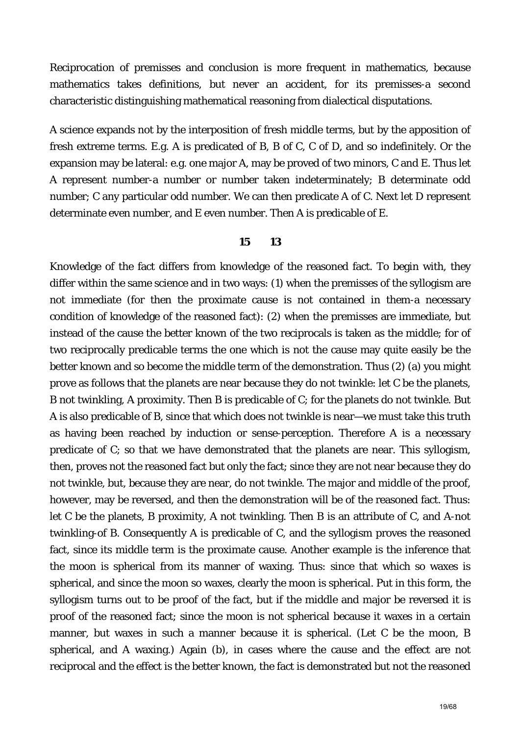Reciprocation of premisses and conclusion is more frequent in mathematics, because mathematics takes definitions, but never an accident, for its premisses-a second characteristic distinguishing mathematical reasoning from dialectical disputations.

A science expands not by the interposition of fresh middle terms, but by the apposition of fresh extreme terms. E.g. A is predicated of B, B of C, C of D, and so indefinitely. Or the expansion may be lateral: e.g. one major A, may be proved of two minors, C and E. Thus let A represent number-a number or number taken indeterminately; B determinate odd number; C any particular odd number. We can then predicate A of C. Next let D represent determinate even number, and E even number. Then A is predicable of E.

#### **15 13**

Knowledge of the fact differs from knowledge of the reasoned fact. To begin with, they differ within the same science and in two ways: (1) when the premisses of the syllogism are not immediate (for then the proximate cause is not contained in them-a necessary condition of knowledge of the reasoned fact): (2) when the premisses are immediate, but instead of the cause the better known of the two reciprocals is taken as the middle; for of two reciprocally predicable terms the one which is not the cause may quite easily be the better known and so become the middle term of the demonstration. Thus (2) (a) you might prove as follows that the planets are near because they do not twinkle: let C be the planets, B not twinkling, A proximity. Then B is predicable of C; for the planets do not twinkle. But A is also predicable of B, since that which does not twinkle is near—we must take this truth as having been reached by induction or sense-perception. Therefore A is a necessary predicate of C; so that we have demonstrated that the planets are near. This syllogism, then, proves not the reasoned fact but only the fact; since they are not near because they do not twinkle, but, because they are near, do not twinkle. The major and middle of the proof, however, may be reversed, and then the demonstration will be of the reasoned fact. Thus: let C be the planets, B proximity, A not twinkling. Then B is an attribute of C, and A-not twinkling-of B. Consequently A is predicable of C, and the syllogism proves the reasoned fact, since its middle term is the proximate cause. Another example is the inference that the moon is spherical from its manner of waxing. Thus: since that which so waxes is spherical, and since the moon so waxes, clearly the moon is spherical. Put in this form, the syllogism turns out to be proof of the fact, but if the middle and major be reversed it is proof of the reasoned fact; since the moon is not spherical because it waxes in a certain manner, but waxes in such a manner because it is spherical. (Let C be the moon, B spherical, and A waxing.) Again (b), in cases where the cause and the effect are not reciprocal and the effect is the better known, the fact is demonstrated but not the reasoned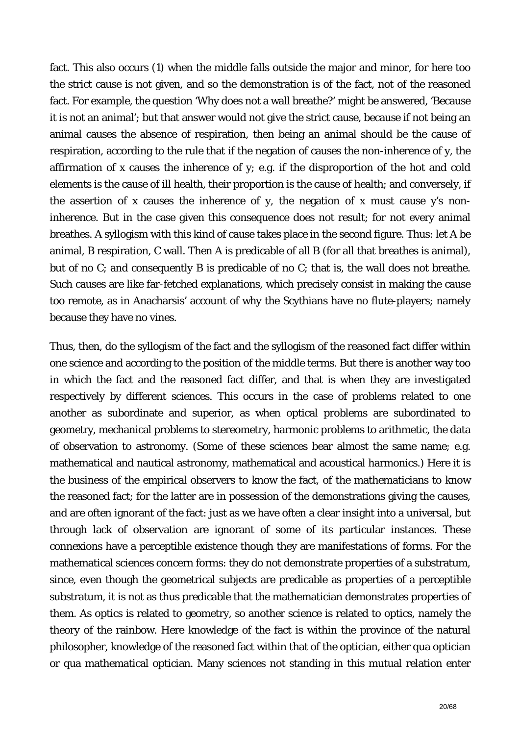fact. This also occurs (1) when the middle falls outside the major and minor, for here too the strict cause is not given, and so the demonstration is of the fact, not of the reasoned fact. For example, the question 'Why does not a wall breathe?' might be answered, 'Because it is not an animal'; but that answer would not give the strict cause, because if not being an animal causes the absence of respiration, then being an animal should be the cause of respiration, according to the rule that if the negation of causes the non-inherence of y, the affirmation of x causes the inherence of y; e.g. if the disproportion of the hot and cold elements is the cause of ill health, their proportion is the cause of health; and conversely, if the assertion of x causes the inherence of y, the negation of x must cause y's noninherence. But in the case given this consequence does not result; for not every animal breathes. A syllogism with this kind of cause takes place in the second figure. Thus: let A be animal, B respiration, C wall. Then A is predicable of all B (for all that breathes is animal), but of no C; and consequently B is predicable of no C; that is, the wall does not breathe. Such causes are like far-fetched explanations, which precisely consist in making the cause too remote, as in Anacharsis' account of why the Scythians have no flute-players; namely because they have no vines.

Thus, then, do the syllogism of the fact and the syllogism of the reasoned fact differ within one science and according to the position of the middle terms. But there is another way too in which the fact and the reasoned fact differ, and that is when they are investigated respectively by different sciences. This occurs in the case of problems related to one another as subordinate and superior, as when optical problems are subordinated to geometry, mechanical problems to stereometry, harmonic problems to arithmetic, the data of observation to astronomy. (Some of these sciences bear almost the same name; e.g. mathematical and nautical astronomy, mathematical and acoustical harmonics.) Here it is the business of the empirical observers to know the fact, of the mathematicians to know the reasoned fact; for the latter are in possession of the demonstrations giving the causes, and are often ignorant of the fact: just as we have often a clear insight into a universal, but through lack of observation are ignorant of some of its particular instances. These connexions have a perceptible existence though they are manifestations of forms. For the mathematical sciences concern forms: they do not demonstrate properties of a substratum, since, even though the geometrical subjects are predicable as properties of a perceptible substratum, it is not as thus predicable that the mathematician demonstrates properties of them. As optics is related to geometry, so another science is related to optics, namely the theory of the rainbow. Here knowledge of the fact is within the province of the natural philosopher, knowledge of the reasoned fact within that of the optician, either qua optician or qua mathematical optician. Many sciences not standing in this mutual relation enter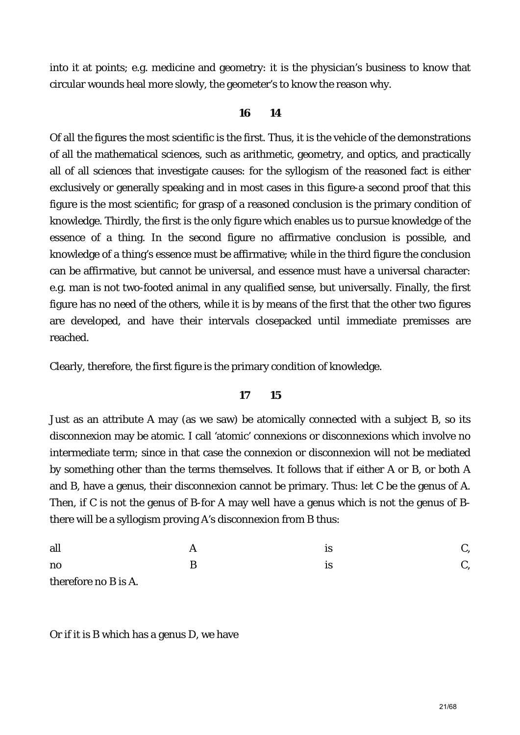into it at points; e.g. medicine and geometry: it is the physician's business to know that circular wounds heal more slowly, the geometer's to know the reason why.

### **16 14**

Of all the figures the most scientific is the first. Thus, it is the vehicle of the demonstrations of all the mathematical sciences, such as arithmetic, geometry, and optics, and practically all of all sciences that investigate causes: for the syllogism of the reasoned fact is either exclusively or generally speaking and in most cases in this figure-a second proof that this figure is the most scientific; for grasp of a reasoned conclusion is the primary condition of knowledge. Thirdly, the first is the only figure which enables us to pursue knowledge of the essence of a thing. In the second figure no affirmative conclusion is possible, and knowledge of a thing's essence must be affirmative; while in the third figure the conclusion can be affirmative, but cannot be universal, and essence must have a universal character: e.g. man is not two-footed animal in any qualified sense, but universally. Finally, the first figure has no need of the others, while it is by means of the first that the other two figures are developed, and have their intervals closepacked until immediate premisses are reached.

Clearly, therefore, the first figure is the primary condition of knowledge.

#### **17 15**

Just as an attribute A may (as we saw) be atomically connected with a subject B, so its disconnexion may be atomic. I call 'atomic' connexions or disconnexions which involve no intermediate term; since in that case the connexion or disconnexion will not be mediated by something other than the terms themselves. It follows that if either A or B, or both A and B, have a genus, their disconnexion cannot be primary. Thus: let C be the genus of A. Then, if C is not the genus of B-for A may well have a genus which is not the genus of Bthere will be a syllogism proving A's disconnexion from B thus:

| all                  | æ |                    |
|----------------------|---|--------------------|
| no                   | ю | $\mathbf{C}$<br>U. |
| therefore no B is A. |   |                    |

### Or if it is B which has a genus D, we have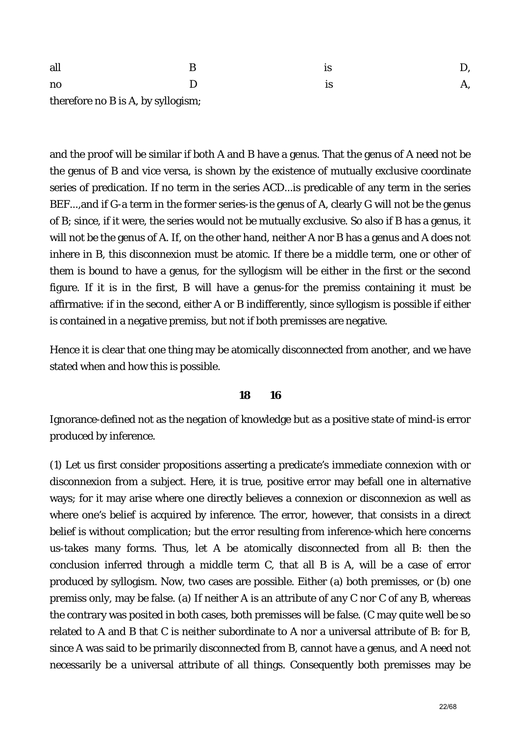| all |                                                                                                                                                                                                                                                                                                  | is | D, |
|-----|--------------------------------------------------------------------------------------------------------------------------------------------------------------------------------------------------------------------------------------------------------------------------------------------------|----|----|
| no  |                                                                                                                                                                                                                                                                                                  | is | A, |
|     | $\mathbf{A}$ and $\mathbf{B}$ and $\mathbf{B}$ and $\mathbf{B}$ and $\mathbf{B}$ and $\mathbf{B}$ and $\mathbf{B}$ and $\mathbf{B}$ and $\mathbf{B}$ and $\mathbf{B}$ and $\mathbf{B}$ and $\mathbf{B}$ and $\mathbf{B}$ and $\mathbf{B}$ and $\mathbf{B}$ and $\mathbf{B}$ and $\mathbf{B}$ and |    |    |

therefore no B is A, by syllogism;

and the proof will be similar if both A and B have a genus. That the genus of A need not be the genus of B and vice versa, is shown by the existence of mutually exclusive coordinate series of predication. If no term in the series ACD...is predicable of any term in the series BEF...,and if G-a term in the former series-is the genus of A, clearly G will not be the genus of B; since, if it were, the series would not be mutually exclusive. So also if B has a genus, it will not be the genus of A. If, on the other hand, neither A nor B has a genus and A does not inhere in B, this disconnexion must be atomic. If there be a middle term, one or other of them is bound to have a genus, for the syllogism will be either in the first or the second figure. If it is in the first, B will have a genus-for the premiss containing it must be affirmative: if in the second, either A or B indifferently, since syllogism is possible if either is contained in a negative premiss, but not if both premisses are negative.

Hence it is clear that one thing may be atomically disconnected from another, and we have stated when and how this is possible.

### **18 16**

Ignorance-defined not as the negation of knowledge but as a positive state of mind-is error produced by inference.

(1) Let us first consider propositions asserting a predicate's immediate connexion with or disconnexion from a subject. Here, it is true, positive error may befall one in alternative ways; for it may arise where one directly believes a connexion or disconnexion as well as where one's belief is acquired by inference. The error, however, that consists in a direct belief is without complication; but the error resulting from inference-which here concerns us-takes many forms. Thus, let A be atomically disconnected from all B: then the conclusion inferred through a middle term C, that all B is A, will be a case of error produced by syllogism. Now, two cases are possible. Either (a) both premisses, or (b) one premiss only, may be false. (a) If neither A is an attribute of any C nor C of any B, whereas the contrary was posited in both cases, both premisses will be false. (C may quite well be so related to A and B that C is neither subordinate to A nor a universal attribute of B: for B, since A was said to be primarily disconnected from B, cannot have a genus, and A need not necessarily be a universal attribute of all things. Consequently both premisses may be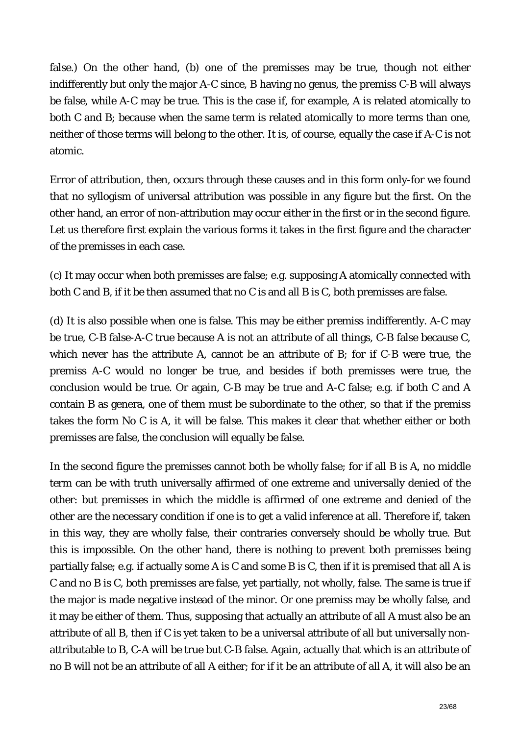false.) On the other hand, (b) one of the premisses may be true, though not either indifferently but only the major A-C since, B having no genus, the premiss C-B will always be false, while A-C may be true. This is the case if, for example, A is related atomically to both C and B; because when the same term is related atomically to more terms than one, neither of those terms will belong to the other. It is, of course, equally the case if A-C is not atomic.

Error of attribution, then, occurs through these causes and in this form only-for we found that no syllogism of universal attribution was possible in any figure but the first. On the other hand, an error of non-attribution may occur either in the first or in the second figure. Let us therefore first explain the various forms it takes in the first figure and the character of the premisses in each case.

(c) It may occur when both premisses are false; e.g. supposing A atomically connected with both C and B, if it be then assumed that no C is and all B is C, both premisses are false.

(d) It is also possible when one is false. This may be either premiss indifferently. A-C may be true, C-B false-A-C true because A is not an attribute of all things, C-B false because C, which never has the attribute A, cannot be an attribute of B; for if C-B were true, the premiss A-C would no longer be true, and besides if both premisses were true, the conclusion would be true. Or again, C-B may be true and A-C false; e.g. if both C and A contain B as genera, one of them must be subordinate to the other, so that if the premiss takes the form No C is A, it will be false. This makes it clear that whether either or both premisses are false, the conclusion will equally be false.

In the second figure the premisses cannot both be wholly false; for if all B is A, no middle term can be with truth universally affirmed of one extreme and universally denied of the other: but premisses in which the middle is affirmed of one extreme and denied of the other are the necessary condition if one is to get a valid inference at all. Therefore if, taken in this way, they are wholly false, their contraries conversely should be wholly true. But this is impossible. On the other hand, there is nothing to prevent both premisses being partially false; e.g. if actually some A is C and some B is C, then if it is premised that all A is C and no B is C, both premisses are false, yet partially, not wholly, false. The same is true if the major is made negative instead of the minor. Or one premiss may be wholly false, and it may be either of them. Thus, supposing that actually an attribute of all A must also be an attribute of all B, then if C is yet taken to be a universal attribute of all but universally nonattributable to B, C-A will be true but C-B false. Again, actually that which is an attribute of no B will not be an attribute of all A either; for if it be an attribute of all A, it will also be an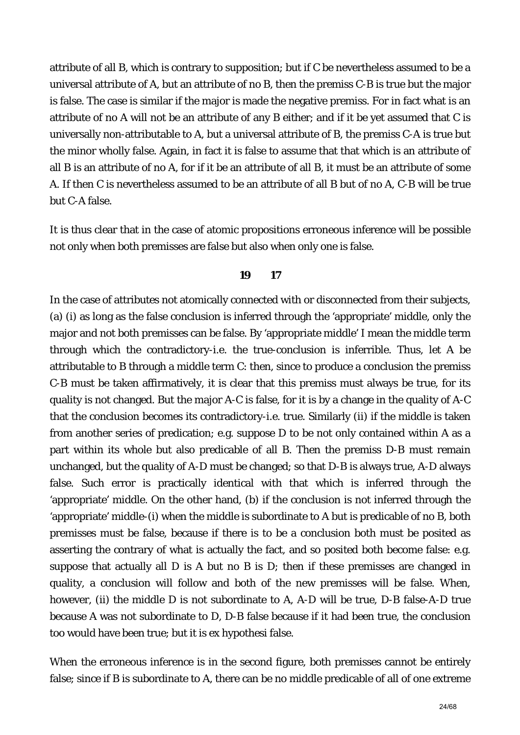attribute of all B, which is contrary to supposition; but if C be nevertheless assumed to be a universal attribute of A, but an attribute of no B, then the premiss C-B is true but the major is false. The case is similar if the major is made the negative premiss. For in fact what is an attribute of no A will not be an attribute of any B either; and if it be yet assumed that C is universally non-attributable to A, but a universal attribute of B, the premiss C-A is true but the minor wholly false. Again, in fact it is false to assume that that which is an attribute of all B is an attribute of no A, for if it be an attribute of all B, it must be an attribute of some A. If then C is nevertheless assumed to be an attribute of all B but of no A, C-B will be true but C-A false.

It is thus clear that in the case of atomic propositions erroneous inference will be possible not only when both premisses are false but also when only one is false.

### **19 17**

In the case of attributes not atomically connected with or disconnected from their subjects, (a) (i) as long as the false conclusion is inferred through the 'appropriate' middle, only the major and not both premisses can be false. By 'appropriate middle' I mean the middle term through which the contradictory-i.e. the true-conclusion is inferrible. Thus, let A be attributable to B through a middle term C: then, since to produce a conclusion the premiss C-B must be taken affirmatively, it is clear that this premiss must always be true, for its quality is not changed. But the major A-C is false, for it is by a change in the quality of A-C that the conclusion becomes its contradictory-i.e. true. Similarly (ii) if the middle is taken from another series of predication; e.g. suppose D to be not only contained within A as a part within its whole but also predicable of all B. Then the premiss D-B must remain unchanged, but the quality of A-D must be changed; so that D-B is always true, A-D always false. Such error is practically identical with that which is inferred through the 'appropriate' middle. On the other hand, (b) if the conclusion is not inferred through the 'appropriate' middle-(i) when the middle is subordinate to A but is predicable of no B, both premisses must be false, because if there is to be a conclusion both must be posited as asserting the contrary of what is actually the fact, and so posited both become false: e.g. suppose that actually all D is A but no B is D; then if these premisses are changed in quality, a conclusion will follow and both of the new premisses will be false. When, however, (ii) the middle D is not subordinate to A, A-D will be true, D-B false-A-D true because A was not subordinate to D, D-B false because if it had been true, the conclusion too would have been true; but it is ex hypothesi false.

When the erroneous inference is in the second figure, both premisses cannot be entirely false; since if B is subordinate to A, there can be no middle predicable of all of one extreme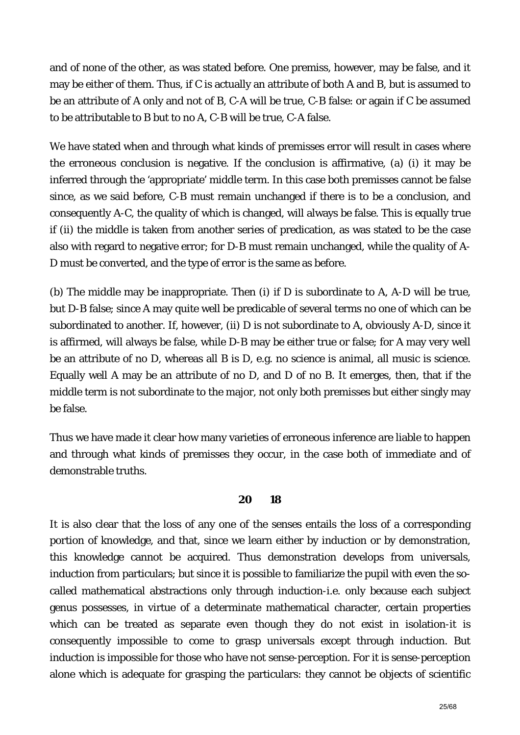and of none of the other, as was stated before. One premiss, however, may be false, and it may be either of them. Thus, if C is actually an attribute of both A and B, but is assumed to be an attribute of A only and not of B, C-A will be true, C-B false: or again if C be assumed to be attributable to B but to no A, C-B will be true, C-A false.

We have stated when and through what kinds of premisses error will result in cases where the erroneous conclusion is negative. If the conclusion is affirmative, (a) (i) it may be inferred through the 'appropriate' middle term. In this case both premisses cannot be false since, as we said before, C-B must remain unchanged if there is to be a conclusion, and consequently A-C, the quality of which is changed, will always be false. This is equally true if (ii) the middle is taken from another series of predication, as was stated to be the case also with regard to negative error; for D-B must remain unchanged, while the quality of A-D must be converted, and the type of error is the same as before.

(b) The middle may be inappropriate. Then (i) if D is subordinate to A, A-D will be true, but D-B false; since A may quite well be predicable of several terms no one of which can be subordinated to another. If, however, (ii) D is not subordinate to A, obviously A-D, since it is affirmed, will always be false, while D-B may be either true or false; for A may very well be an attribute of no D, whereas all B is D, e.g. no science is animal, all music is science. Equally well A may be an attribute of no D, and D of no B. It emerges, then, that if the middle term is not subordinate to the major, not only both premisses but either singly may be false.

Thus we have made it clear how many varieties of erroneous inference are liable to happen and through what kinds of premisses they occur, in the case both of immediate and of demonstrable truths.

#### **20 18**

It is also clear that the loss of any one of the senses entails the loss of a corresponding portion of knowledge, and that, since we learn either by induction or by demonstration, this knowledge cannot be acquired. Thus demonstration develops from universals, induction from particulars; but since it is possible to familiarize the pupil with even the socalled mathematical abstractions only through induction-i.e. only because each subject genus possesses, in virtue of a determinate mathematical character, certain properties which can be treated as separate even though they do not exist in isolation-it is consequently impossible to come to grasp universals except through induction. But induction is impossible for those who have not sense-perception. For it is sense-perception alone which is adequate for grasping the particulars: they cannot be objects of scientific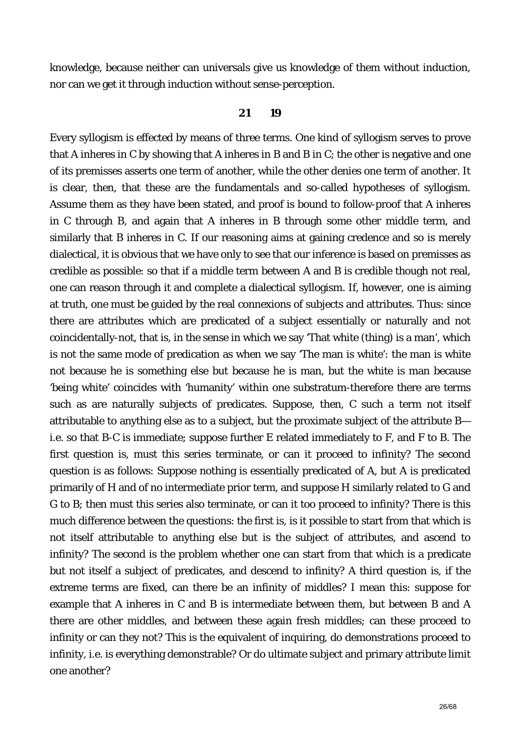knowledge, because neither can universals give us knowledge of them without induction, nor can we get it through induction without sense-perception.

### **21 19**

Every syllogism is effected by means of three terms. One kind of syllogism serves to prove that A inheres in C by showing that A inheres in B and B in C; the other is negative and one of its premisses asserts one term of another, while the other denies one term of another. It is clear, then, that these are the fundamentals and so-called hypotheses of syllogism. Assume them as they have been stated, and proof is bound to follow-proof that A inheres in C through B, and again that A inheres in B through some other middle term, and similarly that B inheres in C. If our reasoning aims at gaining credence and so is merely dialectical, it is obvious that we have only to see that our inference is based on premisses as credible as possible: so that if a middle term between A and B is credible though not real, one can reason through it and complete a dialectical syllogism. If, however, one is aiming at truth, one must be guided by the real connexions of subjects and attributes. Thus: since there are attributes which are predicated of a subject essentially or naturally and not coincidentally-not, that is, in the sense in which we say 'That white (thing) is a man', which is not the same mode of predication as when we say 'The man is white': the man is white not because he is something else but because he is man, but the white is man because 'being white' coincides with 'humanity' within one substratum-therefore there are terms such as are naturally subjects of predicates. Suppose, then, C such a term not itself attributable to anything else as to a subject, but the proximate subject of the attribute B i.e. so that B-C is immediate; suppose further E related immediately to F, and F to B. The first question is, must this series terminate, or can it proceed to infinity? The second question is as follows: Suppose nothing is essentially predicated of A, but A is predicated primarily of H and of no intermediate prior term, and suppose H similarly related to G and G to B; then must this series also terminate, or can it too proceed to infinity? There is this much difference between the questions: the first is, is it possible to start from that which is not itself attributable to anything else but is the subject of attributes, and ascend to infinity? The second is the problem whether one can start from that which is a predicate but not itself a subject of predicates, and descend to infinity? A third question is, if the extreme terms are fixed, can there be an infinity of middles? I mean this: suppose for example that A inheres in C and B is intermediate between them, but between B and A there are other middles, and between these again fresh middles; can these proceed to infinity or can they not? This is the equivalent of inquiring, do demonstrations proceed to infinity, i.e. is everything demonstrable? Or do ultimate subject and primary attribute limit one another?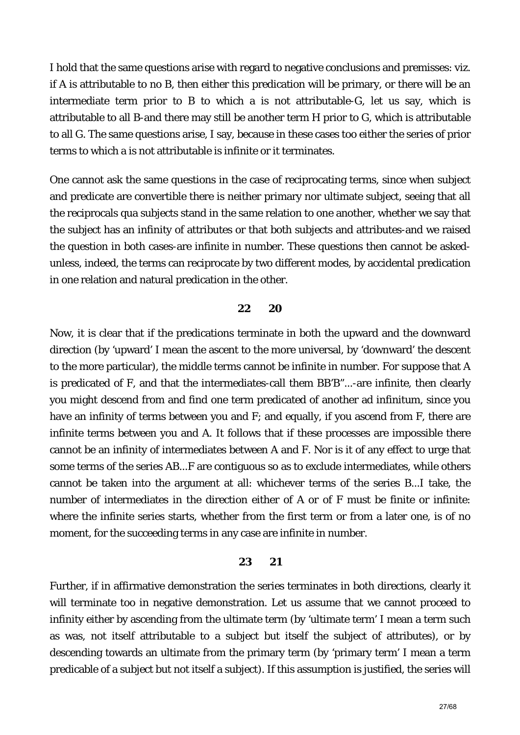I hold that the same questions arise with regard to negative conclusions and premisses: viz. if A is attributable to no B, then either this predication will be primary, or there will be an intermediate term prior to B to which a is not attributable-G, let us say, which is attributable to all B-and there may still be another term H prior to G, which is attributable to all G. The same questions arise, I say, because in these cases too either the series of prior terms to which a is not attributable is infinite or it terminates.

One cannot ask the same questions in the case of reciprocating terms, since when subject and predicate are convertible there is neither primary nor ultimate subject, seeing that all the reciprocals qua subjects stand in the same relation to one another, whether we say that the subject has an infinity of attributes or that both subjects and attributes-and we raised the question in both cases-are infinite in number. These questions then cannot be askedunless, indeed, the terms can reciprocate by two different modes, by accidental predication in one relation and natural predication in the other.

#### **22 20**

Now, it is clear that if the predications terminate in both the upward and the downward direction (by 'upward' I mean the ascent to the more universal, by 'downward' the descent to the more particular), the middle terms cannot be infinite in number. For suppose that A is predicated of F, and that the intermediates-call them BB'B"...-are infinite, then clearly you might descend from and find one term predicated of another ad infinitum, since you have an infinity of terms between you and F; and equally, if you ascend from F, there are infinite terms between you and A. It follows that if these processes are impossible there cannot be an infinity of intermediates between A and F. Nor is it of any effect to urge that some terms of the series AB...F are contiguous so as to exclude intermediates, while others cannot be taken into the argument at all: whichever terms of the series B...I take, the number of intermediates in the direction either of A or of F must be finite or infinite: where the infinite series starts, whether from the first term or from a later one, is of no moment, for the succeeding terms in any case are infinite in number.

#### **23 21**

Further, if in affirmative demonstration the series terminates in both directions, clearly it will terminate too in negative demonstration. Let us assume that we cannot proceed to infinity either by ascending from the ultimate term (by 'ultimate term' I mean a term such as was, not itself attributable to a subject but itself the subject of attributes), or by descending towards an ultimate from the primary term (by 'primary term' I mean a term predicable of a subject but not itself a subject). If this assumption is justified, the series will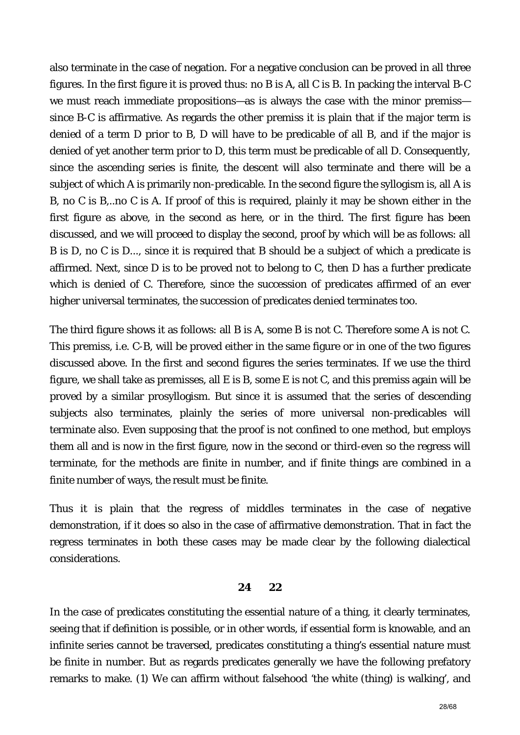also terminate in the case of negation. For a negative conclusion can be proved in all three figures. In the first figure it is proved thus: no B is A, all C is B. In packing the interval B-C we must reach immediate propositions—as is always the case with the minor premiss since B-C is affirmative. As regards the other premiss it is plain that if the major term is denied of a term D prior to B, D will have to be predicable of all B, and if the major is denied of yet another term prior to D, this term must be predicable of all D. Consequently, since the ascending series is finite, the descent will also terminate and there will be a subject of which A is primarily non-predicable. In the second figure the syllogism is, all A is B, no C is B,..no C is A. If proof of this is required, plainly it may be shown either in the first figure as above, in the second as here, or in the third. The first figure has been discussed, and we will proceed to display the second, proof by which will be as follows: all B is D, no C is D..., since it is required that B should be a subject of which a predicate is affirmed. Next, since D is to be proved not to belong to C, then D has a further predicate which is denied of C. Therefore, since the succession of predicates affirmed of an ever higher universal terminates, the succession of predicates denied terminates too.

The third figure shows it as follows: all B is A, some B is not C. Therefore some A is not C. This premiss, i.e. C-B, will be proved either in the same figure or in one of the two figures discussed above. In the first and second figures the series terminates. If we use the third figure, we shall take as premisses, all E is B, some E is not C, and this premiss again will be proved by a similar prosyllogism. But since it is assumed that the series of descending subjects also terminates, plainly the series of more universal non-predicables will terminate also. Even supposing that the proof is not confined to one method, but employs them all and is now in the first figure, now in the second or third-even so the regress will terminate, for the methods are finite in number, and if finite things are combined in a finite number of ways, the result must be finite.

Thus it is plain that the regress of middles terminates in the case of negative demonstration, if it does so also in the case of affirmative demonstration. That in fact the regress terminates in both these cases may be made clear by the following dialectical considerations.

### **24 22**

In the case of predicates constituting the essential nature of a thing, it clearly terminates, seeing that if definition is possible, or in other words, if essential form is knowable, and an infinite series cannot be traversed, predicates constituting a thing's essential nature must be finite in number. But as regards predicates generally we have the following prefatory remarks to make. (1) We can affirm without falsehood 'the white (thing) is walking', and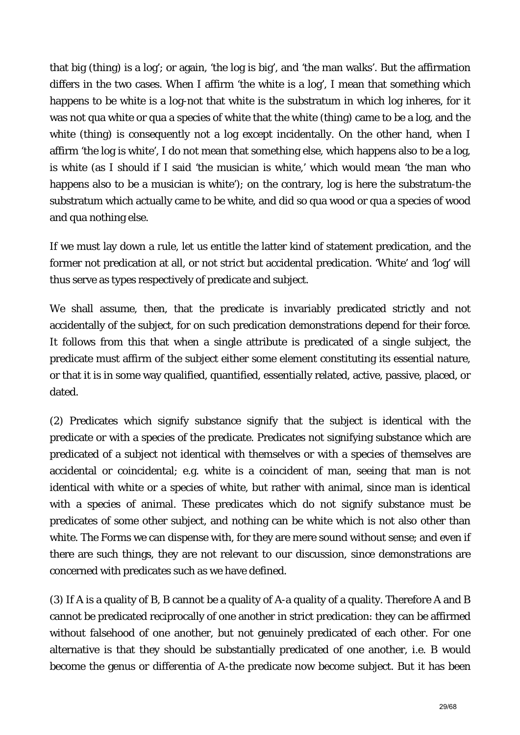that big (thing) is a log'; or again, 'the log is big', and 'the man walks'. But the affirmation differs in the two cases. When I affirm 'the white is a log', I mean that something which happens to be white is a log-not that white is the substratum in which log inheres, for it was not qua white or qua a species of white that the white (thing) came to be a log, and the white (thing) is consequently not a log except incidentally. On the other hand, when I affirm 'the log is white', I do not mean that something else, which happens also to be a log, is white (as I should if I said 'the musician is white,' which would mean 'the man who happens also to be a musician is white'); on the contrary, log is here the substratum-the substratum which actually came to be white, and did so qua wood or qua a species of wood and qua nothing else.

If we must lay down a rule, let us entitle the latter kind of statement predication, and the former not predication at all, or not strict but accidental predication. 'White' and 'log' will thus serve as types respectively of predicate and subject.

We shall assume, then, that the predicate is invariably predicated strictly and not accidentally of the subject, for on such predication demonstrations depend for their force. It follows from this that when a single attribute is predicated of a single subject, the predicate must affirm of the subject either some element constituting its essential nature, or that it is in some way qualified, quantified, essentially related, active, passive, placed, or dated.

(2) Predicates which signify substance signify that the subject is identical with the predicate or with a species of the predicate. Predicates not signifying substance which are predicated of a subject not identical with themselves or with a species of themselves are accidental or coincidental; e.g. white is a coincident of man, seeing that man is not identical with white or a species of white, but rather with animal, since man is identical with a species of animal. These predicates which do not signify substance must be predicates of some other subject, and nothing can be white which is not also other than white. The Forms we can dispense with, for they are mere sound without sense; and even if there are such things, they are not relevant to our discussion, since demonstrations are concerned with predicates such as we have defined.

(3) If A is a quality of B, B cannot be a quality of A-a quality of a quality. Therefore A and B cannot be predicated reciprocally of one another in strict predication: they can be affirmed without falsehood of one another, but not genuinely predicated of each other. For one alternative is that they should be substantially predicated of one another, i.e. B would become the genus or differentia of A-the predicate now become subject. But it has been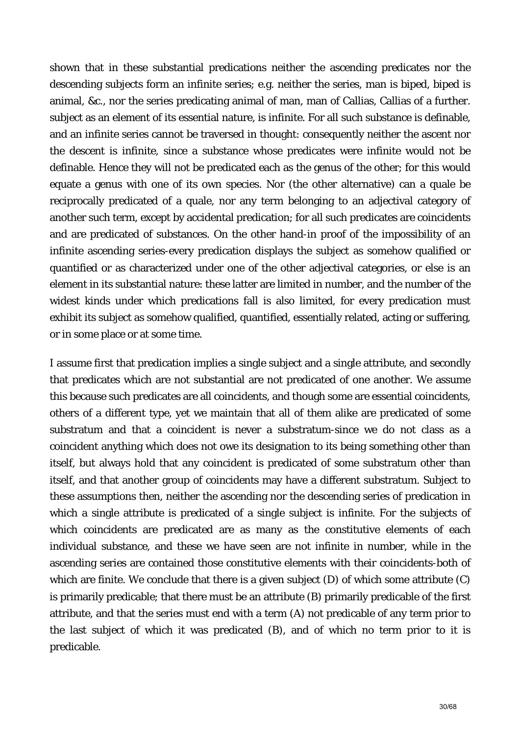shown that in these substantial predications neither the ascending predicates nor the descending subjects form an infinite series; e.g. neither the series, man is biped, biped is animal, &c., nor the series predicating animal of man, man of Callias, Callias of a further. subject as an element of its essential nature, is infinite. For all such substance is definable, and an infinite series cannot be traversed in thought: consequently neither the ascent nor the descent is infinite, since a substance whose predicates were infinite would not be definable. Hence they will not be predicated each as the genus of the other; for this would equate a genus with one of its own species. Nor (the other alternative) can a quale be reciprocally predicated of a quale, nor any term belonging to an adjectival category of another such term, except by accidental predication; for all such predicates are coincidents and are predicated of substances. On the other hand-in proof of the impossibility of an infinite ascending series-every predication displays the subject as somehow qualified or quantified or as characterized under one of the other adjectival categories, or else is an element in its substantial nature: these latter are limited in number, and the number of the widest kinds under which predications fall is also limited, for every predication must exhibit its subject as somehow qualified, quantified, essentially related, acting or suffering, or in some place or at some time.

I assume first that predication implies a single subject and a single attribute, and secondly that predicates which are not substantial are not predicated of one another. We assume this because such predicates are all coincidents, and though some are essential coincidents, others of a different type, yet we maintain that all of them alike are predicated of some substratum and that a coincident is never a substratum-since we do not class as a coincident anything which does not owe its designation to its being something other than itself, but always hold that any coincident is predicated of some substratum other than itself, and that another group of coincidents may have a different substratum. Subject to these assumptions then, neither the ascending nor the descending series of predication in which a single attribute is predicated of a single subject is infinite. For the subjects of which coincidents are predicated are as many as the constitutive elements of each individual substance, and these we have seen are not infinite in number, while in the ascending series are contained those constitutive elements with their coincidents-both of which are finite. We conclude that there is a given subject (D) of which some attribute (C) is primarily predicable; that there must be an attribute (B) primarily predicable of the first attribute, and that the series must end with a term (A) not predicable of any term prior to the last subject of which it was predicated (B), and of which no term prior to it is predicable.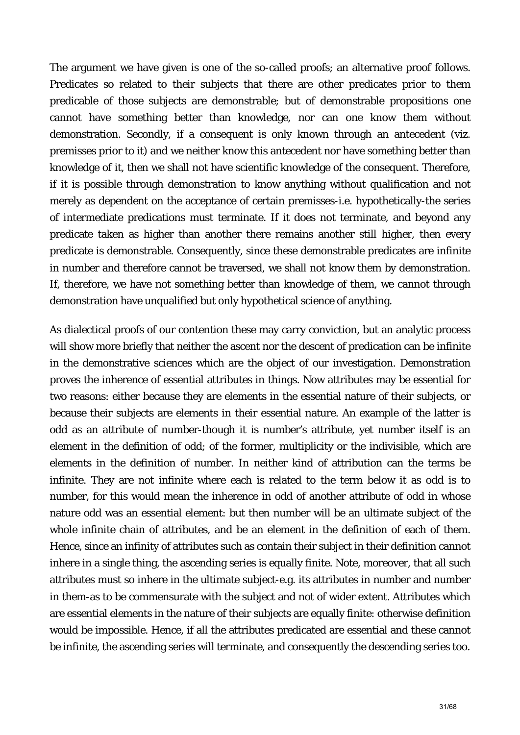The argument we have given is one of the so-called proofs; an alternative proof follows. Predicates so related to their subjects that there are other predicates prior to them predicable of those subjects are demonstrable; but of demonstrable propositions one cannot have something better than knowledge, nor can one know them without demonstration. Secondly, if a consequent is only known through an antecedent (viz. premisses prior to it) and we neither know this antecedent nor have something better than knowledge of it, then we shall not have scientific knowledge of the consequent. Therefore, if it is possible through demonstration to know anything without qualification and not merely as dependent on the acceptance of certain premisses-i.e. hypothetically-the series of intermediate predications must terminate. If it does not terminate, and beyond any predicate taken as higher than another there remains another still higher, then every predicate is demonstrable. Consequently, since these demonstrable predicates are infinite in number and therefore cannot be traversed, we shall not know them by demonstration. If, therefore, we have not something better than knowledge of them, we cannot through demonstration have unqualified but only hypothetical science of anything.

As dialectical proofs of our contention these may carry conviction, but an analytic process will show more briefly that neither the ascent nor the descent of predication can be infinite in the demonstrative sciences which are the object of our investigation. Demonstration proves the inherence of essential attributes in things. Now attributes may be essential for two reasons: either because they are elements in the essential nature of their subjects, or because their subjects are elements in their essential nature. An example of the latter is odd as an attribute of number-though it is number's attribute, yet number itself is an element in the definition of odd; of the former, multiplicity or the indivisible, which are elements in the definition of number. In neither kind of attribution can the terms be infinite. They are not infinite where each is related to the term below it as odd is to number, for this would mean the inherence in odd of another attribute of odd in whose nature odd was an essential element: but then number will be an ultimate subject of the whole infinite chain of attributes, and be an element in the definition of each of them. Hence, since an infinity of attributes such as contain their subject in their definition cannot inhere in a single thing, the ascending series is equally finite. Note, moreover, that all such attributes must so inhere in the ultimate subject-e.g. its attributes in number and number in them-as to be commensurate with the subject and not of wider extent. Attributes which are essential elements in the nature of their subjects are equally finite: otherwise definition would be impossible. Hence, if all the attributes predicated are essential and these cannot be infinite, the ascending series will terminate, and consequently the descending series too.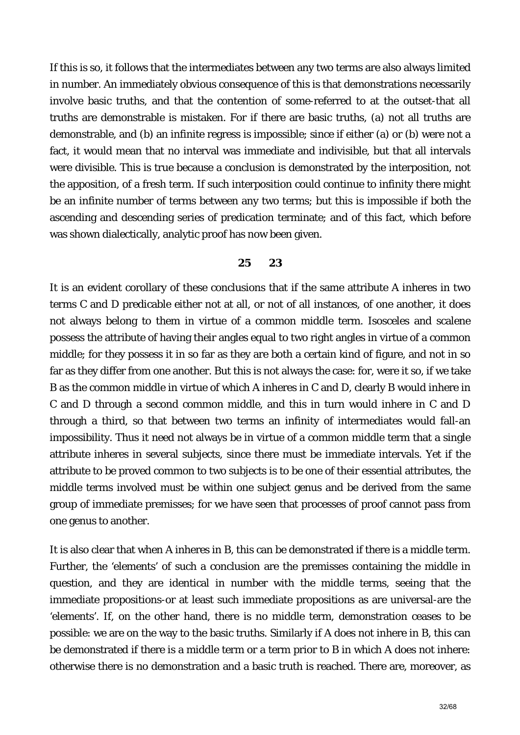If this is so, it follows that the intermediates between any two terms are also always limited in number. An immediately obvious consequence of this is that demonstrations necessarily involve basic truths, and that the contention of some-referred to at the outset-that all truths are demonstrable is mistaken. For if there are basic truths, (a) not all truths are demonstrable, and (b) an infinite regress is impossible; since if either (a) or (b) were not a fact, it would mean that no interval was immediate and indivisible, but that all intervals were divisible. This is true because a conclusion is demonstrated by the interposition, not the apposition, of a fresh term. If such interposition could continue to infinity there might be an infinite number of terms between any two terms; but this is impossible if both the ascending and descending series of predication terminate; and of this fact, which before was shown dialectically, analytic proof has now been given.

### **25 23**

It is an evident corollary of these conclusions that if the same attribute A inheres in two terms C and D predicable either not at all, or not of all instances, of one another, it does not always belong to them in virtue of a common middle term. Isosceles and scalene possess the attribute of having their angles equal to two right angles in virtue of a common middle; for they possess it in so far as they are both a certain kind of figure, and not in so far as they differ from one another. But this is not always the case: for, were it so, if we take B as the common middle in virtue of which A inheres in C and D, clearly B would inhere in C and D through a second common middle, and this in turn would inhere in C and D through a third, so that between two terms an infinity of intermediates would fall-an impossibility. Thus it need not always be in virtue of a common middle term that a single attribute inheres in several subjects, since there must be immediate intervals. Yet if the attribute to be proved common to two subjects is to be one of their essential attributes, the middle terms involved must be within one subject genus and be derived from the same group of immediate premisses; for we have seen that processes of proof cannot pass from one genus to another.

It is also clear that when A inheres in B, this can be demonstrated if there is a middle term. Further, the 'elements' of such a conclusion are the premisses containing the middle in question, and they are identical in number with the middle terms, seeing that the immediate propositions-or at least such immediate propositions as are universal-are the 'elements'. If, on the other hand, there is no middle term, demonstration ceases to be possible: we are on the way to the basic truths. Similarly if A does not inhere in B, this can be demonstrated if there is a middle term or a term prior to B in which A does not inhere: otherwise there is no demonstration and a basic truth is reached. There are, moreover, as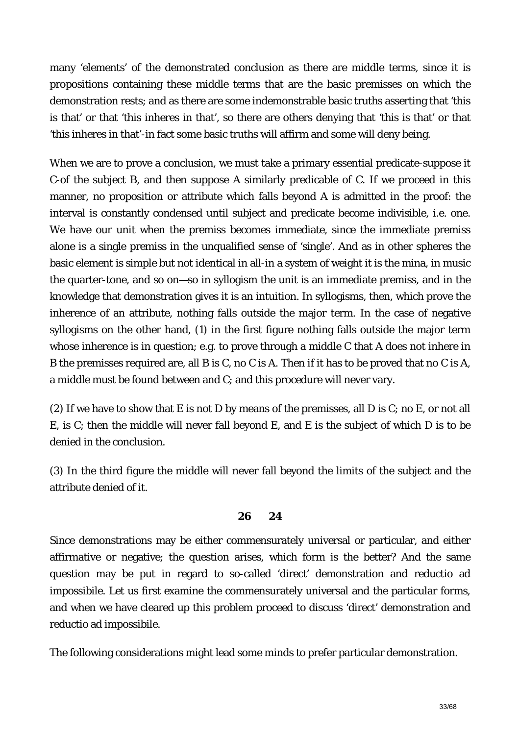many 'elements' of the demonstrated conclusion as there are middle terms, since it is propositions containing these middle terms that are the basic premisses on which the demonstration rests; and as there are some indemonstrable basic truths asserting that 'this is that' or that 'this inheres in that', so there are others denying that 'this is that' or that 'this inheres in that'-in fact some basic truths will affirm and some will deny being.

When we are to prove a conclusion, we must take a primary essential predicate-suppose it C-of the subject B, and then suppose A similarly predicable of C. If we proceed in this manner, no proposition or attribute which falls beyond A is admitted in the proof: the interval is constantly condensed until subject and predicate become indivisible, i.e. one. We have our unit when the premiss becomes immediate, since the immediate premiss alone is a single premiss in the unqualified sense of 'single'. And as in other spheres the basic element is simple but not identical in all-in a system of weight it is the mina, in music the quarter-tone, and so on—so in syllogism the unit is an immediate premiss, and in the knowledge that demonstration gives it is an intuition. In syllogisms, then, which prove the inherence of an attribute, nothing falls outside the major term. In the case of negative syllogisms on the other hand, (1) in the first figure nothing falls outside the major term whose inherence is in question; e.g. to prove through a middle C that A does not inhere in B the premisses required are, all B is C, no C is A. Then if it has to be proved that no C is A, a middle must be found between and C; and this procedure will never vary.

(2) If we have to show that E is not D by means of the premisses, all D is C; no E, or not all E, is C; then the middle will never fall beyond E, and E is the subject of which D is to be denied in the conclusion.

(3) In the third figure the middle will never fall beyond the limits of the subject and the attribute denied of it.

### **26 24**

Since demonstrations may be either commensurately universal or particular, and either affirmative or negative; the question arises, which form is the better? And the same question may be put in regard to so-called 'direct' demonstration and reductio ad impossibile. Let us first examine the commensurately universal and the particular forms, and when we have cleared up this problem proceed to discuss 'direct' demonstration and reductio ad impossibile.

The following considerations might lead some minds to prefer particular demonstration.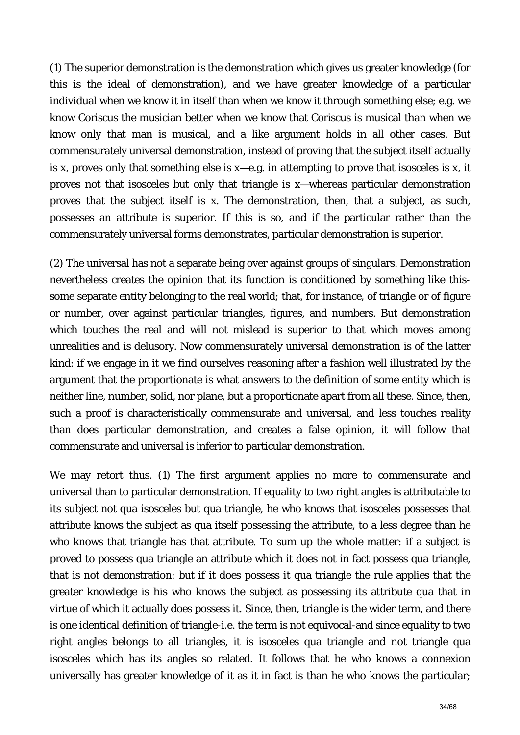(1) The superior demonstration is the demonstration which gives us greater knowledge (for this is the ideal of demonstration), and we have greater knowledge of a particular individual when we know it in itself than when we know it through something else; e.g. we know Coriscus the musician better when we know that Coriscus is musical than when we know only that man is musical, and a like argument holds in all other cases. But commensurately universal demonstration, instead of proving that the subject itself actually is x, proves only that something else is  $x$ —e.g. in attempting to prove that isosceles is x, it proves not that isosceles but only that triangle is x—whereas particular demonstration proves that the subject itself is x. The demonstration, then, that a subject, as such, possesses an attribute is superior. If this is so, and if the particular rather than the commensurately universal forms demonstrates, particular demonstration is superior.

(2) The universal has not a separate being over against groups of singulars. Demonstration nevertheless creates the opinion that its function is conditioned by something like thissome separate entity belonging to the real world; that, for instance, of triangle or of figure or number, over against particular triangles, figures, and numbers. But demonstration which touches the real and will not mislead is superior to that which moves among unrealities and is delusory. Now commensurately universal demonstration is of the latter kind: if we engage in it we find ourselves reasoning after a fashion well illustrated by the argument that the proportionate is what answers to the definition of some entity which is neither line, number, solid, nor plane, but a proportionate apart from all these. Since, then, such a proof is characteristically commensurate and universal, and less touches reality than does particular demonstration, and creates a false opinion, it will follow that commensurate and universal is inferior to particular demonstration.

We may retort thus. (1) The first argument applies no more to commensurate and universal than to particular demonstration. If equality to two right angles is attributable to its subject not qua isosceles but qua triangle, he who knows that isosceles possesses that attribute knows the subject as qua itself possessing the attribute, to a less degree than he who knows that triangle has that attribute. To sum up the whole matter: if a subject is proved to possess qua triangle an attribute which it does not in fact possess qua triangle, that is not demonstration: but if it does possess it qua triangle the rule applies that the greater knowledge is his who knows the subject as possessing its attribute qua that in virtue of which it actually does possess it. Since, then, triangle is the wider term, and there is one identical definition of triangle-i.e. the term is not equivocal-and since equality to two right angles belongs to all triangles, it is isosceles qua triangle and not triangle qua isosceles which has its angles so related. It follows that he who knows a connexion universally has greater knowledge of it as it in fact is than he who knows the particular;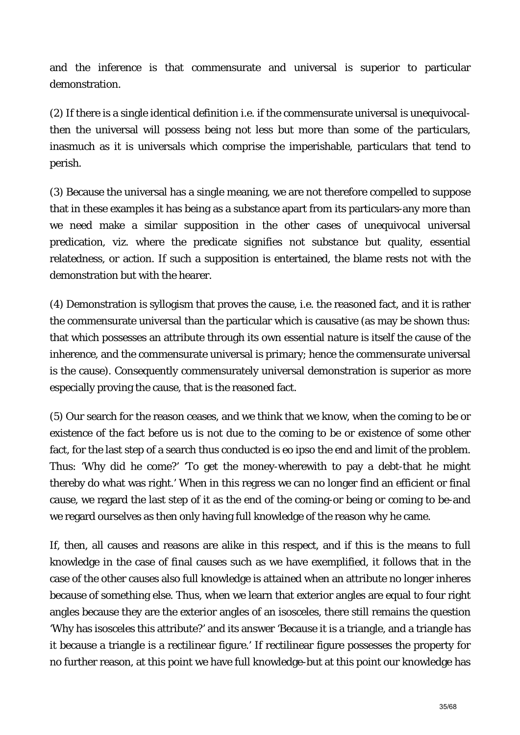and the inference is that commensurate and universal is superior to particular demonstration.

(2) If there is a single identical definition i.e. if the commensurate universal is unequivocalthen the universal will possess being not less but more than some of the particulars, inasmuch as it is universals which comprise the imperishable, particulars that tend to perish.

(3) Because the universal has a single meaning, we are not therefore compelled to suppose that in these examples it has being as a substance apart from its particulars-any more than we need make a similar supposition in the other cases of unequivocal universal predication, viz. where the predicate signifies not substance but quality, essential relatedness, or action. If such a supposition is entertained, the blame rests not with the demonstration but with the hearer.

(4) Demonstration is syllogism that proves the cause, i.e. the reasoned fact, and it is rather the commensurate universal than the particular which is causative (as may be shown thus: that which possesses an attribute through its own essential nature is itself the cause of the inherence, and the commensurate universal is primary; hence the commensurate universal is the cause). Consequently commensurately universal demonstration is superior as more especially proving the cause, that is the reasoned fact.

(5) Our search for the reason ceases, and we think that we know, when the coming to be or existence of the fact before us is not due to the coming to be or existence of some other fact, for the last step of a search thus conducted is eo ipso the end and limit of the problem. Thus: 'Why did he come?' 'To get the money-wherewith to pay a debt-that he might thereby do what was right.' When in this regress we can no longer find an efficient or final cause, we regard the last step of it as the end of the coming-or being or coming to be-and we regard ourselves as then only having full knowledge of the reason why he came.

If, then, all causes and reasons are alike in this respect, and if this is the means to full knowledge in the case of final causes such as we have exemplified, it follows that in the case of the other causes also full knowledge is attained when an attribute no longer inheres because of something else. Thus, when we learn that exterior angles are equal to four right angles because they are the exterior angles of an isosceles, there still remains the question 'Why has isosceles this attribute?' and its answer 'Because it is a triangle, and a triangle has it because a triangle is a rectilinear figure.' If rectilinear figure possesses the property for no further reason, at this point we have full knowledge-but at this point our knowledge has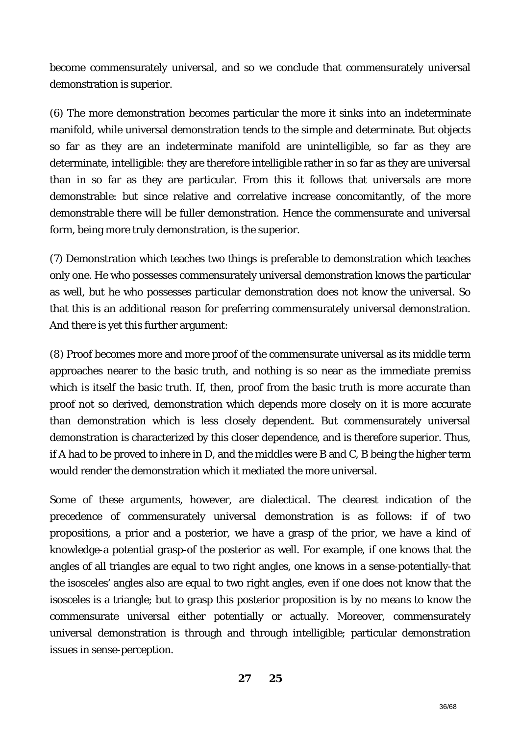become commensurately universal, and so we conclude that commensurately universal demonstration is superior.

(6) The more demonstration becomes particular the more it sinks into an indeterminate manifold, while universal demonstration tends to the simple and determinate. But objects so far as they are an indeterminate manifold are unintelligible, so far as they are determinate, intelligible: they are therefore intelligible rather in so far as they are universal than in so far as they are particular. From this it follows that universals are more demonstrable: but since relative and correlative increase concomitantly, of the more demonstrable there will be fuller demonstration. Hence the commensurate and universal form, being more truly demonstration, is the superior.

(7) Demonstration which teaches two things is preferable to demonstration which teaches only one. He who possesses commensurately universal demonstration knows the particular as well, but he who possesses particular demonstration does not know the universal. So that this is an additional reason for preferring commensurately universal demonstration. And there is yet this further argument:

(8) Proof becomes more and more proof of the commensurate universal as its middle term approaches nearer to the basic truth, and nothing is so near as the immediate premiss which is itself the basic truth. If, then, proof from the basic truth is more accurate than proof not so derived, demonstration which depends more closely on it is more accurate than demonstration which is less closely dependent. But commensurately universal demonstration is characterized by this closer dependence, and is therefore superior. Thus, if A had to be proved to inhere in D, and the middles were B and C, B being the higher term would render the demonstration which it mediated the more universal.

Some of these arguments, however, are dialectical. The clearest indication of the precedence of commensurately universal demonstration is as follows: if of two propositions, a prior and a posterior, we have a grasp of the prior, we have a kind of knowledge-a potential grasp-of the posterior as well. For example, if one knows that the angles of all triangles are equal to two right angles, one knows in a sense-potentially-that the isosceles' angles also are equal to two right angles, even if one does not know that the isosceles is a triangle; but to grasp this posterior proposition is by no means to know the commensurate universal either potentially or actually. Moreover, commensurately universal demonstration is through and through intelligible; particular demonstration issues in sense-perception.

**27 25**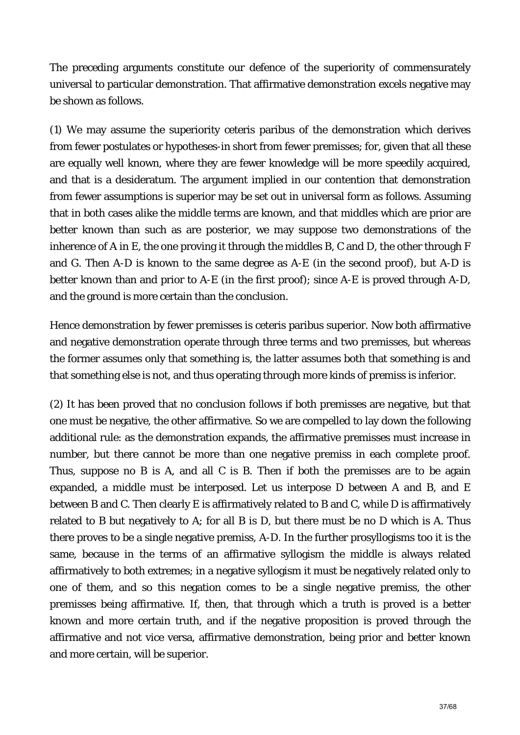The preceding arguments constitute our defence of the superiority of commensurately universal to particular demonstration. That affirmative demonstration excels negative may be shown as follows.

(1) We may assume the superiority ceteris paribus of the demonstration which derives from fewer postulates or hypotheses-in short from fewer premisses; for, given that all these are equally well known, where they are fewer knowledge will be more speedily acquired, and that is a desideratum. The argument implied in our contention that demonstration from fewer assumptions is superior may be set out in universal form as follows. Assuming that in both cases alike the middle terms are known, and that middles which are prior are better known than such as are posterior, we may suppose two demonstrations of the inherence of A in E, the one proving it through the middles B, C and D, the other through F and G. Then A-D is known to the same degree as A-E (in the second proof), but A-D is better known than and prior to A-E (in the first proof); since A-E is proved through A-D, and the ground is more certain than the conclusion.

Hence demonstration by fewer premisses is ceteris paribus superior. Now both affirmative and negative demonstration operate through three terms and two premisses, but whereas the former assumes only that something is, the latter assumes both that something is and that something else is not, and thus operating through more kinds of premiss is inferior.

(2) It has been proved that no conclusion follows if both premisses are negative, but that one must be negative, the other affirmative. So we are compelled to lay down the following additional rule: as the demonstration expands, the affirmative premisses must increase in number, but there cannot be more than one negative premiss in each complete proof. Thus, suppose no B is A, and all C is B. Then if both the premisses are to be again expanded, a middle must be interposed. Let us interpose D between A and B, and E between B and C. Then clearly E is affirmatively related to B and C, while D is affirmatively related to B but negatively to A; for all B is D, but there must be no D which is A. Thus there proves to be a single negative premiss, A-D. In the further prosyllogisms too it is the same, because in the terms of an affirmative syllogism the middle is always related affirmatively to both extremes; in a negative syllogism it must be negatively related only to one of them, and so this negation comes to be a single negative premiss, the other premisses being affirmative. If, then, that through which a truth is proved is a better known and more certain truth, and if the negative proposition is proved through the affirmative and not vice versa, affirmative demonstration, being prior and better known and more certain, will be superior.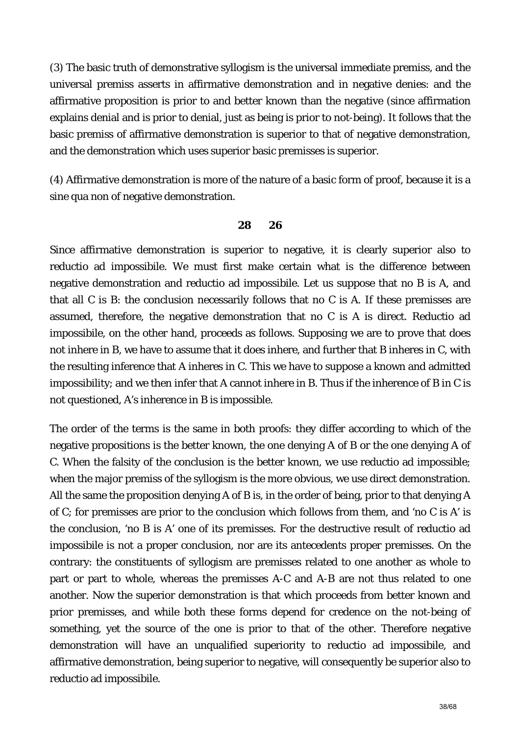(3) The basic truth of demonstrative syllogism is the universal immediate premiss, and the universal premiss asserts in affirmative demonstration and in negative denies: and the affirmative proposition is prior to and better known than the negative (since affirmation explains denial and is prior to denial, just as being is prior to not-being). It follows that the basic premiss of affirmative demonstration is superior to that of negative demonstration, and the demonstration which uses superior basic premisses is superior.

(4) Affirmative demonstration is more of the nature of a basic form of proof, because it is a sine qua non of negative demonstration.

### **28 26**

Since affirmative demonstration is superior to negative, it is clearly superior also to reductio ad impossibile. We must first make certain what is the difference between negative demonstration and reductio ad impossibile. Let us suppose that no B is A, and that all C is B: the conclusion necessarily follows that no C is A. If these premisses are assumed, therefore, the negative demonstration that no C is A is direct. Reductio ad impossibile, on the other hand, proceeds as follows. Supposing we are to prove that does not inhere in B, we have to assume that it does inhere, and further that B inheres in C, with the resulting inference that A inheres in C. This we have to suppose a known and admitted impossibility; and we then infer that A cannot inhere in B. Thus if the inherence of B in C is not questioned, A's inherence in B is impossible.

The order of the terms is the same in both proofs: they differ according to which of the negative propositions is the better known, the one denying A of B or the one denying A of C. When the falsity of the conclusion is the better known, we use reductio ad impossible; when the major premiss of the syllogism is the more obvious, we use direct demonstration. All the same the proposition denying A of B is, in the order of being, prior to that denying A of C; for premisses are prior to the conclusion which follows from them, and 'no C is A' is the conclusion, 'no B is A' one of its premisses. For the destructive result of reductio ad impossibile is not a proper conclusion, nor are its antecedents proper premisses. On the contrary: the constituents of syllogism are premisses related to one another as whole to part or part to whole, whereas the premisses A-C and A-B are not thus related to one another. Now the superior demonstration is that which proceeds from better known and prior premisses, and while both these forms depend for credence on the not-being of something, yet the source of the one is prior to that of the other. Therefore negative demonstration will have an unqualified superiority to reductio ad impossibile, and affirmative demonstration, being superior to negative, will consequently be superior also to reductio ad impossibile.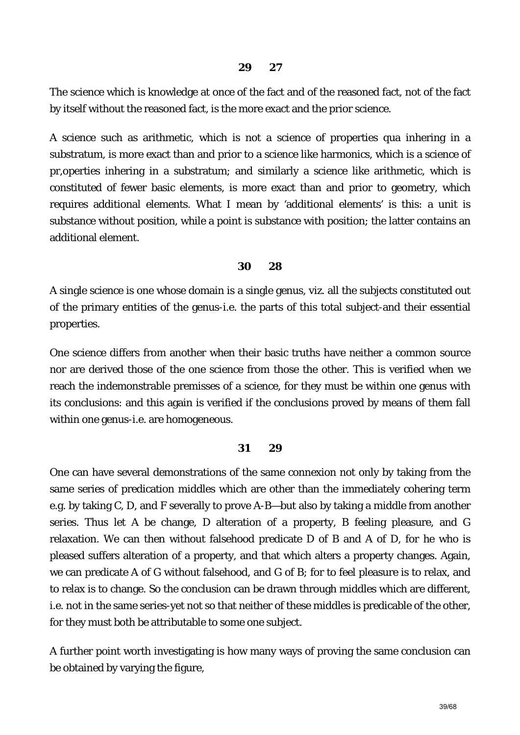The science which is knowledge at once of the fact and of the reasoned fact, not of the fact by itself without the reasoned fact, is the more exact and the prior science.

A science such as arithmetic, which is not a science of properties qua inhering in a substratum, is more exact than and prior to a science like harmonics, which is a science of pr,operties inhering in a substratum; and similarly a science like arithmetic, which is constituted of fewer basic elements, is more exact than and prior to geometry, which requires additional elements. What I mean by 'additional elements' is this: a unit is substance without position, while a point is substance with position; the latter contains an additional element.

### **30 28**

A single science is one whose domain is a single genus, viz. all the subjects constituted out of the primary entities of the genus-i.e. the parts of this total subject-and their essential properties.

One science differs from another when their basic truths have neither a common source nor are derived those of the one science from those the other. This is verified when we reach the indemonstrable premisses of a science, for they must be within one genus with its conclusions: and this again is verified if the conclusions proved by means of them fall within one genus-i.e. are homogeneous.

#### **31 29**

One can have several demonstrations of the same connexion not only by taking from the same series of predication middles which are other than the immediately cohering term e.g. by taking C, D, and F severally to prove A-B—but also by taking a middle from another series. Thus let A be change, D alteration of a property, B feeling pleasure, and G relaxation. We can then without falsehood predicate D of B and A of D, for he who is pleased suffers alteration of a property, and that which alters a property changes. Again, we can predicate A of G without falsehood, and G of B; for to feel pleasure is to relax, and to relax is to change. So the conclusion can be drawn through middles which are different, i.e. not in the same series-yet not so that neither of these middles is predicable of the other, for they must both be attributable to some one subject.

A further point worth investigating is how many ways of proving the same conclusion can be obtained by varying the figure,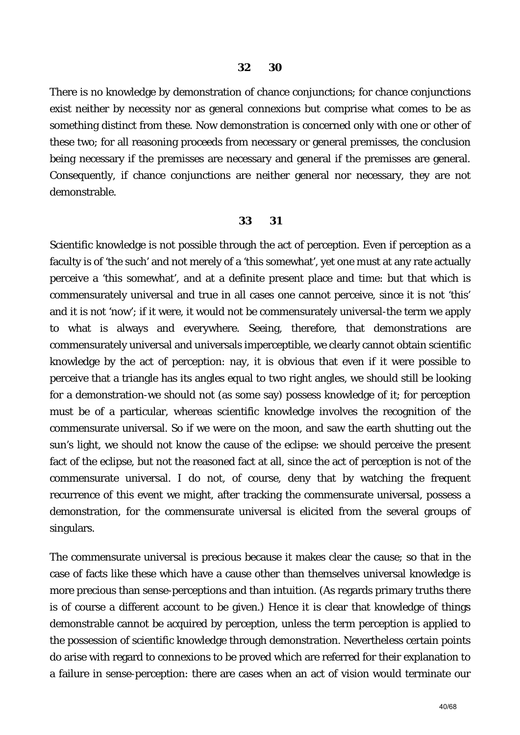There is no knowledge by demonstration of chance conjunctions; for chance conjunctions exist neither by necessity nor as general connexions but comprise what comes to be as something distinct from these. Now demonstration is concerned only with one or other of these two; for all reasoning proceeds from necessary or general premisses, the conclusion being necessary if the premisses are necessary and general if the premisses are general. Consequently, if chance conjunctions are neither general nor necessary, they are not demonstrable.

#### **33 31**

Scientific knowledge is not possible through the act of perception. Even if perception as a faculty is of 'the such' and not merely of a 'this somewhat', yet one must at any rate actually perceive a 'this somewhat', and at a definite present place and time: but that which is commensurately universal and true in all cases one cannot perceive, since it is not 'this' and it is not 'now'; if it were, it would not be commensurately universal-the term we apply to what is always and everywhere. Seeing, therefore, that demonstrations are commensurately universal and universals imperceptible, we clearly cannot obtain scientific knowledge by the act of perception: nay, it is obvious that even if it were possible to perceive that a triangle has its angles equal to two right angles, we should still be looking for a demonstration-we should not (as some say) possess knowledge of it; for perception must be of a particular, whereas scientific knowledge involves the recognition of the commensurate universal. So if we were on the moon, and saw the earth shutting out the sun's light, we should not know the cause of the eclipse: we should perceive the present fact of the eclipse, but not the reasoned fact at all, since the act of perception is not of the commensurate universal. I do not, of course, deny that by watching the frequent recurrence of this event we might, after tracking the commensurate universal, possess a demonstration, for the commensurate universal is elicited from the several groups of singulars.

The commensurate universal is precious because it makes clear the cause; so that in the case of facts like these which have a cause other than themselves universal knowledge is more precious than sense-perceptions and than intuition. (As regards primary truths there is of course a different account to be given.) Hence it is clear that knowledge of things demonstrable cannot be acquired by perception, unless the term perception is applied to the possession of scientific knowledge through demonstration. Nevertheless certain points do arise with regard to connexions to be proved which are referred for their explanation to a failure in sense-perception: there are cases when an act of vision would terminate our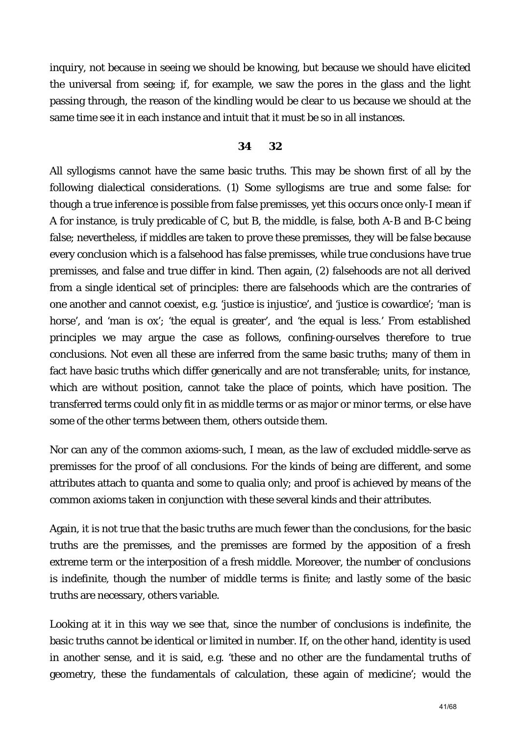inquiry, not because in seeing we should be knowing, but because we should have elicited the universal from seeing; if, for example, we saw the pores in the glass and the light passing through, the reason of the kindling would be clear to us because we should at the same time see it in each instance and intuit that it must be so in all instances.

### **34 32**

All syllogisms cannot have the same basic truths. This may be shown first of all by the following dialectical considerations. (1) Some syllogisms are true and some false: for though a true inference is possible from false premisses, yet this occurs once only-I mean if A for instance, is truly predicable of C, but B, the middle, is false, both A-B and B-C being false; nevertheless, if middles are taken to prove these premisses, they will be false because every conclusion which is a falsehood has false premisses, while true conclusions have true premisses, and false and true differ in kind. Then again, (2) falsehoods are not all derived from a single identical set of principles: there are falsehoods which are the contraries of one another and cannot coexist, e.g. 'justice is injustice', and 'justice is cowardice'; 'man is horse', and 'man is ox'; 'the equal is greater', and 'the equal is less.' From established principles we may argue the case as follows, confining-ourselves therefore to true conclusions. Not even all these are inferred from the same basic truths; many of them in fact have basic truths which differ generically and are not transferable; units, for instance, which are without position, cannot take the place of points, which have position. The transferred terms could only fit in as middle terms or as major or minor terms, or else have some of the other terms between them, others outside them.

Nor can any of the common axioms-such, I mean, as the law of excluded middle-serve as premisses for the proof of all conclusions. For the kinds of being are different, and some attributes attach to quanta and some to qualia only; and proof is achieved by means of the common axioms taken in conjunction with these several kinds and their attributes.

Again, it is not true that the basic truths are much fewer than the conclusions, for the basic truths are the premisses, and the premisses are formed by the apposition of a fresh extreme term or the interposition of a fresh middle. Moreover, the number of conclusions is indefinite, though the number of middle terms is finite; and lastly some of the basic truths are necessary, others variable.

Looking at it in this way we see that, since the number of conclusions is indefinite, the basic truths cannot be identical or limited in number. If, on the other hand, identity is used in another sense, and it is said, e.g. 'these and no other are the fundamental truths of geometry, these the fundamentals of calculation, these again of medicine'; would the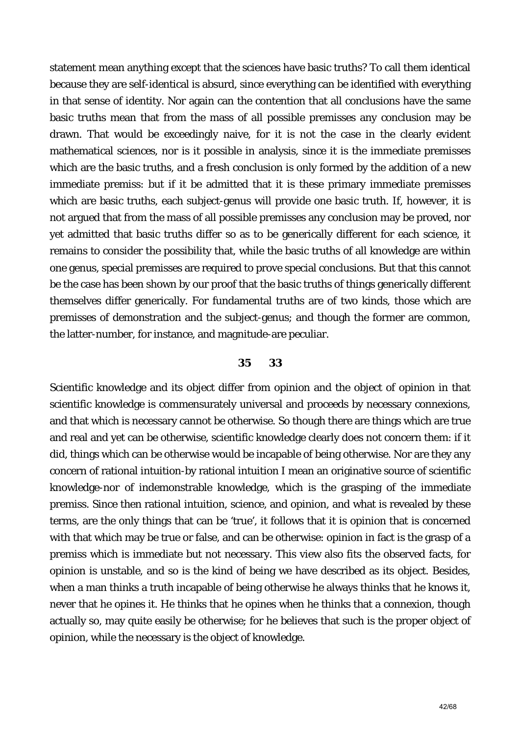statement mean anything except that the sciences have basic truths? To call them identical because they are self-identical is absurd, since everything can be identified with everything in that sense of identity. Nor again can the contention that all conclusions have the same basic truths mean that from the mass of all possible premisses any conclusion may be drawn. That would be exceedingly naive, for it is not the case in the clearly evident mathematical sciences, nor is it possible in analysis, since it is the immediate premisses which are the basic truths, and a fresh conclusion is only formed by the addition of a new immediate premiss: but if it be admitted that it is these primary immediate premisses which are basic truths, each subject-genus will provide one basic truth. If, however, it is not argued that from the mass of all possible premisses any conclusion may be proved, nor yet admitted that basic truths differ so as to be generically different for each science, it remains to consider the possibility that, while the basic truths of all knowledge are within one genus, special premisses are required to prove special conclusions. But that this cannot be the case has been shown by our proof that the basic truths of things generically different themselves differ generically. For fundamental truths are of two kinds, those which are premisses of demonstration and the subject-genus; and though the former are common, the latter-number, for instance, and magnitude-are peculiar.

#### **35 33**

Scientific knowledge and its object differ from opinion and the object of opinion in that scientific knowledge is commensurately universal and proceeds by necessary connexions, and that which is necessary cannot be otherwise. So though there are things which are true and real and yet can be otherwise, scientific knowledge clearly does not concern them: if it did, things which can be otherwise would be incapable of being otherwise. Nor are they any concern of rational intuition-by rational intuition I mean an originative source of scientific knowledge-nor of indemonstrable knowledge, which is the grasping of the immediate premiss. Since then rational intuition, science, and opinion, and what is revealed by these terms, are the only things that can be 'true', it follows that it is opinion that is concerned with that which may be true or false, and can be otherwise: opinion in fact is the grasp of a premiss which is immediate but not necessary. This view also fits the observed facts, for opinion is unstable, and so is the kind of being we have described as its object. Besides, when a man thinks a truth incapable of being otherwise he always thinks that he knows it, never that he opines it. He thinks that he opines when he thinks that a connexion, though actually so, may quite easily be otherwise; for he believes that such is the proper object of opinion, while the necessary is the object of knowledge.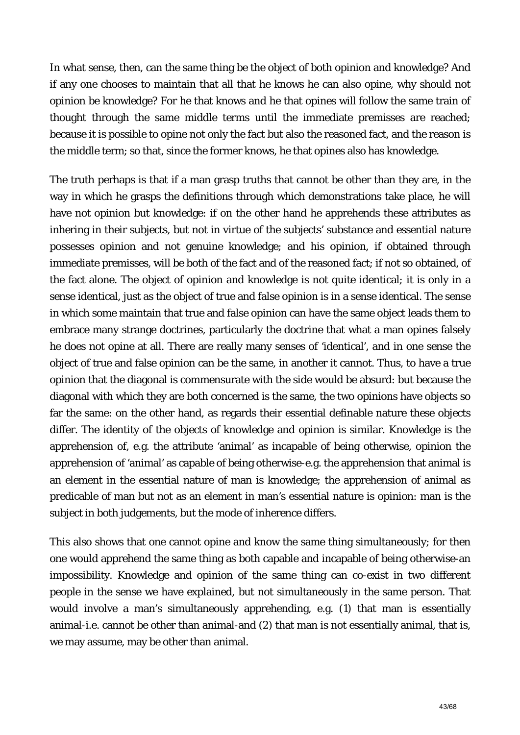In what sense, then, can the same thing be the object of both opinion and knowledge? And if any one chooses to maintain that all that he knows he can also opine, why should not opinion be knowledge? For he that knows and he that opines will follow the same train of thought through the same middle terms until the immediate premisses are reached; because it is possible to opine not only the fact but also the reasoned fact, and the reason is the middle term; so that, since the former knows, he that opines also has knowledge.

The truth perhaps is that if a man grasp truths that cannot be other than they are, in the way in which he grasps the definitions through which demonstrations take place, he will have not opinion but knowledge: if on the other hand he apprehends these attributes as inhering in their subjects, but not in virtue of the subjects' substance and essential nature possesses opinion and not genuine knowledge; and his opinion, if obtained through immediate premisses, will be both of the fact and of the reasoned fact; if not so obtained, of the fact alone. The object of opinion and knowledge is not quite identical; it is only in a sense identical, just as the object of true and false opinion is in a sense identical. The sense in which some maintain that true and false opinion can have the same object leads them to embrace many strange doctrines, particularly the doctrine that what a man opines falsely he does not opine at all. There are really many senses of 'identical', and in one sense the object of true and false opinion can be the same, in another it cannot. Thus, to have a true opinion that the diagonal is commensurate with the side would be absurd: but because the diagonal with which they are both concerned is the same, the two opinions have objects so far the same: on the other hand, as regards their essential definable nature these objects differ. The identity of the objects of knowledge and opinion is similar. Knowledge is the apprehension of, e.g. the attribute 'animal' as incapable of being otherwise, opinion the apprehension of 'animal' as capable of being otherwise-e.g. the apprehension that animal is an element in the essential nature of man is knowledge; the apprehension of animal as predicable of man but not as an element in man's essential nature is opinion: man is the subject in both judgements, but the mode of inherence differs.

This also shows that one cannot opine and know the same thing simultaneously; for then one would apprehend the same thing as both capable and incapable of being otherwise-an impossibility. Knowledge and opinion of the same thing can co-exist in two different people in the sense we have explained, but not simultaneously in the same person. That would involve a man's simultaneously apprehending, e.g. (1) that man is essentially animal-i.e. cannot be other than animal-and (2) that man is not essentially animal, that is, we may assume, may be other than animal.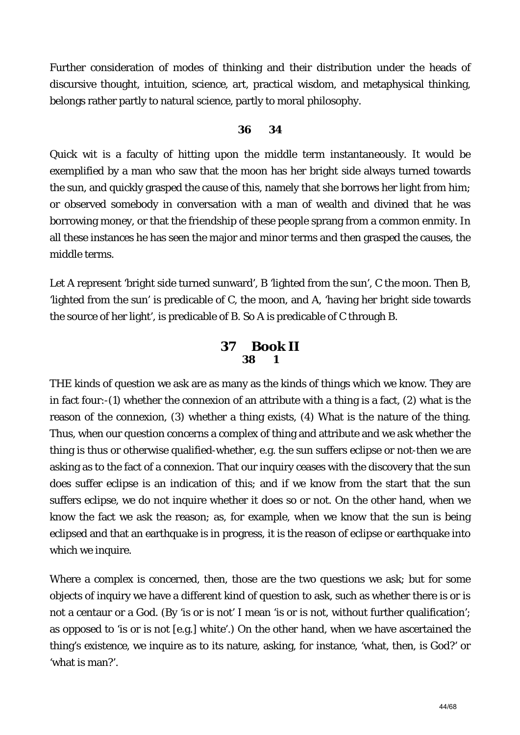Further consideration of modes of thinking and their distribution under the heads of discursive thought, intuition, science, art, practical wisdom, and metaphysical thinking, belongs rather partly to natural science, partly to moral philosophy.

### **36 34**

Quick wit is a faculty of hitting upon the middle term instantaneously. It would be exemplified by a man who saw that the moon has her bright side always turned towards the sun, and quickly grasped the cause of this, namely that she borrows her light from him; or observed somebody in conversation with a man of wealth and divined that he was borrowing money, or that the friendship of these people sprang from a common enmity. In all these instances he has seen the major and minor terms and then grasped the causes, the middle terms.

Let A represent 'bright side turned sunward', B 'lighted from the sun', C the moon. Then B, 'lighted from the sun' is predicable of C, the moon, and A, 'having her bright side towards the source of her light', is predicable of B. So A is predicable of C through B.

### **37 Book II 38 1**

THE kinds of question we ask are as many as the kinds of things which we know. They are in fact four:-(1) whether the connexion of an attribute with a thing is a fact, (2) what is the reason of the connexion, (3) whether a thing exists, (4) What is the nature of the thing. Thus, when our question concerns a complex of thing and attribute and we ask whether the thing is thus or otherwise qualified-whether, e.g. the sun suffers eclipse or not-then we are asking as to the fact of a connexion. That our inquiry ceases with the discovery that the sun does suffer eclipse is an indication of this; and if we know from the start that the sun suffers eclipse, we do not inquire whether it does so or not. On the other hand, when we know the fact we ask the reason; as, for example, when we know that the sun is being eclipsed and that an earthquake is in progress, it is the reason of eclipse or earthquake into which we inquire.

Where a complex is concerned, then, those are the two questions we ask; but for some objects of inquiry we have a different kind of question to ask, such as whether there is or is not a centaur or a God. (By 'is or is not' I mean 'is or is not, without further qualification'; as opposed to 'is or is not [e.g.] white'.) On the other hand, when we have ascertained the thing's existence, we inquire as to its nature, asking, for instance, 'what, then, is God?' or 'what is man?'.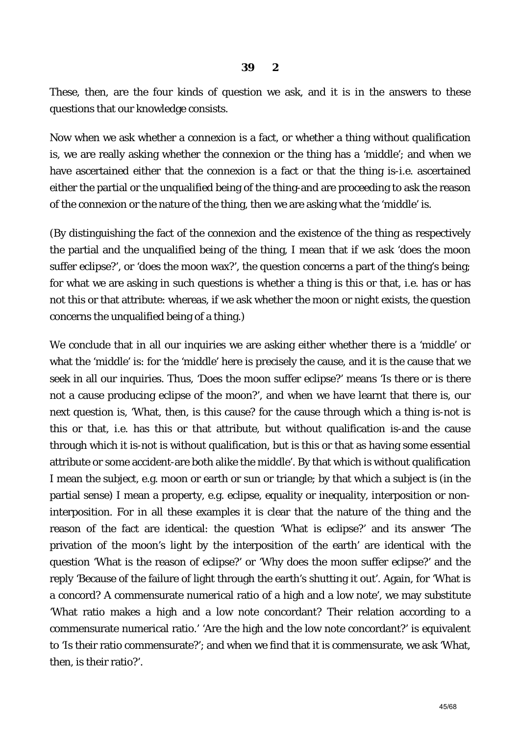These, then, are the four kinds of question we ask, and it is in the answers to these questions that our knowledge consists.

Now when we ask whether a connexion is a fact, or whether a thing without qualification is, we are really asking whether the connexion or the thing has a 'middle'; and when we have ascertained either that the connexion is a fact or that the thing is-i.e. ascertained either the partial or the unqualified being of the thing-and are proceeding to ask the reason of the connexion or the nature of the thing, then we are asking what the 'middle' is.

(By distinguishing the fact of the connexion and the existence of the thing as respectively the partial and the unqualified being of the thing, I mean that if we ask 'does the moon suffer eclipse?', or 'does the moon wax?', the question concerns a part of the thing's being; for what we are asking in such questions is whether a thing is this or that, i.e. has or has not this or that attribute: whereas, if we ask whether the moon or night exists, the question concerns the unqualified being of a thing.)

We conclude that in all our inquiries we are asking either whether there is a 'middle' or what the 'middle' is: for the 'middle' here is precisely the cause, and it is the cause that we seek in all our inquiries. Thus, 'Does the moon suffer eclipse?' means 'Is there or is there not a cause producing eclipse of the moon?', and when we have learnt that there is, our next question is, 'What, then, is this cause? for the cause through which a thing is-not is this or that, i.e. has this or that attribute, but without qualification is-and the cause through which it is-not is without qualification, but is this or that as having some essential attribute or some accident-are both alike the middle'. By that which is without qualification I mean the subject, e.g. moon or earth or sun or triangle; by that which a subject is (in the partial sense) I mean a property, e.g. eclipse, equality or inequality, interposition or noninterposition. For in all these examples it is clear that the nature of the thing and the reason of the fact are identical: the question 'What is eclipse?' and its answer 'The privation of the moon's light by the interposition of the earth' are identical with the question 'What is the reason of eclipse?' or 'Why does the moon suffer eclipse?' and the reply 'Because of the failure of light through the earth's shutting it out'. Again, for 'What is a concord? A commensurate numerical ratio of a high and a low note', we may substitute 'What ratio makes a high and a low note concordant? Their relation according to a commensurate numerical ratio.' 'Are the high and the low note concordant?' is equivalent to 'Is their ratio commensurate?'; and when we find that it is commensurate, we ask 'What, then, is their ratio?'.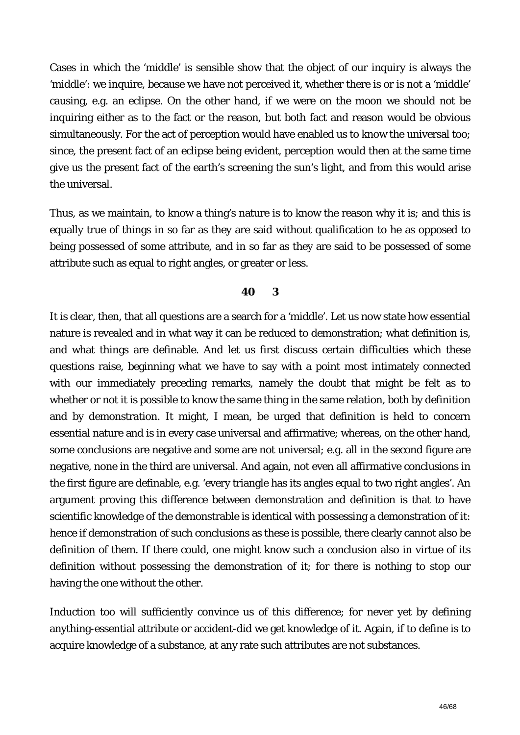Cases in which the 'middle' is sensible show that the object of our inquiry is always the 'middle': we inquire, because we have not perceived it, whether there is or is not a 'middle' causing, e.g. an eclipse. On the other hand, if we were on the moon we should not be inquiring either as to the fact or the reason, but both fact and reason would be obvious simultaneously. For the act of perception would have enabled us to know the universal too; since, the present fact of an eclipse being evident, perception would then at the same time give us the present fact of the earth's screening the sun's light, and from this would arise the universal.

Thus, as we maintain, to know a thing's nature is to know the reason why it is; and this is equally true of things in so far as they are said without qualification to he as opposed to being possessed of some attribute, and in so far as they are said to be possessed of some attribute such as equal to right angles, or greater or less.

### **40 3**

It is clear, then, that all questions are a search for a 'middle'. Let us now state how essential nature is revealed and in what way it can be reduced to demonstration; what definition is, and what things are definable. And let us first discuss certain difficulties which these questions raise, beginning what we have to say with a point most intimately connected with our immediately preceding remarks, namely the doubt that might be felt as to whether or not it is possible to know the same thing in the same relation, both by definition and by demonstration. It might, I mean, be urged that definition is held to concern essential nature and is in every case universal and affirmative; whereas, on the other hand, some conclusions are negative and some are not universal; e.g. all in the second figure are negative, none in the third are universal. And again, not even all affirmative conclusions in the first figure are definable, e.g. 'every triangle has its angles equal to two right angles'. An argument proving this difference between demonstration and definition is that to have scientific knowledge of the demonstrable is identical with possessing a demonstration of it: hence if demonstration of such conclusions as these is possible, there clearly cannot also be definition of them. If there could, one might know such a conclusion also in virtue of its definition without possessing the demonstration of it; for there is nothing to stop our having the one without the other.

Induction too will sufficiently convince us of this difference; for never yet by defining anything-essential attribute or accident-did we get knowledge of it. Again, if to define is to acquire knowledge of a substance, at any rate such attributes are not substances.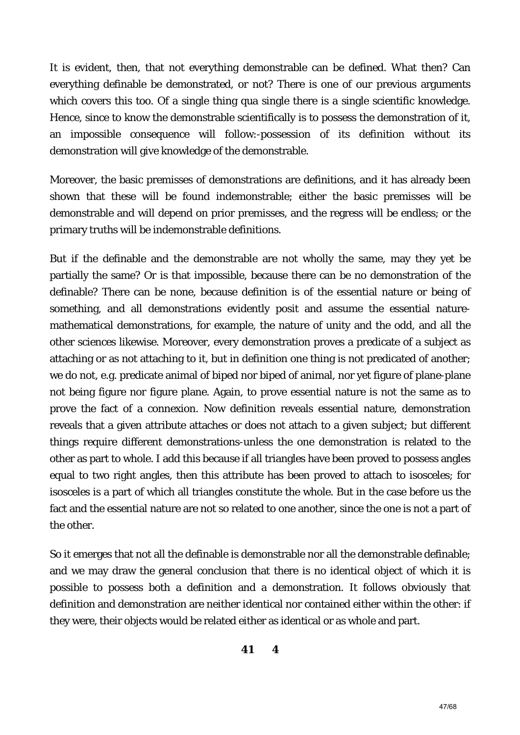It is evident, then, that not everything demonstrable can be defined. What then? Can everything definable be demonstrated, or not? There is one of our previous arguments which covers this too. Of a single thing qua single there is a single scientific knowledge. Hence, since to know the demonstrable scientifically is to possess the demonstration of it, an impossible consequence will follow:-possession of its definition without its demonstration will give knowledge of the demonstrable.

Moreover, the basic premisses of demonstrations are definitions, and it has already been shown that these will be found indemonstrable; either the basic premisses will be demonstrable and will depend on prior premisses, and the regress will be endless; or the primary truths will be indemonstrable definitions.

But if the definable and the demonstrable are not wholly the same, may they yet be partially the same? Or is that impossible, because there can be no demonstration of the definable? There can be none, because definition is of the essential nature or being of something, and all demonstrations evidently posit and assume the essential naturemathematical demonstrations, for example, the nature of unity and the odd, and all the other sciences likewise. Moreover, every demonstration proves a predicate of a subject as attaching or as not attaching to it, but in definition one thing is not predicated of another; we do not, e.g. predicate animal of biped nor biped of animal, nor yet figure of plane-plane not being figure nor figure plane. Again, to prove essential nature is not the same as to prove the fact of a connexion. Now definition reveals essential nature, demonstration reveals that a given attribute attaches or does not attach to a given subject; but different things require different demonstrations-unless the one demonstration is related to the other as part to whole. I add this because if all triangles have been proved to possess angles equal to two right angles, then this attribute has been proved to attach to isosceles; for isosceles is a part of which all triangles constitute the whole. But in the case before us the fact and the essential nature are not so related to one another, since the one is not a part of the other.

So it emerges that not all the definable is demonstrable nor all the demonstrable definable; and we may draw the general conclusion that there is no identical object of which it is possible to possess both a definition and a demonstration. It follows obviously that definition and demonstration are neither identical nor contained either within the other: if they were, their objects would be related either as identical or as whole and part.

**41 4**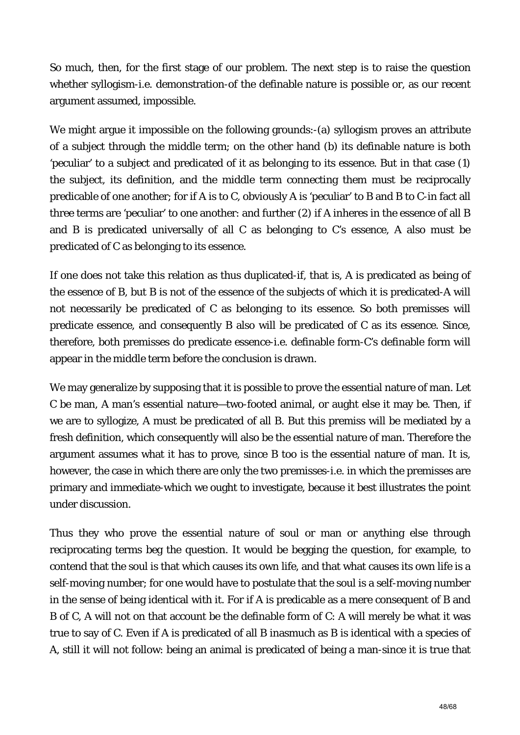So much, then, for the first stage of our problem. The next step is to raise the question whether syllogism-i.e. demonstration-of the definable nature is possible or, as our recent argument assumed, impossible.

We might argue it impossible on the following grounds:-(a) syllogism proves an attribute of a subject through the middle term; on the other hand (b) its definable nature is both 'peculiar' to a subject and predicated of it as belonging to its essence. But in that case (1) the subject, its definition, and the middle term connecting them must be reciprocally predicable of one another; for if A is to C, obviously A is 'peculiar' to B and B to C-in fact all three terms are 'peculiar' to one another: and further (2) if A inheres in the essence of all B and B is predicated universally of all C as belonging to C's essence, A also must be predicated of C as belonging to its essence.

If one does not take this relation as thus duplicated-if, that is, A is predicated as being of the essence of B, but B is not of the essence of the subjects of which it is predicated-A will not necessarily be predicated of C as belonging to its essence. So both premisses will predicate essence, and consequently B also will be predicated of C as its essence. Since, therefore, both premisses do predicate essence-i.e. definable form-C's definable form will appear in the middle term before the conclusion is drawn.

We may generalize by supposing that it is possible to prove the essential nature of man. Let C be man, A man's essential nature—two-footed animal, or aught else it may be. Then, if we are to syllogize, A must be predicated of all B. But this premiss will be mediated by a fresh definition, which consequently will also be the essential nature of man. Therefore the argument assumes what it has to prove, since B too is the essential nature of man. It is, however, the case in which there are only the two premisses-i.e. in which the premisses are primary and immediate-which we ought to investigate, because it best illustrates the point under discussion.

Thus they who prove the essential nature of soul or man or anything else through reciprocating terms beg the question. It would be begging the question, for example, to contend that the soul is that which causes its own life, and that what causes its own life is a self-moving number; for one would have to postulate that the soul is a self-moving number in the sense of being identical with it. For if A is predicable as a mere consequent of B and B of C, A will not on that account be the definable form of C: A will merely be what it was true to say of C. Even if A is predicated of all B inasmuch as B is identical with a species of A, still it will not follow: being an animal is predicated of being a man-since it is true that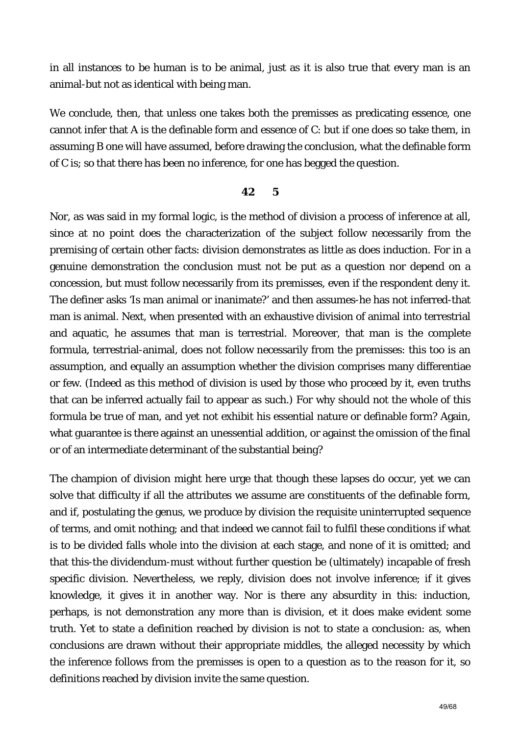in all instances to be human is to be animal, just as it is also true that every man is an animal-but not as identical with being man.

We conclude, then, that unless one takes both the premisses as predicating essence, one cannot infer that A is the definable form and essence of C: but if one does so take them, in assuming B one will have assumed, before drawing the conclusion, what the definable form of C is; so that there has been no inference, for one has begged the question.

### **42 5**

Nor, as was said in my formal logic, is the method of division a process of inference at all, since at no point does the characterization of the subject follow necessarily from the premising of certain other facts: division demonstrates as little as does induction. For in a genuine demonstration the conclusion must not be put as a question nor depend on a concession, but must follow necessarily from its premisses, even if the respondent deny it. The definer asks 'Is man animal or inanimate?' and then assumes-he has not inferred-that man is animal. Next, when presented with an exhaustive division of animal into terrestrial and aquatic, he assumes that man is terrestrial. Moreover, that man is the complete formula, terrestrial-animal, does not follow necessarily from the premisses: this too is an assumption, and equally an assumption whether the division comprises many differentiae or few. (Indeed as this method of division is used by those who proceed by it, even truths that can be inferred actually fail to appear as such.) For why should not the whole of this formula be true of man, and yet not exhibit his essential nature or definable form? Again, what guarantee is there against an unessential addition, or against the omission of the final or of an intermediate determinant of the substantial being?

The champion of division might here urge that though these lapses do occur, yet we can solve that difficulty if all the attributes we assume are constituents of the definable form, and if, postulating the genus, we produce by division the requisite uninterrupted sequence of terms, and omit nothing; and that indeed we cannot fail to fulfil these conditions if what is to be divided falls whole into the division at each stage, and none of it is omitted; and that this-the dividendum-must without further question be (ultimately) incapable of fresh specific division. Nevertheless, we reply, division does not involve inference; if it gives knowledge, it gives it in another way. Nor is there any absurdity in this: induction, perhaps, is not demonstration any more than is division, et it does make evident some truth. Yet to state a definition reached by division is not to state a conclusion: as, when conclusions are drawn without their appropriate middles, the alleged necessity by which the inference follows from the premisses is open to a question as to the reason for it, so definitions reached by division invite the same question.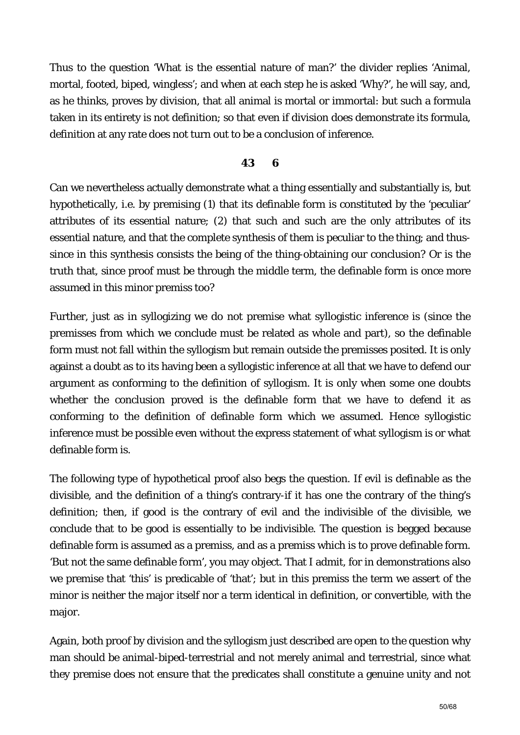Thus to the question 'What is the essential nature of man?' the divider replies 'Animal, mortal, footed, biped, wingless'; and when at each step he is asked 'Why?', he will say, and, as he thinks, proves by division, that all animal is mortal or immortal: but such a formula taken in its entirety is not definition; so that even if division does demonstrate its formula, definition at any rate does not turn out to be a conclusion of inference.

### **43 6**

Can we nevertheless actually demonstrate what a thing essentially and substantially is, but hypothetically, i.e. by premising (1) that its definable form is constituted by the 'peculiar' attributes of its essential nature; (2) that such and such are the only attributes of its essential nature, and that the complete synthesis of them is peculiar to the thing; and thussince in this synthesis consists the being of the thing-obtaining our conclusion? Or is the truth that, since proof must be through the middle term, the definable form is once more assumed in this minor premiss too?

Further, just as in syllogizing we do not premise what syllogistic inference is (since the premisses from which we conclude must be related as whole and part), so the definable form must not fall within the syllogism but remain outside the premisses posited. It is only against a doubt as to its having been a syllogistic inference at all that we have to defend our argument as conforming to the definition of syllogism. It is only when some one doubts whether the conclusion proved is the definable form that we have to defend it as conforming to the definition of definable form which we assumed. Hence syllogistic inference must be possible even without the express statement of what syllogism is or what definable form is.

The following type of hypothetical proof also begs the question. If evil is definable as the divisible, and the definition of a thing's contrary-if it has one the contrary of the thing's definition; then, if good is the contrary of evil and the indivisible of the divisible, we conclude that to be good is essentially to be indivisible. The question is begged because definable form is assumed as a premiss, and as a premiss which is to prove definable form. 'But not the same definable form', you may object. That I admit, for in demonstrations also we premise that 'this' is predicable of 'that'; but in this premiss the term we assert of the minor is neither the major itself nor a term identical in definition, or convertible, with the major.

Again, both proof by division and the syllogism just described are open to the question why man should be animal-biped-terrestrial and not merely animal and terrestrial, since what they premise does not ensure that the predicates shall constitute a genuine unity and not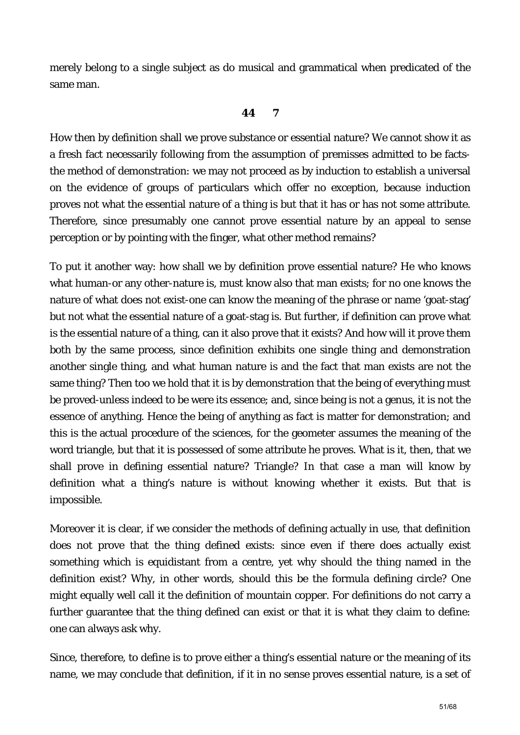merely belong to a single subject as do musical and grammatical when predicated of the same man.

### **44 7**

How then by definition shall we prove substance or essential nature? We cannot show it as a fresh fact necessarily following from the assumption of premisses admitted to be factsthe method of demonstration: we may not proceed as by induction to establish a universal on the evidence of groups of particulars which offer no exception, because induction proves not what the essential nature of a thing is but that it has or has not some attribute. Therefore, since presumably one cannot prove essential nature by an appeal to sense perception or by pointing with the finger, what other method remains?

To put it another way: how shall we by definition prove essential nature? He who knows what human-or any other-nature is, must know also that man exists; for no one knows the nature of what does not exist-one can know the meaning of the phrase or name 'goat-stag' but not what the essential nature of a goat-stag is. But further, if definition can prove what is the essential nature of a thing, can it also prove that it exists? And how will it prove them both by the same process, since definition exhibits one single thing and demonstration another single thing, and what human nature is and the fact that man exists are not the same thing? Then too we hold that it is by demonstration that the being of everything must be proved-unless indeed to be were its essence; and, since being is not a genus, it is not the essence of anything. Hence the being of anything as fact is matter for demonstration; and this is the actual procedure of the sciences, for the geometer assumes the meaning of the word triangle, but that it is possessed of some attribute he proves. What is it, then, that we shall prove in defining essential nature? Triangle? In that case a man will know by definition what a thing's nature is without knowing whether it exists. But that is impossible.

Moreover it is clear, if we consider the methods of defining actually in use, that definition does not prove that the thing defined exists: since even if there does actually exist something which is equidistant from a centre, yet why should the thing named in the definition exist? Why, in other words, should this be the formula defining circle? One might equally well call it the definition of mountain copper. For definitions do not carry a further guarantee that the thing defined can exist or that it is what they claim to define: one can always ask why.

Since, therefore, to define is to prove either a thing's essential nature or the meaning of its name, we may conclude that definition, if it in no sense proves essential nature, is a set of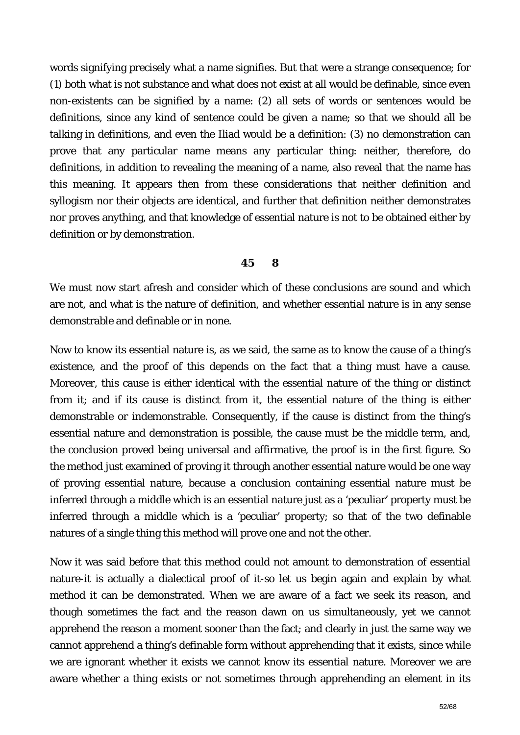words signifying precisely what a name signifies. But that were a strange consequence; for (1) both what is not substance and what does not exist at all would be definable, since even non-existents can be signified by a name: (2) all sets of words or sentences would be definitions, since any kind of sentence could be given a name; so that we should all be talking in definitions, and even the Iliad would be a definition: (3) no demonstration can prove that any particular name means any particular thing: neither, therefore, do definitions, in addition to revealing the meaning of a name, also reveal that the name has this meaning. It appears then from these considerations that neither definition and syllogism nor their objects are identical, and further that definition neither demonstrates nor proves anything, and that knowledge of essential nature is not to be obtained either by definition or by demonstration.

### **45 8**

We must now start afresh and consider which of these conclusions are sound and which are not, and what is the nature of definition, and whether essential nature is in any sense demonstrable and definable or in none.

Now to know its essential nature is, as we said, the same as to know the cause of a thing's existence, and the proof of this depends on the fact that a thing must have a cause. Moreover, this cause is either identical with the essential nature of the thing or distinct from it; and if its cause is distinct from it, the essential nature of the thing is either demonstrable or indemonstrable. Consequently, if the cause is distinct from the thing's essential nature and demonstration is possible, the cause must be the middle term, and, the conclusion proved being universal and affirmative, the proof is in the first figure. So the method just examined of proving it through another essential nature would be one way of proving essential nature, because a conclusion containing essential nature must be inferred through a middle which is an essential nature just as a 'peculiar' property must be inferred through a middle which is a 'peculiar' property; so that of the two definable natures of a single thing this method will prove one and not the other.

Now it was said before that this method could not amount to demonstration of essential nature-it is actually a dialectical proof of it-so let us begin again and explain by what method it can be demonstrated. When we are aware of a fact we seek its reason, and though sometimes the fact and the reason dawn on us simultaneously, yet we cannot apprehend the reason a moment sooner than the fact; and clearly in just the same way we cannot apprehend a thing's definable form without apprehending that it exists, since while we are ignorant whether it exists we cannot know its essential nature. Moreover we are aware whether a thing exists or not sometimes through apprehending an element in its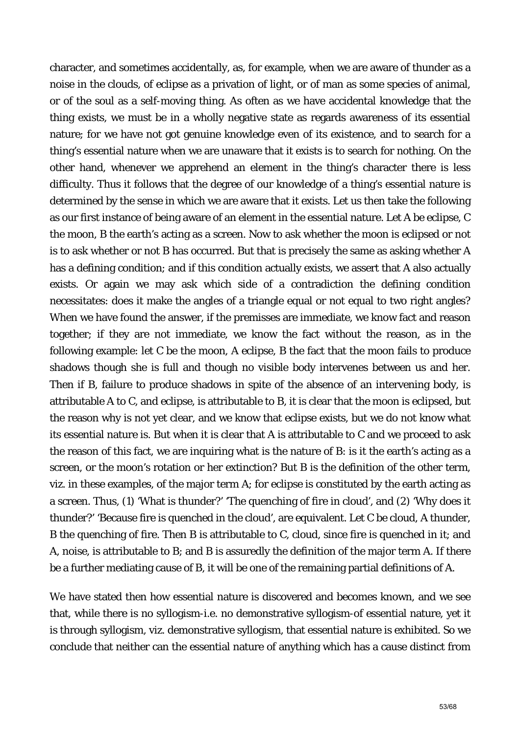character, and sometimes accidentally, as, for example, when we are aware of thunder as a noise in the clouds, of eclipse as a privation of light, or of man as some species of animal, or of the soul as a self-moving thing. As often as we have accidental knowledge that the thing exists, we must be in a wholly negative state as regards awareness of its essential nature; for we have not got genuine knowledge even of its existence, and to search for a thing's essential nature when we are unaware that it exists is to search for nothing. On the other hand, whenever we apprehend an element in the thing's character there is less difficulty. Thus it follows that the degree of our knowledge of a thing's essential nature is determined by the sense in which we are aware that it exists. Let us then take the following as our first instance of being aware of an element in the essential nature. Let A be eclipse, C the moon, B the earth's acting as a screen. Now to ask whether the moon is eclipsed or not is to ask whether or not B has occurred. But that is precisely the same as asking whether A has a defining condition; and if this condition actually exists, we assert that A also actually exists. Or again we may ask which side of a contradiction the defining condition necessitates: does it make the angles of a triangle equal or not equal to two right angles? When we have found the answer, if the premisses are immediate, we know fact and reason together; if they are not immediate, we know the fact without the reason, as in the following example: let C be the moon, A eclipse, B the fact that the moon fails to produce shadows though she is full and though no visible body intervenes between us and her. Then if B, failure to produce shadows in spite of the absence of an intervening body, is attributable A to C, and eclipse, is attributable to B, it is clear that the moon is eclipsed, but the reason why is not yet clear, and we know that eclipse exists, but we do not know what its essential nature is. But when it is clear that A is attributable to C and we proceed to ask the reason of this fact, we are inquiring what is the nature of B: is it the earth's acting as a screen, or the moon's rotation or her extinction? But B is the definition of the other term, viz. in these examples, of the major term A; for eclipse is constituted by the earth acting as a screen. Thus, (1) 'What is thunder?' 'The quenching of fire in cloud', and (2) 'Why does it thunder?' 'Because fire is quenched in the cloud', are equivalent. Let C be cloud, A thunder, B the quenching of fire. Then B is attributable to C, cloud, since fire is quenched in it; and A, noise, is attributable to B; and B is assuredly the definition of the major term A. If there be a further mediating cause of B, it will be one of the remaining partial definitions of A.

We have stated then how essential nature is discovered and becomes known, and we see that, while there is no syllogism-i.e. no demonstrative syllogism-of essential nature, yet it is through syllogism, viz. demonstrative syllogism, that essential nature is exhibited. So we conclude that neither can the essential nature of anything which has a cause distinct from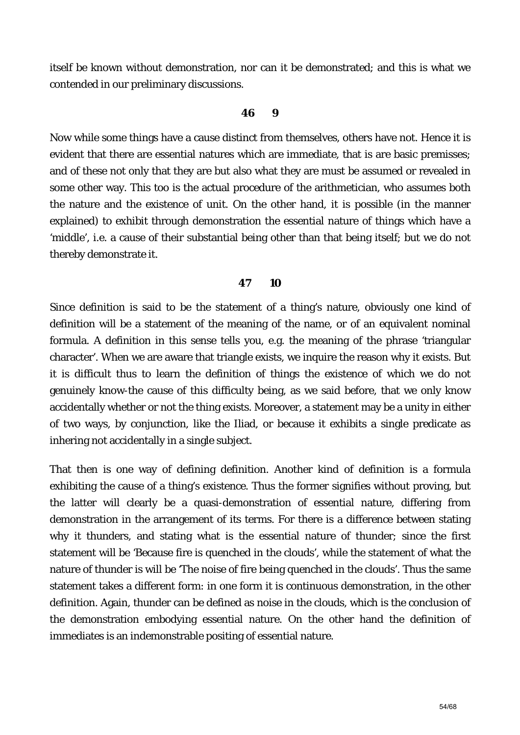itself be known without demonstration, nor can it be demonstrated; and this is what we contended in our preliminary discussions.

### **46 9**

Now while some things have a cause distinct from themselves, others have not. Hence it is evident that there are essential natures which are immediate, that is are basic premisses; and of these not only that they are but also what they are must be assumed or revealed in some other way. This too is the actual procedure of the arithmetician, who assumes both the nature and the existence of unit. On the other hand, it is possible (in the manner explained) to exhibit through demonstration the essential nature of things which have a 'middle', i.e. a cause of their substantial being other than that being itself; but we do not thereby demonstrate it.

### **47 10**

Since definition is said to be the statement of a thing's nature, obviously one kind of definition will be a statement of the meaning of the name, or of an equivalent nominal formula. A definition in this sense tells you, e.g. the meaning of the phrase 'triangular character'. When we are aware that triangle exists, we inquire the reason why it exists. But it is difficult thus to learn the definition of things the existence of which we do not genuinely know-the cause of this difficulty being, as we said before, that we only know accidentally whether or not the thing exists. Moreover, a statement may be a unity in either of two ways, by conjunction, like the Iliad, or because it exhibits a single predicate as inhering not accidentally in a single subject.

That then is one way of defining definition. Another kind of definition is a formula exhibiting the cause of a thing's existence. Thus the former signifies without proving, but the latter will clearly be a quasi-demonstration of essential nature, differing from demonstration in the arrangement of its terms. For there is a difference between stating why it thunders, and stating what is the essential nature of thunder; since the first statement will be 'Because fire is quenched in the clouds', while the statement of what the nature of thunder is will be 'The noise of fire being quenched in the clouds'. Thus the same statement takes a different form: in one form it is continuous demonstration, in the other definition. Again, thunder can be defined as noise in the clouds, which is the conclusion of the demonstration embodying essential nature. On the other hand the definition of immediates is an indemonstrable positing of essential nature.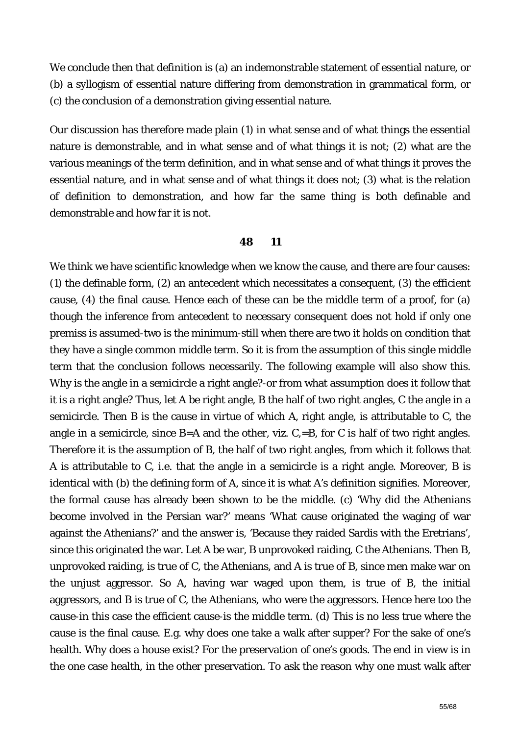We conclude then that definition is (a) an indemonstrable statement of essential nature, or (b) a syllogism of essential nature differing from demonstration in grammatical form, or (c) the conclusion of a demonstration giving essential nature.

Our discussion has therefore made plain (1) in what sense and of what things the essential nature is demonstrable, and in what sense and of what things it is not; (2) what are the various meanings of the term definition, and in what sense and of what things it proves the essential nature, and in what sense and of what things it does not; (3) what is the relation of definition to demonstration, and how far the same thing is both definable and demonstrable and how far it is not.

#### **48 11**

We think we have scientific knowledge when we know the cause, and there are four causes: (1) the definable form, (2) an antecedent which necessitates a consequent, (3) the efficient cause, (4) the final cause. Hence each of these can be the middle term of a proof, for (a) though the inference from antecedent to necessary consequent does not hold if only one premiss is assumed-two is the minimum-still when there are two it holds on condition that they have a single common middle term. So it is from the assumption of this single middle term that the conclusion follows necessarily. The following example will also show this. Why is the angle in a semicircle a right angle?-or from what assumption does it follow that it is a right angle? Thus, let A be right angle, B the half of two right angles, C the angle in a semicircle. Then B is the cause in virtue of which A, right angle, is attributable to C, the angle in a semicircle, since  $B=A$  and the other, viz.  $C = B$ , for C is half of two right angles. Therefore it is the assumption of B, the half of two right angles, from which it follows that A is attributable to C, i.e. that the angle in a semicircle is a right angle. Moreover, B is identical with (b) the defining form of A, since it is what A's definition signifies. Moreover, the formal cause has already been shown to be the middle. (c) 'Why did the Athenians become involved in the Persian war?' means 'What cause originated the waging of war against the Athenians?' and the answer is, 'Because they raided Sardis with the Eretrians', since this originated the war. Let A be war, B unprovoked raiding, C the Athenians. Then B, unprovoked raiding, is true of C, the Athenians, and A is true of B, since men make war on the unjust aggressor. So A, having war waged upon them, is true of B, the initial aggressors, and B is true of C, the Athenians, who were the aggressors. Hence here too the cause-in this case the efficient cause-is the middle term. (d) This is no less true where the cause is the final cause. E.g. why does one take a walk after supper? For the sake of one's health. Why does a house exist? For the preservation of one's goods. The end in view is in the one case health, in the other preservation. To ask the reason why one must walk after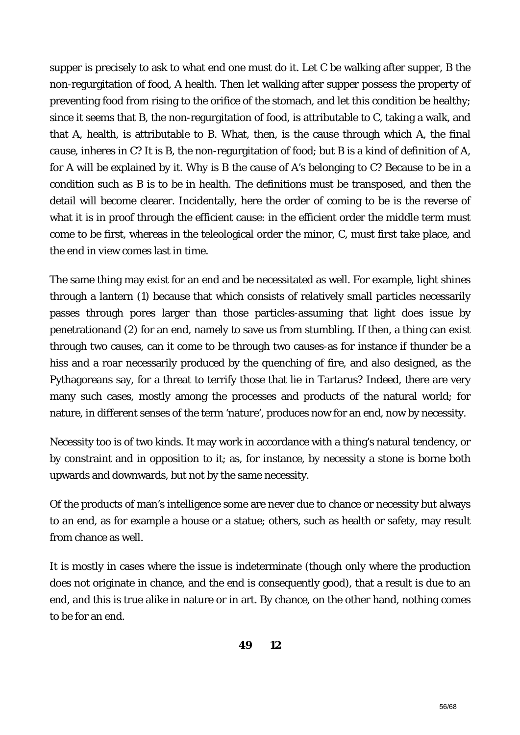supper is precisely to ask to what end one must do it. Let C be walking after supper, B the non-regurgitation of food, A health. Then let walking after supper possess the property of preventing food from rising to the orifice of the stomach, and let this condition be healthy; since it seems that B, the non-regurgitation of food, is attributable to C, taking a walk, and that A, health, is attributable to B. What, then, is the cause through which A, the final cause, inheres in C? It is B, the non-regurgitation of food; but B is a kind of definition of A, for A will be explained by it. Why is B the cause of A's belonging to C? Because to be in a condition such as B is to be in health. The definitions must be transposed, and then the detail will become clearer. Incidentally, here the order of coming to be is the reverse of what it is in proof through the efficient cause: in the efficient order the middle term must come to be first, whereas in the teleological order the minor, C, must first take place, and the end in view comes last in time.

The same thing may exist for an end and be necessitated as well. For example, light shines through a lantern (1) because that which consists of relatively small particles necessarily passes through pores larger than those particles-assuming that light does issue by penetrationand (2) for an end, namely to save us from stumbling. If then, a thing can exist through two causes, can it come to be through two causes-as for instance if thunder be a hiss and a roar necessarily produced by the quenching of fire, and also designed, as the Pythagoreans say, for a threat to terrify those that lie in Tartarus? Indeed, there are very many such cases, mostly among the processes and products of the natural world; for nature, in different senses of the term 'nature', produces now for an end, now by necessity.

Necessity too is of two kinds. It may work in accordance with a thing's natural tendency, or by constraint and in opposition to it; as, for instance, by necessity a stone is borne both upwards and downwards, but not by the same necessity.

Of the products of man's intelligence some are never due to chance or necessity but always to an end, as for example a house or a statue; others, such as health or safety, may result from chance as well.

It is mostly in cases where the issue is indeterminate (though only where the production does not originate in chance, and the end is consequently good), that a result is due to an end, and this is true alike in nature or in art. By chance, on the other hand, nothing comes to be for an end.

**49 12**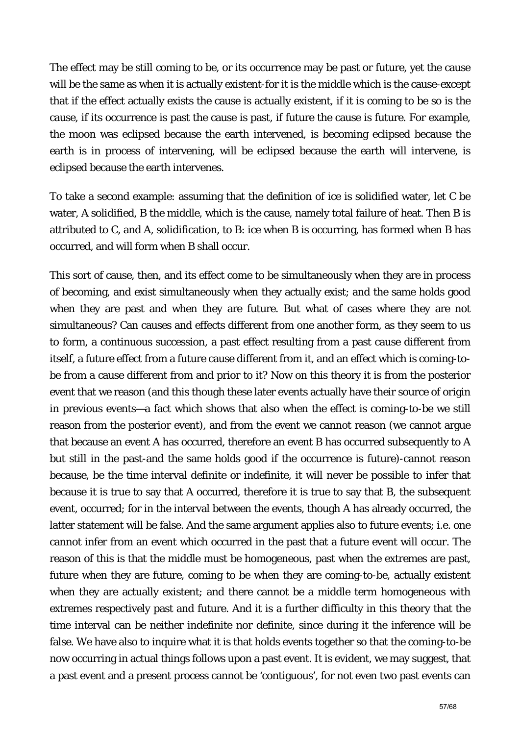The effect may be still coming to be, or its occurrence may be past or future, yet the cause will be the same as when it is actually existent-for it is the middle which is the cause-except that if the effect actually exists the cause is actually existent, if it is coming to be so is the cause, if its occurrence is past the cause is past, if future the cause is future. For example, the moon was eclipsed because the earth intervened, is becoming eclipsed because the earth is in process of intervening, will be eclipsed because the earth will intervene, is eclipsed because the earth intervenes.

To take a second example: assuming that the definition of ice is solidified water, let C be water, A solidified, B the middle, which is the cause, namely total failure of heat. Then B is attributed to C, and A, solidification, to B: ice when B is occurring, has formed when B has occurred, and will form when B shall occur.

This sort of cause, then, and its effect come to be simultaneously when they are in process of becoming, and exist simultaneously when they actually exist; and the same holds good when they are past and when they are future. But what of cases where they are not simultaneous? Can causes and effects different from one another form, as they seem to us to form, a continuous succession, a past effect resulting from a past cause different from itself, a future effect from a future cause different from it, and an effect which is coming-tobe from a cause different from and prior to it? Now on this theory it is from the posterior event that we reason (and this though these later events actually have their source of origin in previous events—a fact which shows that also when the effect is coming-to-be we still reason from the posterior event), and from the event we cannot reason (we cannot argue that because an event A has occurred, therefore an event B has occurred subsequently to A but still in the past-and the same holds good if the occurrence is future)-cannot reason because, be the time interval definite or indefinite, it will never be possible to infer that because it is true to say that A occurred, therefore it is true to say that B, the subsequent event, occurred; for in the interval between the events, though A has already occurred, the latter statement will be false. And the same argument applies also to future events; i.e. one cannot infer from an event which occurred in the past that a future event will occur. The reason of this is that the middle must be homogeneous, past when the extremes are past, future when they are future, coming to be when they are coming-to-be, actually existent when they are actually existent; and there cannot be a middle term homogeneous with extremes respectively past and future. And it is a further difficulty in this theory that the time interval can be neither indefinite nor definite, since during it the inference will be false. We have also to inquire what it is that holds events together so that the coming-to-be now occurring in actual things follows upon a past event. It is evident, we may suggest, that a past event and a present process cannot be 'contiguous', for not even two past events can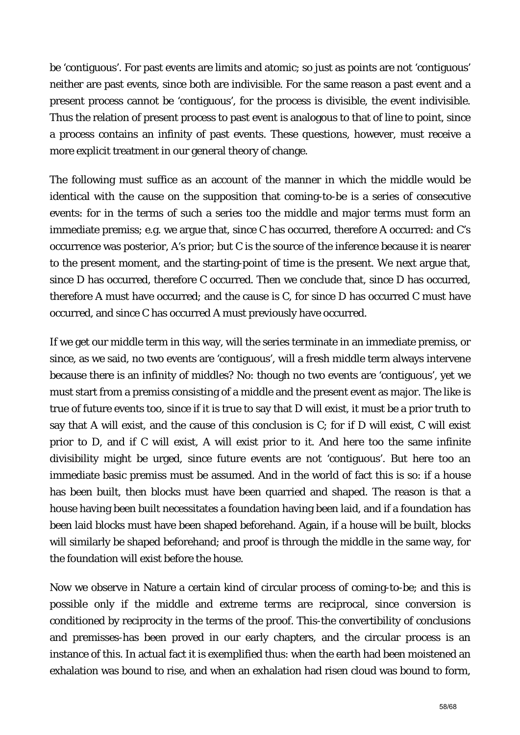be 'contiguous'. For past events are limits and atomic; so just as points are not 'contiguous' neither are past events, since both are indivisible. For the same reason a past event and a present process cannot be 'contiguous', for the process is divisible, the event indivisible. Thus the relation of present process to past event is analogous to that of line to point, since a process contains an infinity of past events. These questions, however, must receive a more explicit treatment in our general theory of change.

The following must suffice as an account of the manner in which the middle would be identical with the cause on the supposition that coming-to-be is a series of consecutive events: for in the terms of such a series too the middle and major terms must form an immediate premiss; e.g. we argue that, since C has occurred, therefore A occurred: and C's occurrence was posterior, A's prior; but C is the source of the inference because it is nearer to the present moment, and the starting-point of time is the present. We next argue that, since D has occurred, therefore C occurred. Then we conclude that, since D has occurred, therefore A must have occurred; and the cause is C, for since D has occurred C must have occurred, and since C has occurred A must previously have occurred.

If we get our middle term in this way, will the series terminate in an immediate premiss, or since, as we said, no two events are 'contiguous', will a fresh middle term always intervene because there is an infinity of middles? No: though no two events are 'contiguous', yet we must start from a premiss consisting of a middle and the present event as major. The like is true of future events too, since if it is true to say that D will exist, it must be a prior truth to say that A will exist, and the cause of this conclusion is C; for if D will exist, C will exist prior to D, and if C will exist, A will exist prior to it. And here too the same infinite divisibility might be urged, since future events are not 'contiguous'. But here too an immediate basic premiss must be assumed. And in the world of fact this is so: if a house has been built, then blocks must have been quarried and shaped. The reason is that a house having been built necessitates a foundation having been laid, and if a foundation has been laid blocks must have been shaped beforehand. Again, if a house will be built, blocks will similarly be shaped beforehand; and proof is through the middle in the same way, for the foundation will exist before the house.

Now we observe in Nature a certain kind of circular process of coming-to-be; and this is possible only if the middle and extreme terms are reciprocal, since conversion is conditioned by reciprocity in the terms of the proof. This-the convertibility of conclusions and premisses-has been proved in our early chapters, and the circular process is an instance of this. In actual fact it is exemplified thus: when the earth had been moistened an exhalation was bound to rise, and when an exhalation had risen cloud was bound to form,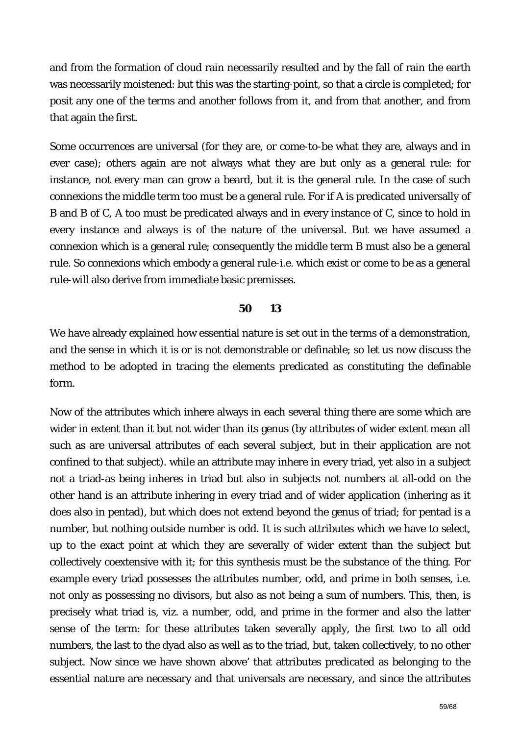and from the formation of cloud rain necessarily resulted and by the fall of rain the earth was necessarily moistened: but this was the starting-point, so that a circle is completed; for posit any one of the terms and another follows from it, and from that another, and from that again the first.

Some occurrences are universal (for they are, or come-to-be what they are, always and in ever case); others again are not always what they are but only as a general rule: for instance, not every man can grow a beard, but it is the general rule. In the case of such connexions the middle term too must be a general rule. For if A is predicated universally of B and B of C, A too must be predicated always and in every instance of C, since to hold in every instance and always is of the nature of the universal. But we have assumed a connexion which is a general rule; consequently the middle term B must also be a general rule. So connexions which embody a general rule-i.e. which exist or come to be as a general rule-will also derive from immediate basic premisses.

### **50 13**

We have already explained how essential nature is set out in the terms of a demonstration, and the sense in which it is or is not demonstrable or definable; so let us now discuss the method to be adopted in tracing the elements predicated as constituting the definable form.

Now of the attributes which inhere always in each several thing there are some which are wider in extent than it but not wider than its genus (by attributes of wider extent mean all such as are universal attributes of each several subject, but in their application are not confined to that subject). while an attribute may inhere in every triad, yet also in a subject not a triad-as being inheres in triad but also in subjects not numbers at all-odd on the other hand is an attribute inhering in every triad and of wider application (inhering as it does also in pentad), but which does not extend beyond the genus of triad; for pentad is a number, but nothing outside number is odd. It is such attributes which we have to select, up to the exact point at which they are severally of wider extent than the subject but collectively coextensive with it; for this synthesis must be the substance of the thing. For example every triad possesses the attributes number, odd, and prime in both senses, i.e. not only as possessing no divisors, but also as not being a sum of numbers. This, then, is precisely what triad is, viz. a number, odd, and prime in the former and also the latter sense of the term: for these attributes taken severally apply, the first two to all odd numbers, the last to the dyad also as well as to the triad, but, taken collectively, to no other subject. Now since we have shown above' that attributes predicated as belonging to the essential nature are necessary and that universals are necessary, and since the attributes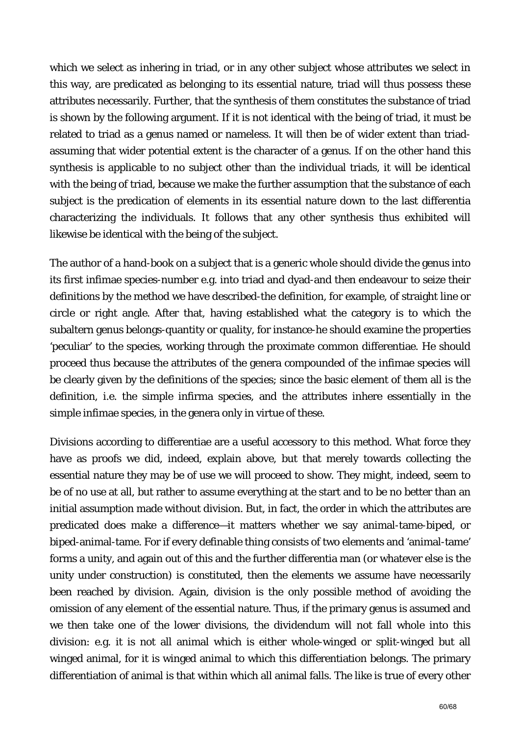which we select as inhering in triad, or in any other subject whose attributes we select in this way, are predicated as belonging to its essential nature, triad will thus possess these attributes necessarily. Further, that the synthesis of them constitutes the substance of triad is shown by the following argument. If it is not identical with the being of triad, it must be related to triad as a genus named or nameless. It will then be of wider extent than triadassuming that wider potential extent is the character of a genus. If on the other hand this synthesis is applicable to no subject other than the individual triads, it will be identical with the being of triad, because we make the further assumption that the substance of each subject is the predication of elements in its essential nature down to the last differentia characterizing the individuals. It follows that any other synthesis thus exhibited will likewise be identical with the being of the subject.

The author of a hand-book on a subject that is a generic whole should divide the genus into its first infimae species-number e.g. into triad and dyad-and then endeavour to seize their definitions by the method we have described-the definition, for example, of straight line or circle or right angle. After that, having established what the category is to which the subaltern genus belongs-quantity or quality, for instance-he should examine the properties 'peculiar' to the species, working through the proximate common differentiae. He should proceed thus because the attributes of the genera compounded of the infimae species will be clearly given by the definitions of the species; since the basic element of them all is the definition, i.e. the simple infirma species, and the attributes inhere essentially in the simple infimae species, in the genera only in virtue of these.

Divisions according to differentiae are a useful accessory to this method. What force they have as proofs we did, indeed, explain above, but that merely towards collecting the essential nature they may be of use we will proceed to show. They might, indeed, seem to be of no use at all, but rather to assume everything at the start and to be no better than an initial assumption made without division. But, in fact, the order in which the attributes are predicated does make a difference—it matters whether we say animal-tame-biped, or biped-animal-tame. For if every definable thing consists of two elements and 'animal-tame' forms a unity, and again out of this and the further differentia man (or whatever else is the unity under construction) is constituted, then the elements we assume have necessarily been reached by division. Again, division is the only possible method of avoiding the omission of any element of the essential nature. Thus, if the primary genus is assumed and we then take one of the lower divisions, the dividendum will not fall whole into this division: e.g. it is not all animal which is either whole-winged or split-winged but all winged animal, for it is winged animal to which this differentiation belongs. The primary differentiation of animal is that within which all animal falls. The like is true of every other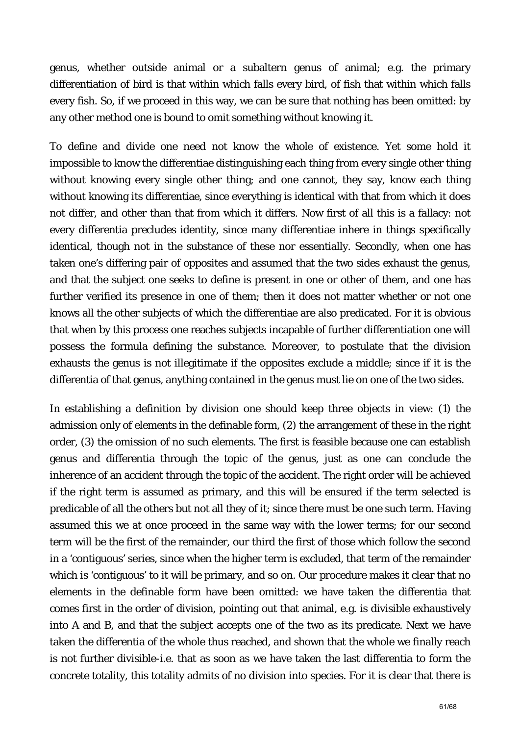genus, whether outside animal or a subaltern genus of animal; e.g. the primary differentiation of bird is that within which falls every bird, of fish that within which falls every fish. So, if we proceed in this way, we can be sure that nothing has been omitted: by any other method one is bound to omit something without knowing it.

To define and divide one need not know the whole of existence. Yet some hold it impossible to know the differentiae distinguishing each thing from every single other thing without knowing every single other thing; and one cannot, they say, know each thing without knowing its differentiae, since everything is identical with that from which it does not differ, and other than that from which it differs. Now first of all this is a fallacy: not every differentia precludes identity, since many differentiae inhere in things specifically identical, though not in the substance of these nor essentially. Secondly, when one has taken one's differing pair of opposites and assumed that the two sides exhaust the genus, and that the subject one seeks to define is present in one or other of them, and one has further verified its presence in one of them; then it does not matter whether or not one knows all the other subjects of which the differentiae are also predicated. For it is obvious that when by this process one reaches subjects incapable of further differentiation one will possess the formula defining the substance. Moreover, to postulate that the division exhausts the genus is not illegitimate if the opposites exclude a middle; since if it is the differentia of that genus, anything contained in the genus must lie on one of the two sides.

In establishing a definition by division one should keep three objects in view: (1) the admission only of elements in the definable form, (2) the arrangement of these in the right order, (3) the omission of no such elements. The first is feasible because one can establish genus and differentia through the topic of the genus, just as one can conclude the inherence of an accident through the topic of the accident. The right order will be achieved if the right term is assumed as primary, and this will be ensured if the term selected is predicable of all the others but not all they of it; since there must be one such term. Having assumed this we at once proceed in the same way with the lower terms; for our second term will be the first of the remainder, our third the first of those which follow the second in a 'contiguous' series, since when the higher term is excluded, that term of the remainder which is 'contiguous' to it will be primary, and so on. Our procedure makes it clear that no elements in the definable form have been omitted: we have taken the differentia that comes first in the order of division, pointing out that animal, e.g. is divisible exhaustively into A and B, and that the subject accepts one of the two as its predicate. Next we have taken the differentia of the whole thus reached, and shown that the whole we finally reach is not further divisible-i.e. that as soon as we have taken the last differentia to form the concrete totality, this totality admits of no division into species. For it is clear that there is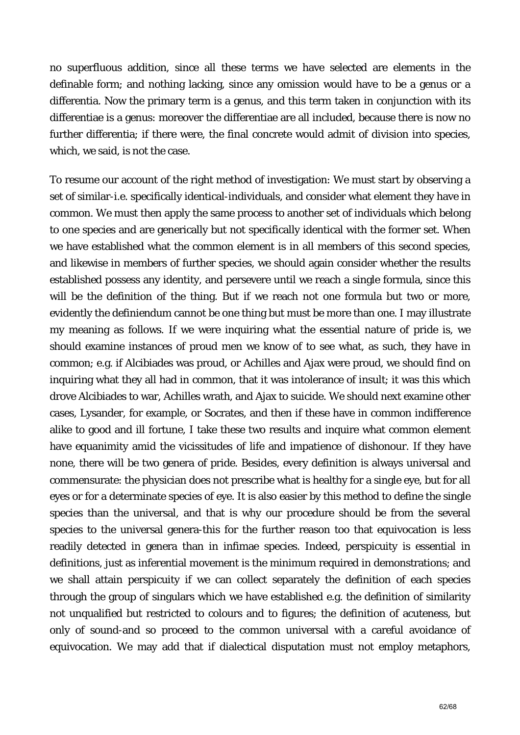no superfluous addition, since all these terms we have selected are elements in the definable form; and nothing lacking, since any omission would have to be a genus or a differentia. Now the primary term is a genus, and this term taken in conjunction with its differentiae is a genus: moreover the differentiae are all included, because there is now no further differentia; if there were, the final concrete would admit of division into species, which, we said, is not the case.

To resume our account of the right method of investigation: We must start by observing a set of similar-i.e. specifically identical-individuals, and consider what element they have in common. We must then apply the same process to another set of individuals which belong to one species and are generically but not specifically identical with the former set. When we have established what the common element is in all members of this second species, and likewise in members of further species, we should again consider whether the results established possess any identity, and persevere until we reach a single formula, since this will be the definition of the thing. But if we reach not one formula but two or more, evidently the definiendum cannot be one thing but must be more than one. I may illustrate my meaning as follows. If we were inquiring what the essential nature of pride is, we should examine instances of proud men we know of to see what, as such, they have in common; e.g. if Alcibiades was proud, or Achilles and Ajax were proud, we should find on inquiring what they all had in common, that it was intolerance of insult; it was this which drove Alcibiades to war, Achilles wrath, and Ajax to suicide. We should next examine other cases, Lysander, for example, or Socrates, and then if these have in common indifference alike to good and ill fortune, I take these two results and inquire what common element have equanimity amid the vicissitudes of life and impatience of dishonour. If they have none, there will be two genera of pride. Besides, every definition is always universal and commensurate: the physician does not prescribe what is healthy for a single eye, but for all eyes or for a determinate species of eye. It is also easier by this method to define the single species than the universal, and that is why our procedure should be from the several species to the universal genera-this for the further reason too that equivocation is less readily detected in genera than in infimae species. Indeed, perspicuity is essential in definitions, just as inferential movement is the minimum required in demonstrations; and we shall attain perspicuity if we can collect separately the definition of each species through the group of singulars which we have established e.g. the definition of similarity not unqualified but restricted to colours and to figures; the definition of acuteness, but only of sound-and so proceed to the common universal with a careful avoidance of equivocation. We may add that if dialectical disputation must not employ metaphors,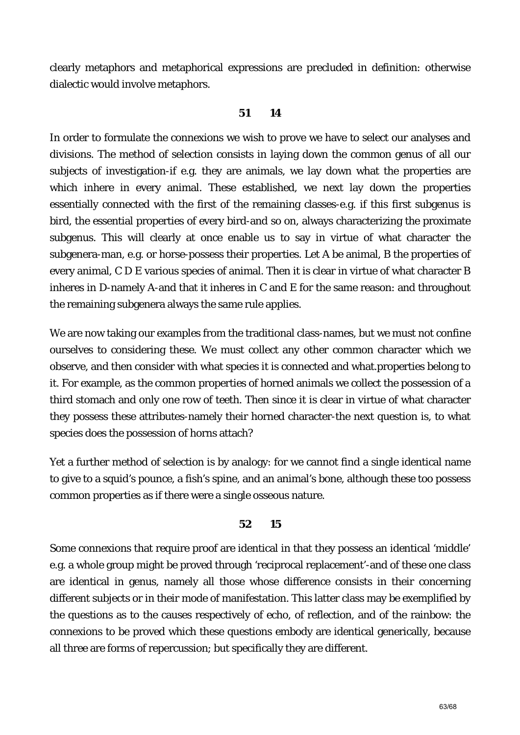clearly metaphors and metaphorical expressions are precluded in definition: otherwise dialectic would involve metaphors.

### **51 14**

In order to formulate the connexions we wish to prove we have to select our analyses and divisions. The method of selection consists in laying down the common genus of all our subjects of investigation-if e.g. they are animals, we lay down what the properties are which inhere in every animal. These established, we next lay down the properties essentially connected with the first of the remaining classes-e.g. if this first subgenus is bird, the essential properties of every bird-and so on, always characterizing the proximate subgenus. This will clearly at once enable us to say in virtue of what character the subgenera-man, e.g. or horse-possess their properties. Let A be animal, B the properties of every animal, C D E various species of animal. Then it is clear in virtue of what character B inheres in D-namely A-and that it inheres in C and E for the same reason: and throughout the remaining subgenera always the same rule applies.

We are now taking our examples from the traditional class-names, but we must not confine ourselves to considering these. We must collect any other common character which we observe, and then consider with what species it is connected and what.properties belong to it. For example, as the common properties of horned animals we collect the possession of a third stomach and only one row of teeth. Then since it is clear in virtue of what character they possess these attributes-namely their horned character-the next question is, to what species does the possession of horns attach?

Yet a further method of selection is by analogy: for we cannot find a single identical name to give to a squid's pounce, a fish's spine, and an animal's bone, although these too possess common properties as if there were a single osseous nature.

### **52 15**

Some connexions that require proof are identical in that they possess an identical 'middle' e.g. a whole group might be proved through 'reciprocal replacement'-and of these one class are identical in genus, namely all those whose difference consists in their concerning different subjects or in their mode of manifestation. This latter class may be exemplified by the questions as to the causes respectively of echo, of reflection, and of the rainbow: the connexions to be proved which these questions embody are identical generically, because all three are forms of repercussion; but specifically they are different.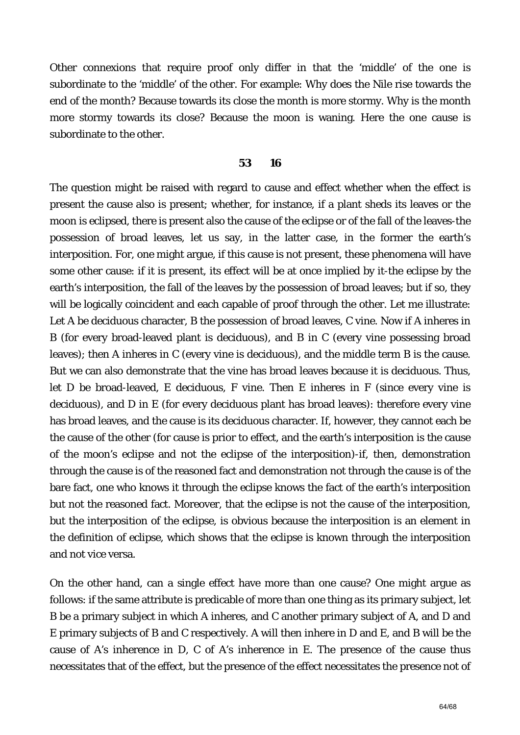Other connexions that require proof only differ in that the 'middle' of the one is subordinate to the 'middle' of the other. For example: Why does the Nile rise towards the end of the month? Because towards its close the month is more stormy. Why is the month more stormy towards its close? Because the moon is waning. Here the one cause is subordinate to the other.

### **53 16**

The question might be raised with regard to cause and effect whether when the effect is present the cause also is present; whether, for instance, if a plant sheds its leaves or the moon is eclipsed, there is present also the cause of the eclipse or of the fall of the leaves-the possession of broad leaves, let us say, in the latter case, in the former the earth's interposition. For, one might argue, if this cause is not present, these phenomena will have some other cause: if it is present, its effect will be at once implied by it-the eclipse by the earth's interposition, the fall of the leaves by the possession of broad leaves; but if so, they will be logically coincident and each capable of proof through the other. Let me illustrate: Let A be deciduous character, B the possession of broad leaves, C vine. Now if A inheres in B (for every broad-leaved plant is deciduous), and B in C (every vine possessing broad leaves); then A inheres in C (every vine is deciduous), and the middle term B is the cause. But we can also demonstrate that the vine has broad leaves because it is deciduous. Thus, let D be broad-leaved, E deciduous, F vine. Then E inheres in F (since every vine is deciduous), and D in E (for every deciduous plant has broad leaves): therefore every vine has broad leaves, and the cause is its deciduous character. If, however, they cannot each be the cause of the other (for cause is prior to effect, and the earth's interposition is the cause of the moon's eclipse and not the eclipse of the interposition)-if, then, demonstration through the cause is of the reasoned fact and demonstration not through the cause is of the bare fact, one who knows it through the eclipse knows the fact of the earth's interposition but not the reasoned fact. Moreover, that the eclipse is not the cause of the interposition, but the interposition of the eclipse, is obvious because the interposition is an element in the definition of eclipse, which shows that the eclipse is known through the interposition and not vice versa.

On the other hand, can a single effect have more than one cause? One might argue as follows: if the same attribute is predicable of more than one thing as its primary subject, let B be a primary subject in which A inheres, and C another primary subject of A, and D and E primary subjects of B and C respectively. A will then inhere in D and E, and B will be the cause of A's inherence in D, C of A's inherence in E. The presence of the cause thus necessitates that of the effect, but the presence of the effect necessitates the presence not of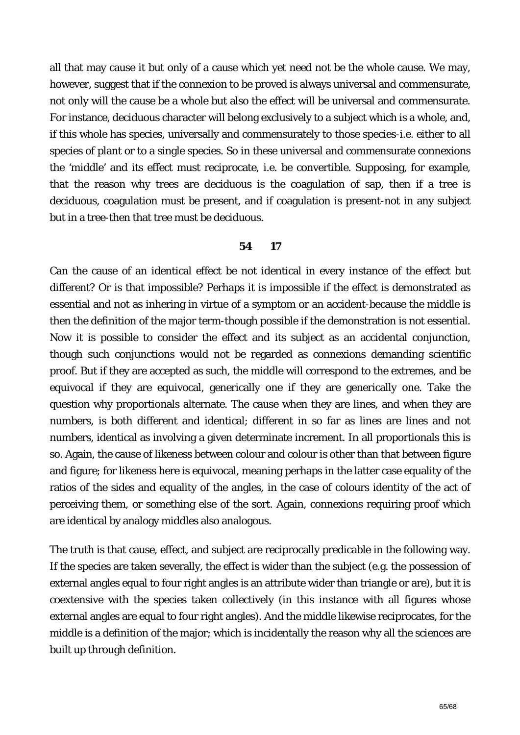all that may cause it but only of a cause which yet need not be the whole cause. We may, however, suggest that if the connexion to be proved is always universal and commensurate, not only will the cause be a whole but also the effect will be universal and commensurate. For instance, deciduous character will belong exclusively to a subject which is a whole, and, if this whole has species, universally and commensurately to those species-i.e. either to all species of plant or to a single species. So in these universal and commensurate connexions the 'middle' and its effect must reciprocate, i.e. be convertible. Supposing, for example, that the reason why trees are deciduous is the coagulation of sap, then if a tree is deciduous, coagulation must be present, and if coagulation is present-not in any subject but in a tree-then that tree must be deciduous.

### **54 17**

Can the cause of an identical effect be not identical in every instance of the effect but different? Or is that impossible? Perhaps it is impossible if the effect is demonstrated as essential and not as inhering in virtue of a symptom or an accident-because the middle is then the definition of the major term-though possible if the demonstration is not essential. Now it is possible to consider the effect and its subject as an accidental conjunction, though such conjunctions would not be regarded as connexions demanding scientific proof. But if they are accepted as such, the middle will correspond to the extremes, and be equivocal if they are equivocal, generically one if they are generically one. Take the question why proportionals alternate. The cause when they are lines, and when they are numbers, is both different and identical; different in so far as lines are lines and not numbers, identical as involving a given determinate increment. In all proportionals this is so. Again, the cause of likeness between colour and colour is other than that between figure and figure; for likeness here is equivocal, meaning perhaps in the latter case equality of the ratios of the sides and equality of the angles, in the case of colours identity of the act of perceiving them, or something else of the sort. Again, connexions requiring proof which are identical by analogy middles also analogous.

The truth is that cause, effect, and subject are reciprocally predicable in the following way. If the species are taken severally, the effect is wider than the subject (e.g. the possession of external angles equal to four right angles is an attribute wider than triangle or are), but it is coextensive with the species taken collectively (in this instance with all figures whose external angles are equal to four right angles). And the middle likewise reciprocates, for the middle is a definition of the major; which is incidentally the reason why all the sciences are built up through definition.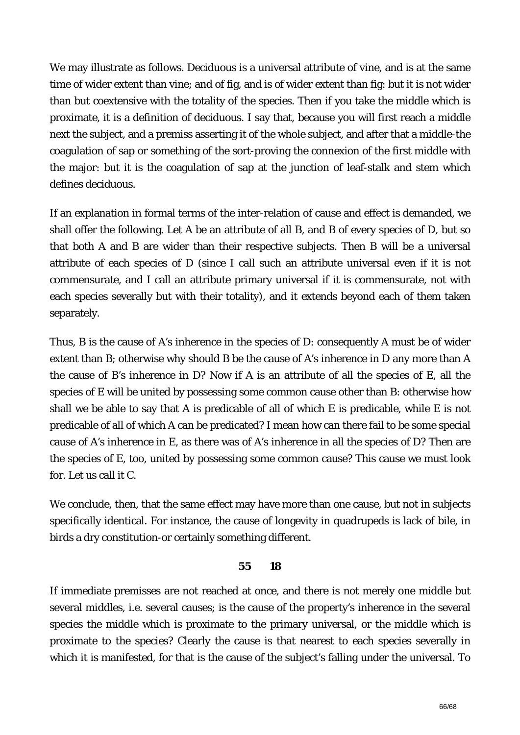We may illustrate as follows. Deciduous is a universal attribute of vine, and is at the same time of wider extent than vine; and of fig, and is of wider extent than fig: but it is not wider than but coextensive with the totality of the species. Then if you take the middle which is proximate, it is a definition of deciduous. I say that, because you will first reach a middle next the subject, and a premiss asserting it of the whole subject, and after that a middle-the coagulation of sap or something of the sort-proving the connexion of the first middle with the major: but it is the coagulation of sap at the junction of leaf-stalk and stem which defines deciduous.

If an explanation in formal terms of the inter-relation of cause and effect is demanded, we shall offer the following. Let A be an attribute of all B, and B of every species of D, but so that both A and B are wider than their respective subjects. Then B will be a universal attribute of each species of D (since I call such an attribute universal even if it is not commensurate, and I call an attribute primary universal if it is commensurate, not with each species severally but with their totality), and it extends beyond each of them taken separately.

Thus, B is the cause of A's inherence in the species of D: consequently A must be of wider extent than B; otherwise why should B be the cause of A's inherence in D any more than A the cause of B's inherence in D? Now if A is an attribute of all the species of E, all the species of E will be united by possessing some common cause other than B: otherwise how shall we be able to say that A is predicable of all of which E is predicable, while E is not predicable of all of which A can be predicated? I mean how can there fail to be some special cause of A's inherence in E, as there was of A's inherence in all the species of D? Then are the species of E, too, united by possessing some common cause? This cause we must look for. Let us call it C.

We conclude, then, that the same effect may have more than one cause, but not in subjects specifically identical. For instance, the cause of longevity in quadrupeds is lack of bile, in birds a dry constitution-or certainly something different.

### **55 18**

If immediate premisses are not reached at once, and there is not merely one middle but several middles, i.e. several causes; is the cause of the property's inherence in the several species the middle which is proximate to the primary universal, or the middle which is proximate to the species? Clearly the cause is that nearest to each species severally in which it is manifested, for that is the cause of the subject's falling under the universal. To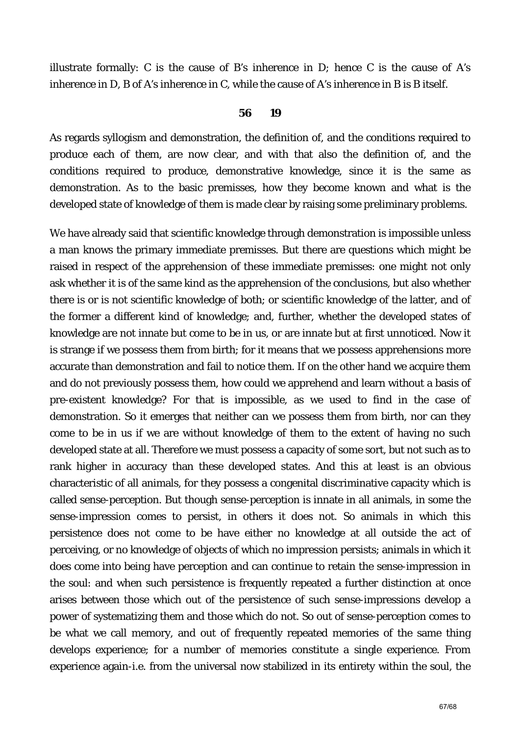illustrate formally: C is the cause of B's inherence in D; hence C is the cause of A's inherence in D, B of A's inherence in C, while the cause of A's inherence in B is B itself.

### **56 19**

As regards syllogism and demonstration, the definition of, and the conditions required to produce each of them, are now clear, and with that also the definition of, and the conditions required to produce, demonstrative knowledge, since it is the same as demonstration. As to the basic premisses, how they become known and what is the developed state of knowledge of them is made clear by raising some preliminary problems.

We have already said that scientific knowledge through demonstration is impossible unless a man knows the primary immediate premisses. But there are questions which might be raised in respect of the apprehension of these immediate premisses: one might not only ask whether it is of the same kind as the apprehension of the conclusions, but also whether there is or is not scientific knowledge of both; or scientific knowledge of the latter, and of the former a different kind of knowledge; and, further, whether the developed states of knowledge are not innate but come to be in us, or are innate but at first unnoticed. Now it is strange if we possess them from birth; for it means that we possess apprehensions more accurate than demonstration and fail to notice them. If on the other hand we acquire them and do not previously possess them, how could we apprehend and learn without a basis of pre-existent knowledge? For that is impossible, as we used to find in the case of demonstration. So it emerges that neither can we possess them from birth, nor can they come to be in us if we are without knowledge of them to the extent of having no such developed state at all. Therefore we must possess a capacity of some sort, but not such as to rank higher in accuracy than these developed states. And this at least is an obvious characteristic of all animals, for they possess a congenital discriminative capacity which is called sense-perception. But though sense-perception is innate in all animals, in some the sense-impression comes to persist, in others it does not. So animals in which this persistence does not come to be have either no knowledge at all outside the act of perceiving, or no knowledge of objects of which no impression persists; animals in which it does come into being have perception and can continue to retain the sense-impression in the soul: and when such persistence is frequently repeated a further distinction at once arises between those which out of the persistence of such sense-impressions develop a power of systematizing them and those which do not. So out of sense-perception comes to be what we call memory, and out of frequently repeated memories of the same thing develops experience; for a number of memories constitute a single experience. From experience again-i.e. from the universal now stabilized in its entirety within the soul, the